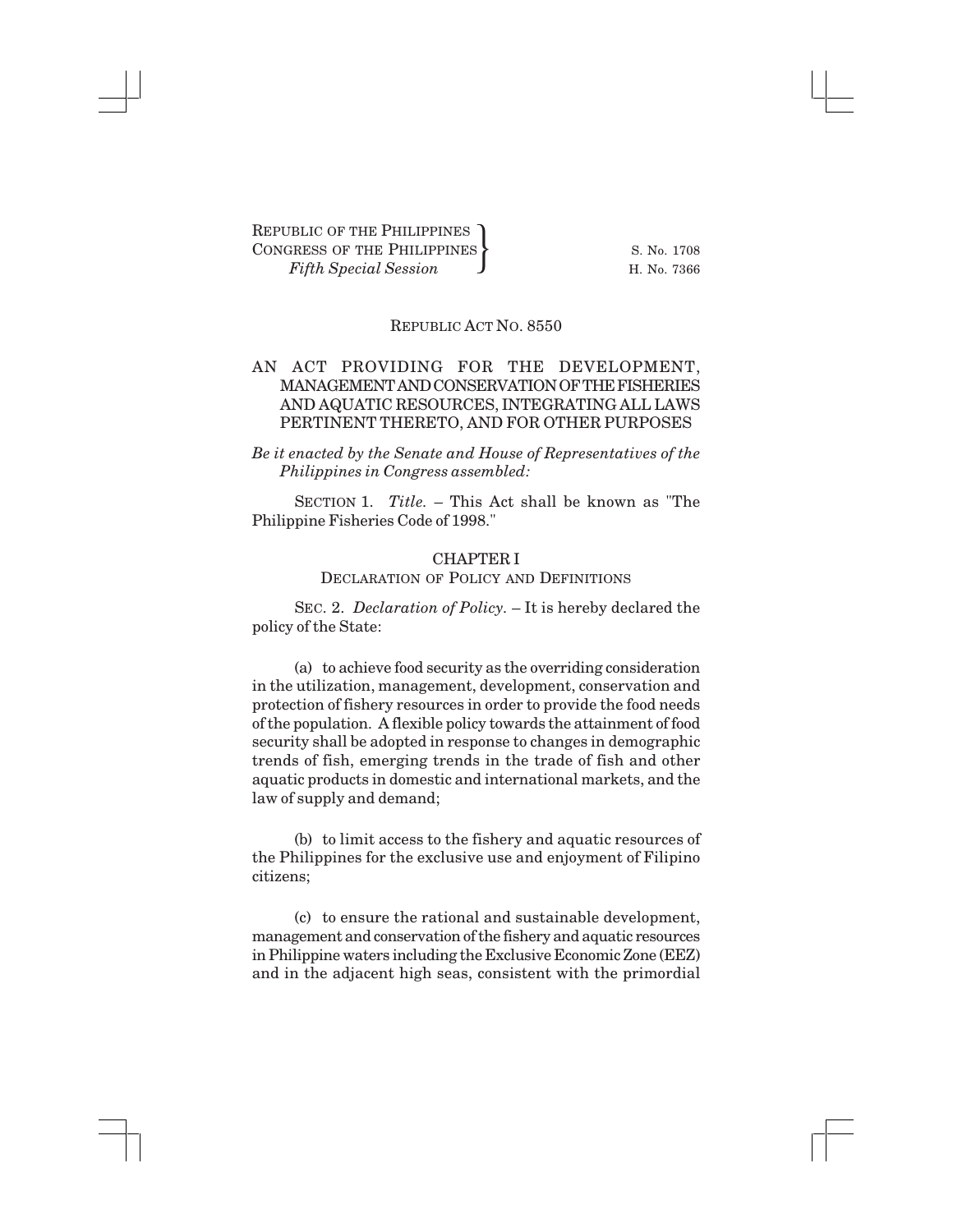#### REPUBLIC ACT NO. 8550

## AN ACT PROVIDING FOR THE DEVELOPMENT, MANAGEMENT AND CONSERVATION OF THE FISHERIES AND AQUATIC RESOURCES, INTEGRATING ALL LAWS PERTINENT THERETO, AND FOR OTHER PURPOSES

*Be it enacted by the Senate and House of Representatives of the Philippines in Congress assembled:*

SECTION 1. *Title.* – This Act shall be known as "The Philippine Fisheries Code of 1998."

# CHAPTER I DECLARATION OF POLICY AND DEFINITIONS

SEC. 2. *Declaration of Policy.* – It is hereby declared the policy of the State:

(a) to achieve food security as the overriding consideration in the utilization, management, development, conservation and protection of fishery resources in order to provide the food needs of the population. A flexible policy towards the attainment of food security shall be adopted in response to changes in demographic trends of fish, emerging trends in the trade of fish and other aquatic products in domestic and international markets, and the law of supply and demand;

(b) to limit access to the fishery and aquatic resources of the Philippines for the exclusive use and enjoyment of Filipino citizens;

(c) to ensure the rational and sustainable development, management and conservation of the fishery and aquatic resources in Philippine waters including the Exclusive Economic Zone (EEZ) and in the adjacent high seas, consistent with the primordial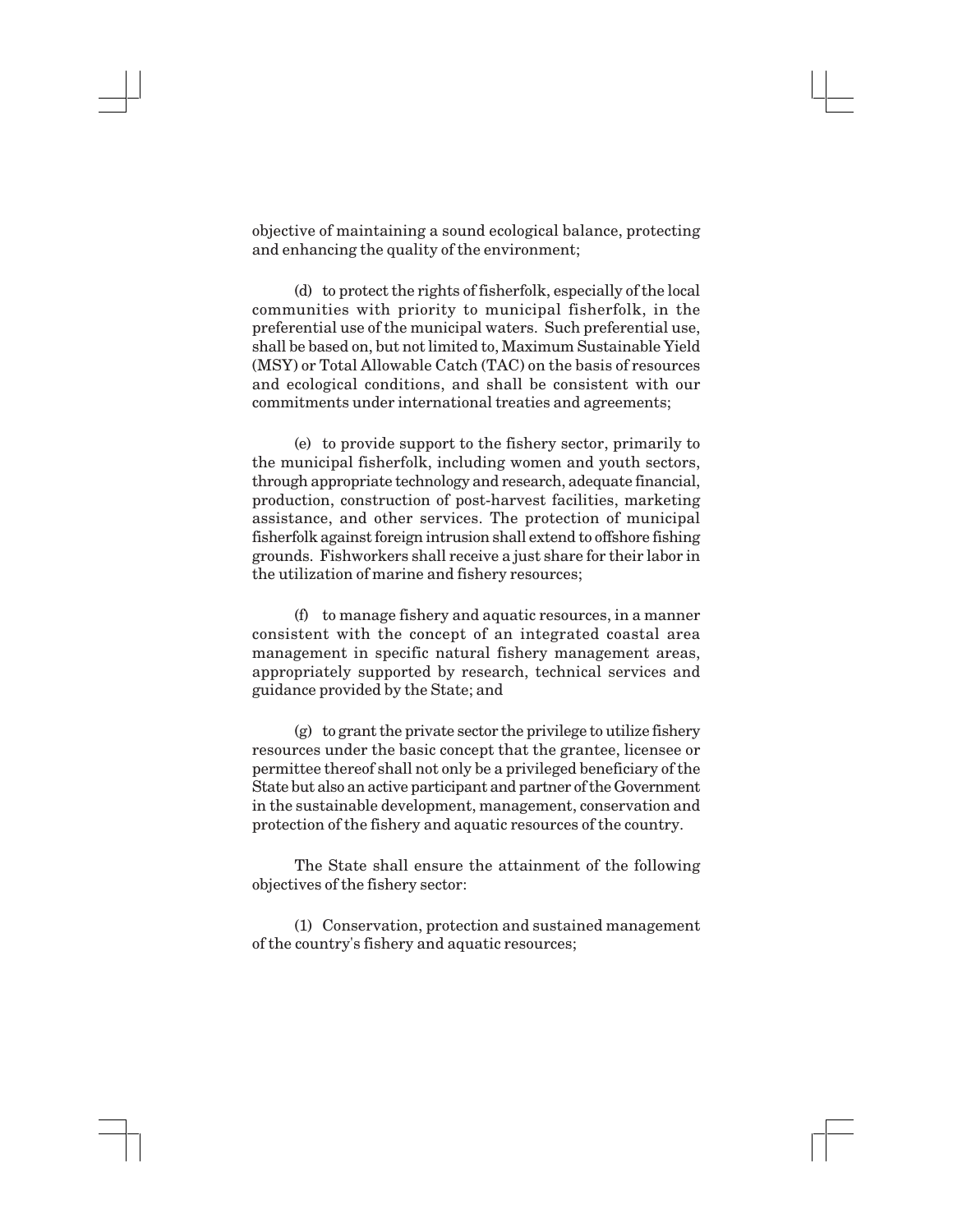objective of maintaining a sound ecological balance, protecting and enhancing the quality of the environment;

(d) to protect the rights of fisherfolk, especially of the local communities with priority to municipal fisherfolk, in the preferential use of the municipal waters. Such preferential use, shall be based on, but not limited to, Maximum Sustainable Yield (MSY) or Total Allowable Catch (TAC) on the basis of resources and ecological conditions, and shall be consistent with our commitments under international treaties and agreements;

(e) to provide support to the fishery sector, primarily to the municipal fisherfolk, including women and youth sectors, through appropriate technology and research, adequate financial, production, construction of post-harvest facilities, marketing assistance, and other services. The protection of municipal fisherfolk against foreign intrusion shall extend to offshore fishing grounds. Fishworkers shall receive a just share for their labor in the utilization of marine and fishery resources;

(f) to manage fishery and aquatic resources, in a manner consistent with the concept of an integrated coastal area management in specific natural fishery management areas, appropriately supported by research, technical services and guidance provided by the State; and

(g) to grant the private sector the privilege to utilize fishery resources under the basic concept that the grantee, licensee or permittee thereof shall not only be a privileged beneficiary of the State but also an active participant and partner of the Government in the sustainable development, management, conservation and protection of the fishery and aquatic resources of the country.

The State shall ensure the attainment of the following objectives of the fishery sector:

(1) Conservation, protection and sustained management of the country's fishery and aquatic resources;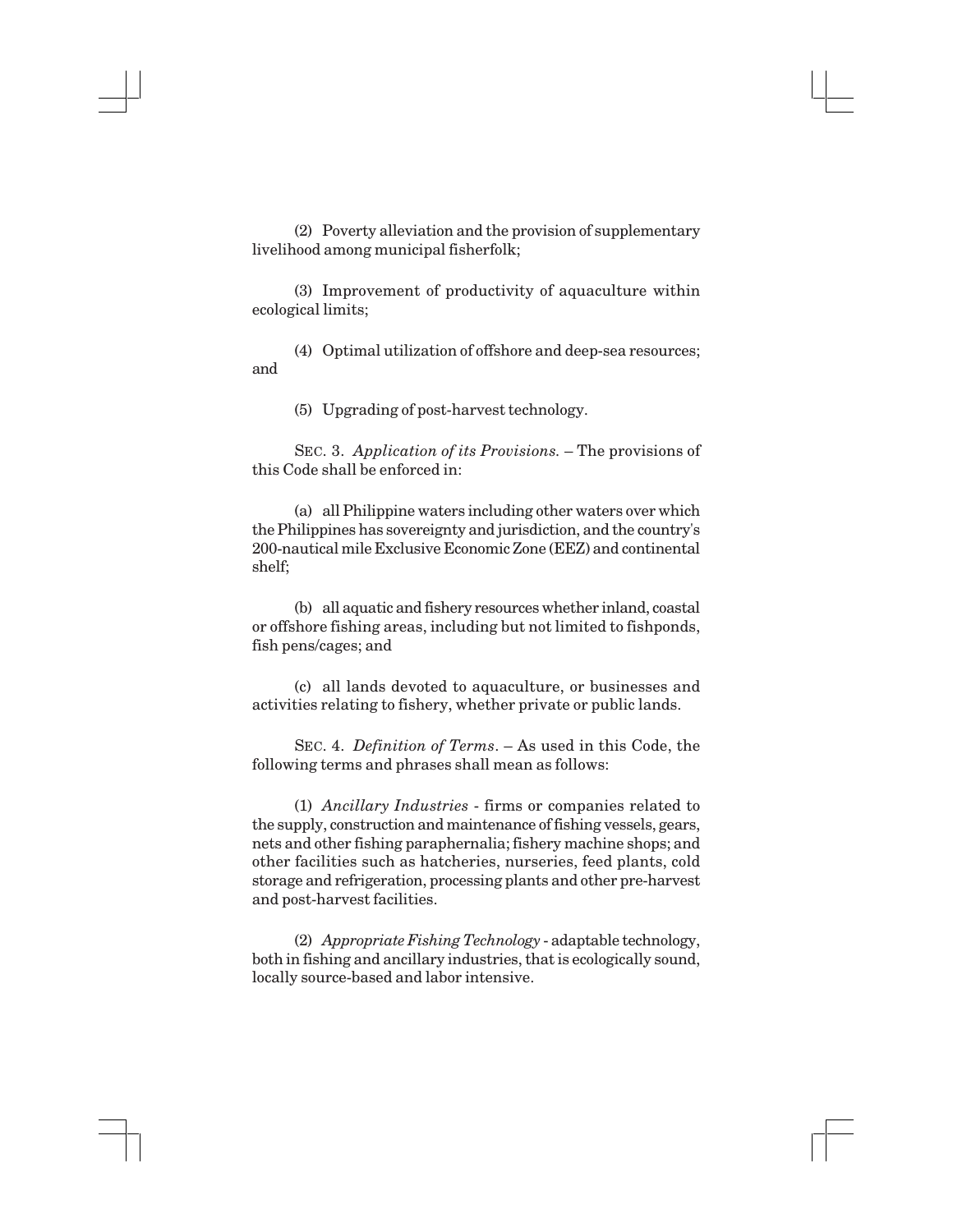(2) Poverty alleviation and the provision of supplementary livelihood among municipal fisherfolk;

(3) Improvement of productivity of aquaculture within ecological limits;

(4) Optimal utilization of offshore and deep-sea resources; and

(5) Upgrading of post-harvest technology.

SEC. 3. *Application of its Provisions.* – The provisions of this Code shall be enforced in:

(a) all Philippine waters including other waters over which the Philippines has sovereignty and jurisdiction, and the country's 200-nautical mile Exclusive Economic Zone (EEZ) and continental shelf;

(b) all aquatic and fishery resources whether inland, coastal or offshore fishing areas, including but not limited to fishponds, fish pens/cages; and

(c) all lands devoted to aquaculture, or businesses and activities relating to fishery, whether private or public lands.

SEC. 4. *Definition of Terms*. – As used in this Code, the following terms and phrases shall mean as follows:

(1) *Ancillary Industries* - firms or companies related to the supply, construction and maintenance of fishing vessels, gears, nets and other fishing paraphernalia; fishery machine shops; and other facilities such as hatcheries, nurseries, feed plants, cold storage and refrigeration, processing plants and other pre-harvest and post-harvest facilities.

(2) *Appropriate Fishing Technology* - adaptable technology, both in fishing and ancillary industries, that is ecologically sound, locally source-based and labor intensive.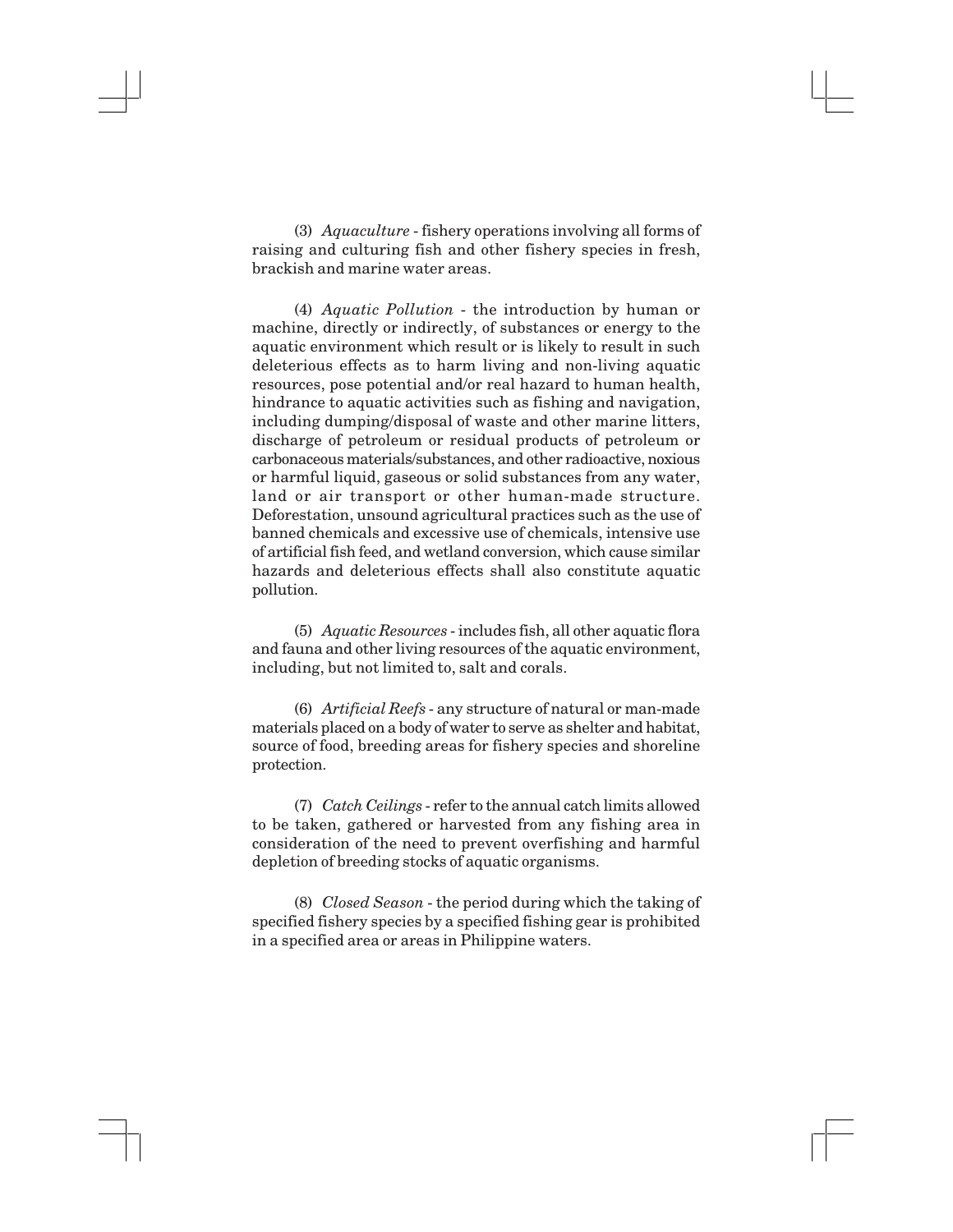(3) *Aquaculture* - fishery operations involving all forms of raising and culturing fish and other fishery species in fresh, brackish and marine water areas.

(4) *Aquatic Pollution* - the introduction by human or machine, directly or indirectly, of substances or energy to the aquatic environment which result or is likely to result in such deleterious effects as to harm living and non-living aquatic resources, pose potential and/or real hazard to human health, hindrance to aquatic activities such as fishing and navigation, including dumping/disposal of waste and other marine litters, discharge of petroleum or residual products of petroleum or carbonaceous materials/substances, and other radioactive, noxious or harmful liquid, gaseous or solid substances from any water, land or air transport or other human-made structure. Deforestation, unsound agricultural practices such as the use of banned chemicals and excessive use of chemicals, intensive use of artificial fish feed, and wetland conversion, which cause similar hazards and deleterious effects shall also constitute aquatic pollution.

(5) *Aquatic Resources* - includes fish, all other aquatic flora and fauna and other living resources of the aquatic environment, including, but not limited to, salt and corals.

(6) *Artificial Reefs* - any structure of natural or man-made materials placed on a body of water to serve as shelter and habitat, source of food, breeding areas for fishery species and shoreline protection.

(7) *Catch Ceilings* - refer to the annual catch limits allowed to be taken, gathered or harvested from any fishing area in consideration of the need to prevent overfishing and harmful depletion of breeding stocks of aquatic organisms.

(8) *Closed Season* - the period during which the taking of specified fishery species by a specified fishing gear is prohibited in a specified area or areas in Philippine waters.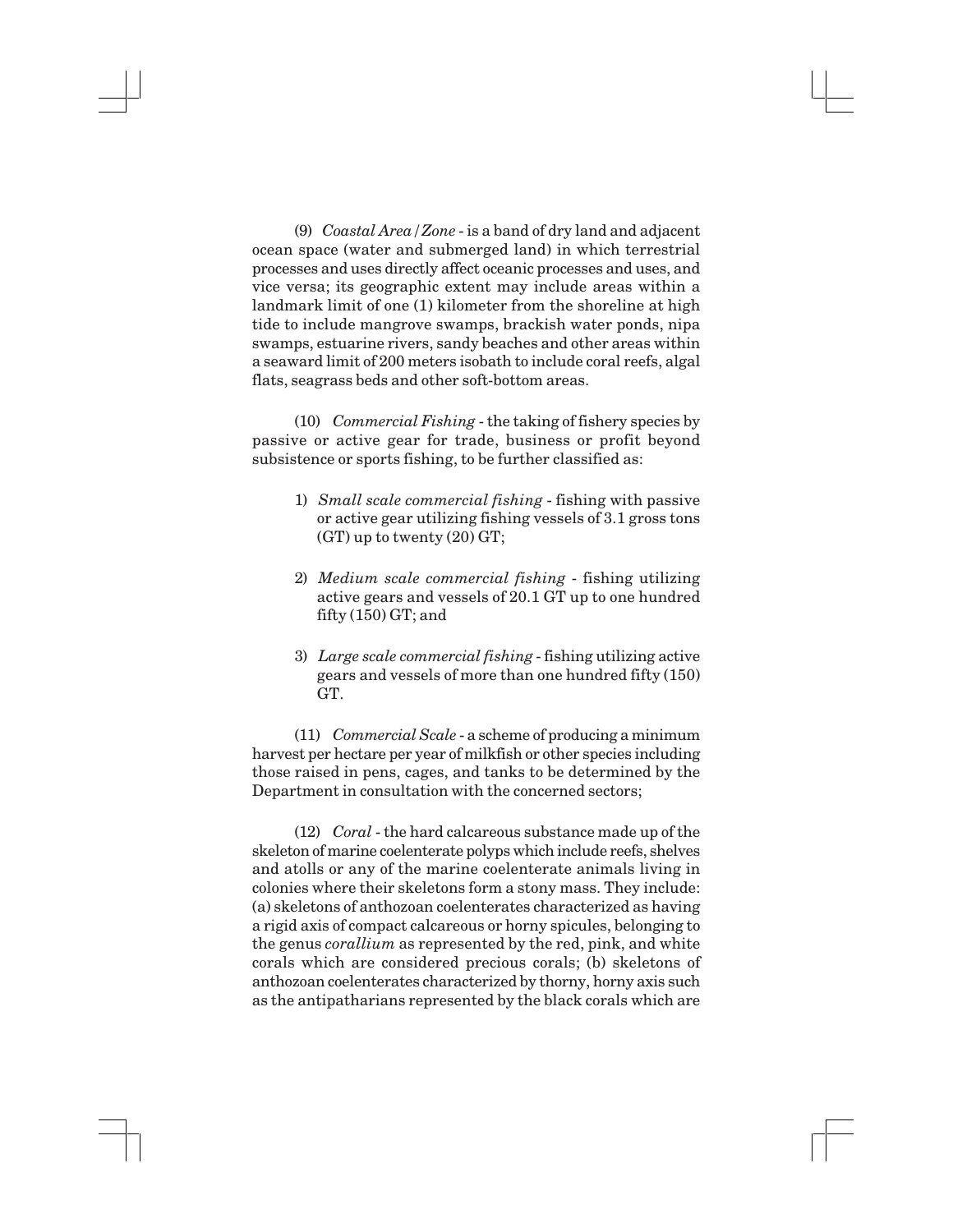(9) *Coastal Area/Zone* - is a band of dry land and adjacent ocean space (water and submerged land) in which terrestrial processes and uses directly affect oceanic processes and uses, and vice versa; its geographic extent may include areas within a landmark limit of one (1) kilometer from the shoreline at high tide to include mangrove swamps, brackish water ponds, nipa swamps, estuarine rivers, sandy beaches and other areas within a seaward limit of 200 meters isobath to include coral reefs, algal flats, seagrass beds and other soft-bottom areas.

(10) *Commercial Fishing* - the taking of fishery species by passive or active gear for trade, business or profit beyond subsistence or sports fishing, to be further classified as:

- 1) *Small scale commercial fishing* fishing with passive or active gear utilizing fishing vessels of 3.1 gross tons (GT) up to twenty (20) GT;
- 2) *Medium scale commercial fishing* fishing utilizing active gears and vessels of 20.1 GT up to one hundred fifty (150) GT; and
- 3) *Large scale commercial fishing* fishing utilizing active gears and vessels of more than one hundred fifty (150) GT.

(11) *Commercial Scale* - a scheme of producing a minimum harvest per hectare per year of milkfish or other species including those raised in pens, cages, and tanks to be determined by the Department in consultation with the concerned sectors;

(12) *Coral* - the hard calcareous substance made up of the skeleton of marine coelenterate polyps which include reefs, shelves and atolls or any of the marine coelenterate animals living in colonies where their skeletons form a stony mass. They include: (a) skeletons of anthozoan coelenterates characterized as having a rigid axis of compact calcareous or horny spicules, belonging to the genus *corallium* as represented by the red, pink, and white corals which are considered precious corals; (b) skeletons of anthozoan coelenterates characterized by thorny, horny axis such as the antipatharians represented by the black corals which are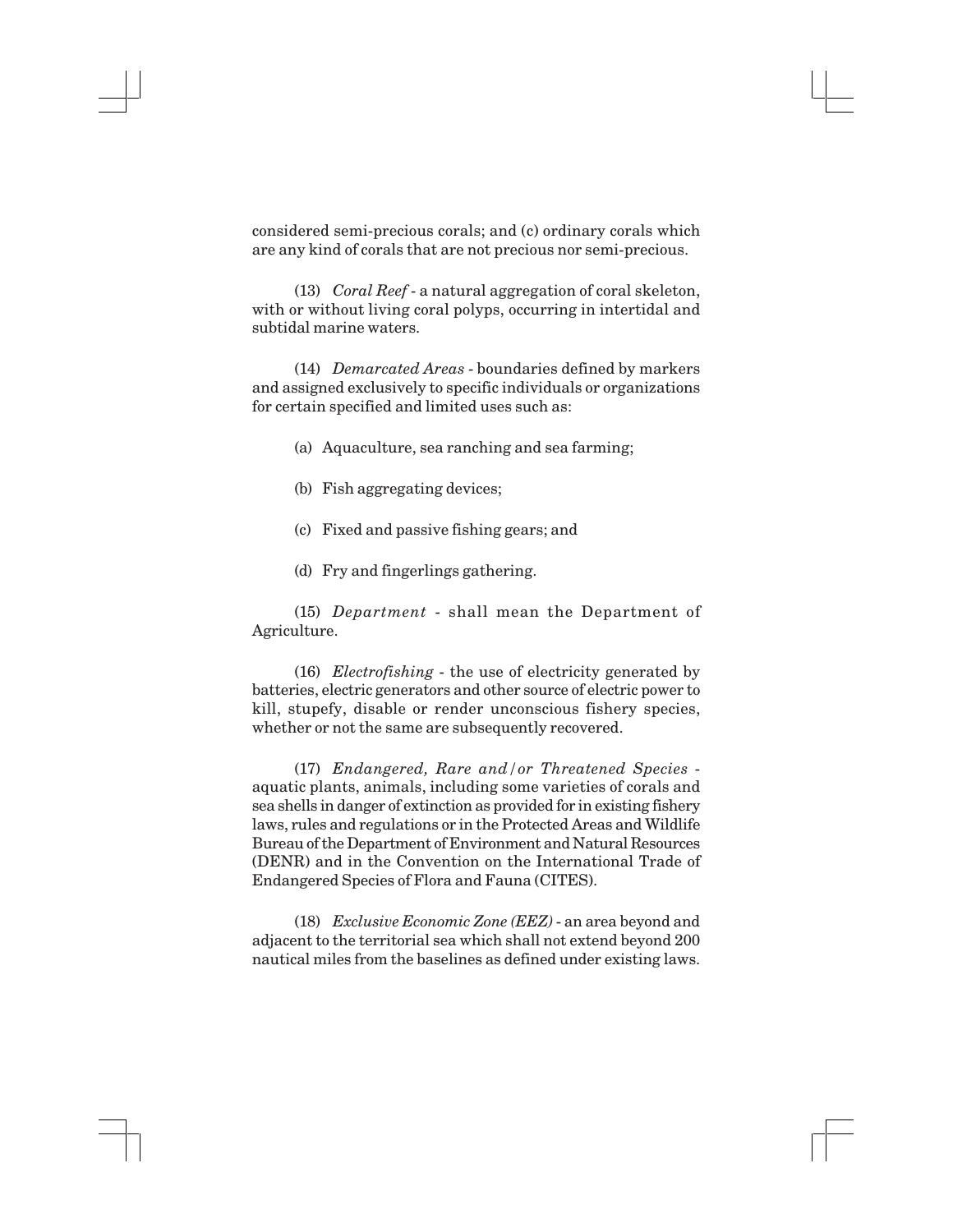considered semi-precious corals; and (c) ordinary corals which are any kind of corals that are not precious nor semi-precious.

(13) *Coral Reef* - a natural aggregation of coral skeleton, with or without living coral polyps, occurring in intertidal and subtidal marine waters.

(14) *Demarcated Areas* - boundaries defined by markers and assigned exclusively to specific individuals or organizations for certain specified and limited uses such as:

- (a) Aquaculture, sea ranching and sea farming;
- (b) Fish aggregating devices;
- (c) Fixed and passive fishing gears; and
- (d) Fry and fingerlings gathering.

(15) *Department* - shall mean the Department of Agriculture.

(16) *Electrofishing* - the use of electricity generated by batteries, electric generators and other source of electric power to kill, stupefy, disable or render unconscious fishery species, whether or not the same are subsequently recovered.

(17) *Endangered, Rare and/or Threatened Species* aquatic plants, animals, including some varieties of corals and sea shells in danger of extinction as provided for in existing fishery laws, rules and regulations or in the Protected Areas and Wildlife Bureau of the Department of Environment and Natural Resources (DENR) and in the Convention on the International Trade of Endangered Species of Flora and Fauna (CITES).

(18) *Exclusive Economic Zone (EEZ)* - an area beyond and adjacent to the territorial sea which shall not extend beyond 200 nautical miles from the baselines as defined under existing laws.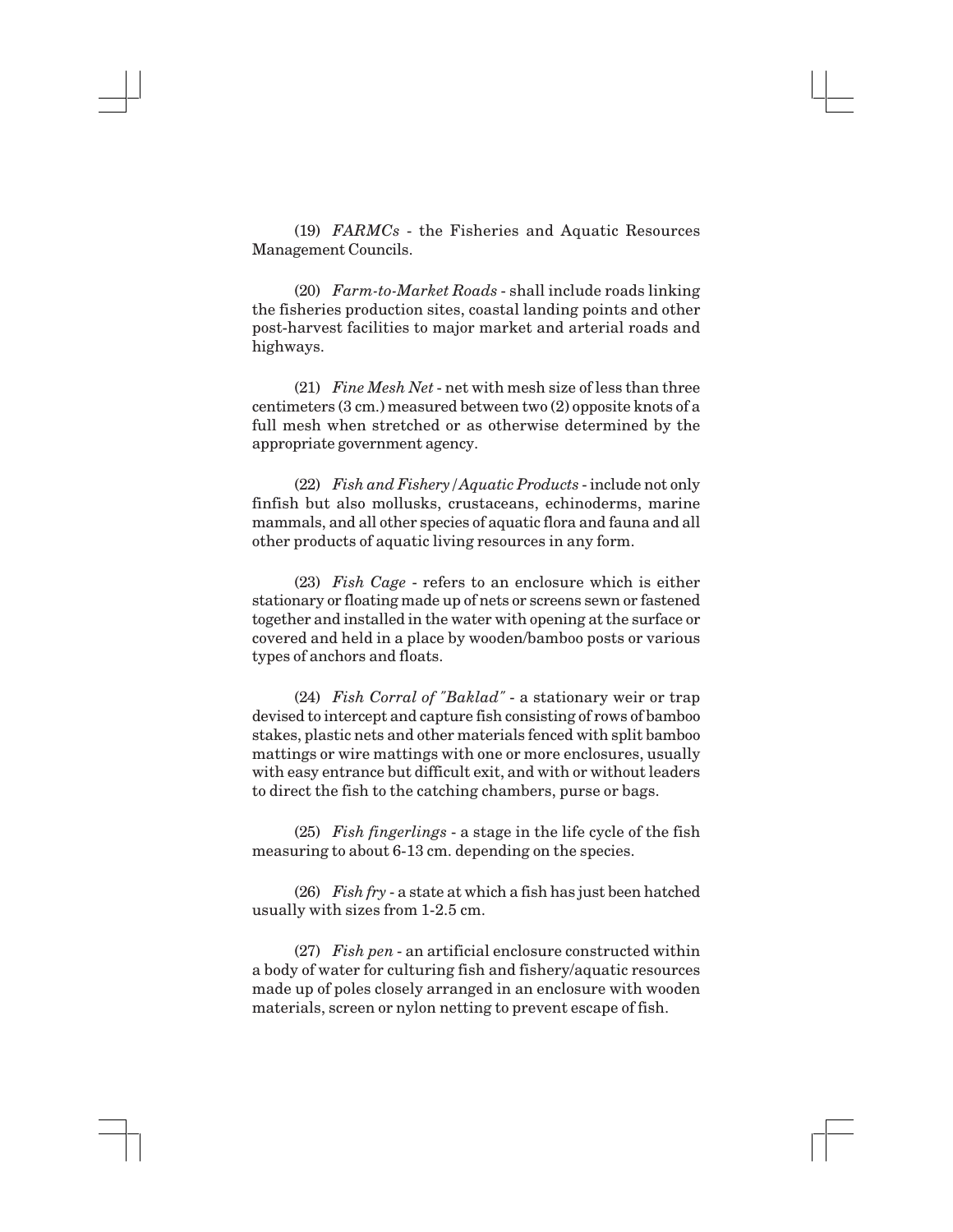(19) *FARMCs* - the Fisheries and Aquatic Resources Management Councils.

(20) *Farm-to-Market Roads* - shall include roads linking the fisheries production sites, coastal landing points and other post-harvest facilities to major market and arterial roads and highways.

(21) *Fine Mesh Net* - net with mesh size of less than three centimeters (3 cm.) measured between two (2) opposite knots of a full mesh when stretched or as otherwise determined by the appropriate government agency.

(22) *Fish and Fishery/Aquatic Products* - include not only finfish but also mollusks, crustaceans, echinoderms, marine mammals, and all other species of aquatic flora and fauna and all other products of aquatic living resources in any form.

(23) *Fish Cage* - refers to an enclosure which is either stationary or floating made up of nets or screens sewn or fastened together and installed in the water with opening at the surface or covered and held in a place by wooden/bamboo posts or various types of anchors and floats.

(24) *Fish Corral of "Baklad"* - a stationary weir or trap devised to intercept and capture fish consisting of rows of bamboo stakes, plastic nets and other materials fenced with split bamboo mattings or wire mattings with one or more enclosures, usually with easy entrance but difficult exit, and with or without leaders to direct the fish to the catching chambers, purse or bags.

(25) *Fish fingerlings* - a stage in the life cycle of the fish measuring to about 6-13 cm. depending on the species.

(26) *Fish fry* - a state at which a fish has just been hatched usually with sizes from 1-2.5 cm.

(27) *Fish pen* - an artificial enclosure constructed within a body of water for culturing fish and fishery/aquatic resources made up of poles closely arranged in an enclosure with wooden materials, screen or nylon netting to prevent escape of fish.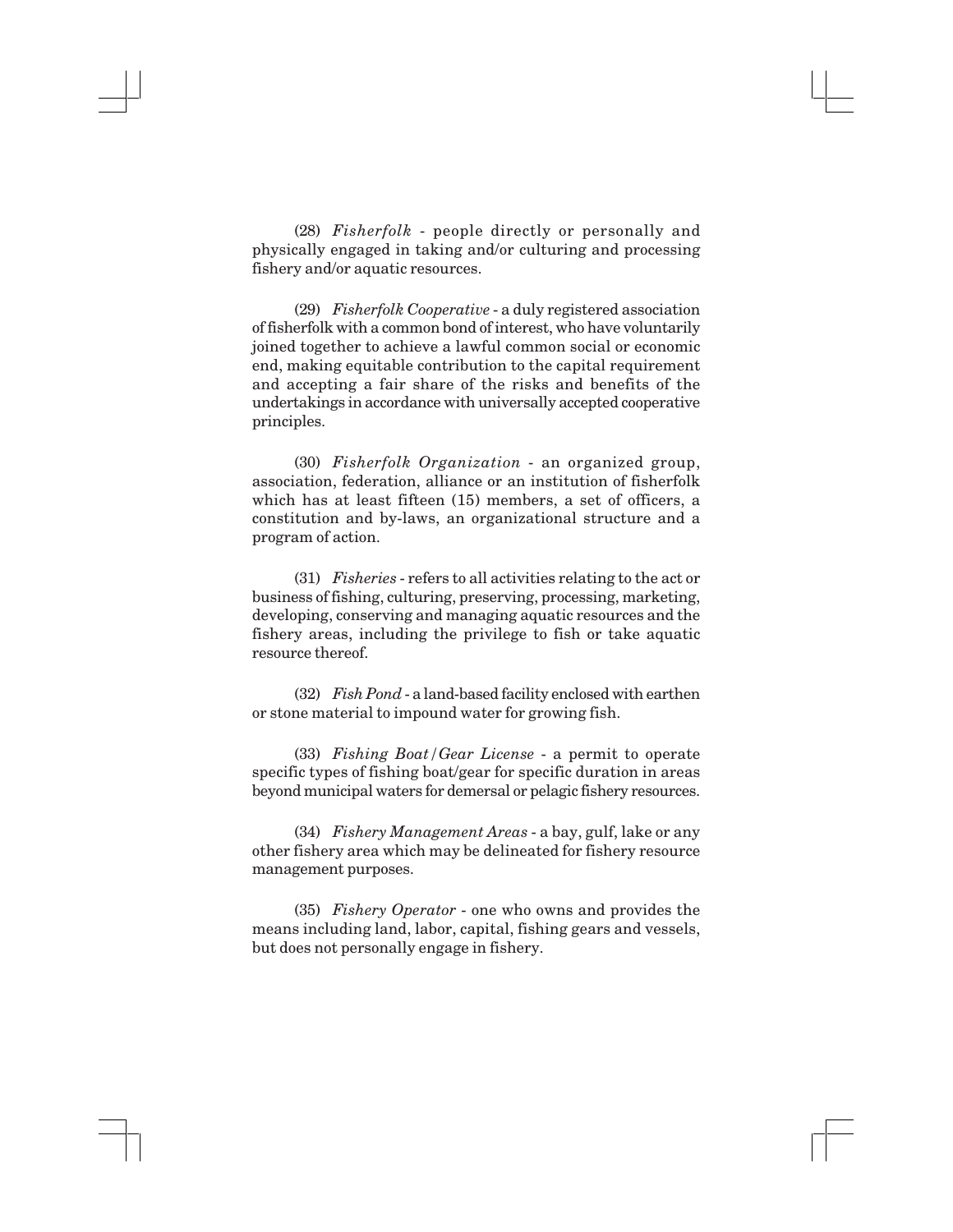(28) *Fisherfolk* - people directly or personally and physically engaged in taking and/or culturing and processing fishery and/or aquatic resources.

(29) *Fisherfolk Cooperative* - a duly registered association of fisherfolk with a common bond of interest, who have voluntarily joined together to achieve a lawful common social or economic end, making equitable contribution to the capital requirement and accepting a fair share of the risks and benefits of the undertakings in accordance with universally accepted cooperative principles.

(30) *Fisherfolk Organization* - an organized group, association, federation, alliance or an institution of fisherfolk which has at least fifteen (15) members, a set of officers, a constitution and by-laws, an organizational structure and a program of action.

(31) *Fisheries* - refers to all activities relating to the act or business of fishing, culturing, preserving, processing, marketing, developing, conserving and managing aquatic resources and the fishery areas, including the privilege to fish or take aquatic resource thereof.

(32) *Fish Pond* - a land-based facility enclosed with earthen or stone material to impound water for growing fish.

(33) *Fishing Boat/Gear License* - a permit to operate specific types of fishing boat/gear for specific duration in areas beyond municipal waters for demersal or pelagic fishery resources.

(34) *Fishery Management Areas* - a bay, gulf, lake or any other fishery area which may be delineated for fishery resource management purposes.

(35) *Fishery Operator* - one who owns and provides the means including land, labor, capital, fishing gears and vessels, but does not personally engage in fishery.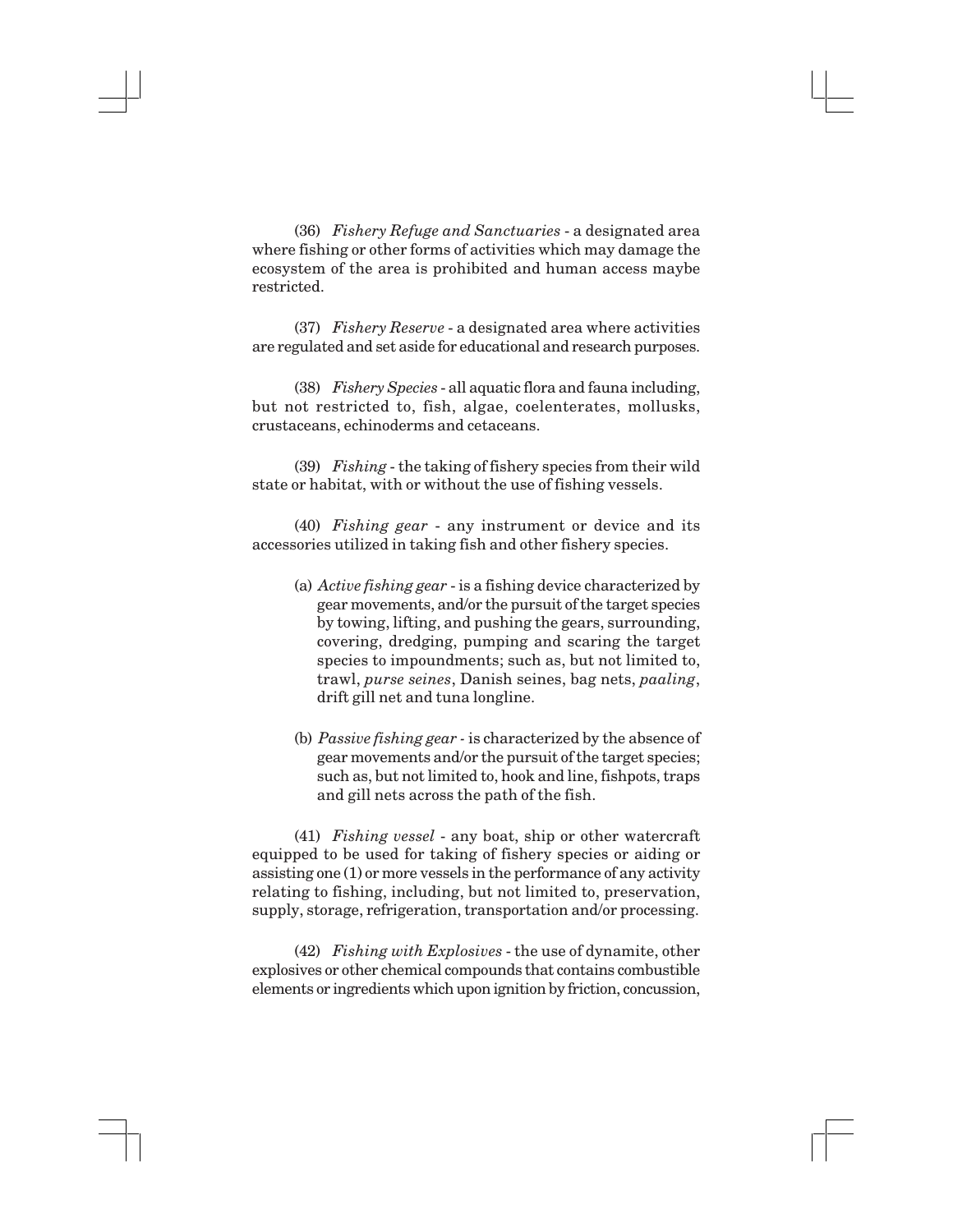(36) *Fishery Refuge and Sanctuaries* - a designated area where fishing or other forms of activities which may damage the ecosystem of the area is prohibited and human access maybe restricted.

(37) *Fishery Reserve* - a designated area where activities are regulated and set aside for educational and research purposes.

(38) *Fishery Species* - all aquatic flora and fauna including, but not restricted to, fish, algae, coelenterates, mollusks, crustaceans, echinoderms and cetaceans.

(39) *Fishing* - the taking of fishery species from their wild state or habitat, with or without the use of fishing vessels.

(40) *Fishing gear* - any instrument or device and its accessories utilized in taking fish and other fishery species.

- (a) *Active fishing gear* is a fishing device characterized by gear movements, and/or the pursuit of the target species by towing, lifting, and pushing the gears, surrounding, covering, dredging, pumping and scaring the target species to impoundments; such as, but not limited to, trawl, *purse seines*, Danish seines, bag nets, *paaling*, drift gill net and tuna longline.
- (b) *Passive fishing gear -* is characterized by the absence of gear movements and/or the pursuit of the target species; such as, but not limited to, hook and line, fishpots, traps and gill nets across the path of the fish.

(41) *Fishing vessel* - any boat, ship or other watercraft equipped to be used for taking of fishery species or aiding or assisting one (1) or more vessels in the performance of any activity relating to fishing, including, but not limited to, preservation, supply, storage, refrigeration, transportation and/or processing.

(42) *Fishing with Explosives* - the use of dynamite, other explosives or other chemical compounds that contains combustible elements or ingredients which upon ignition by friction, concussion,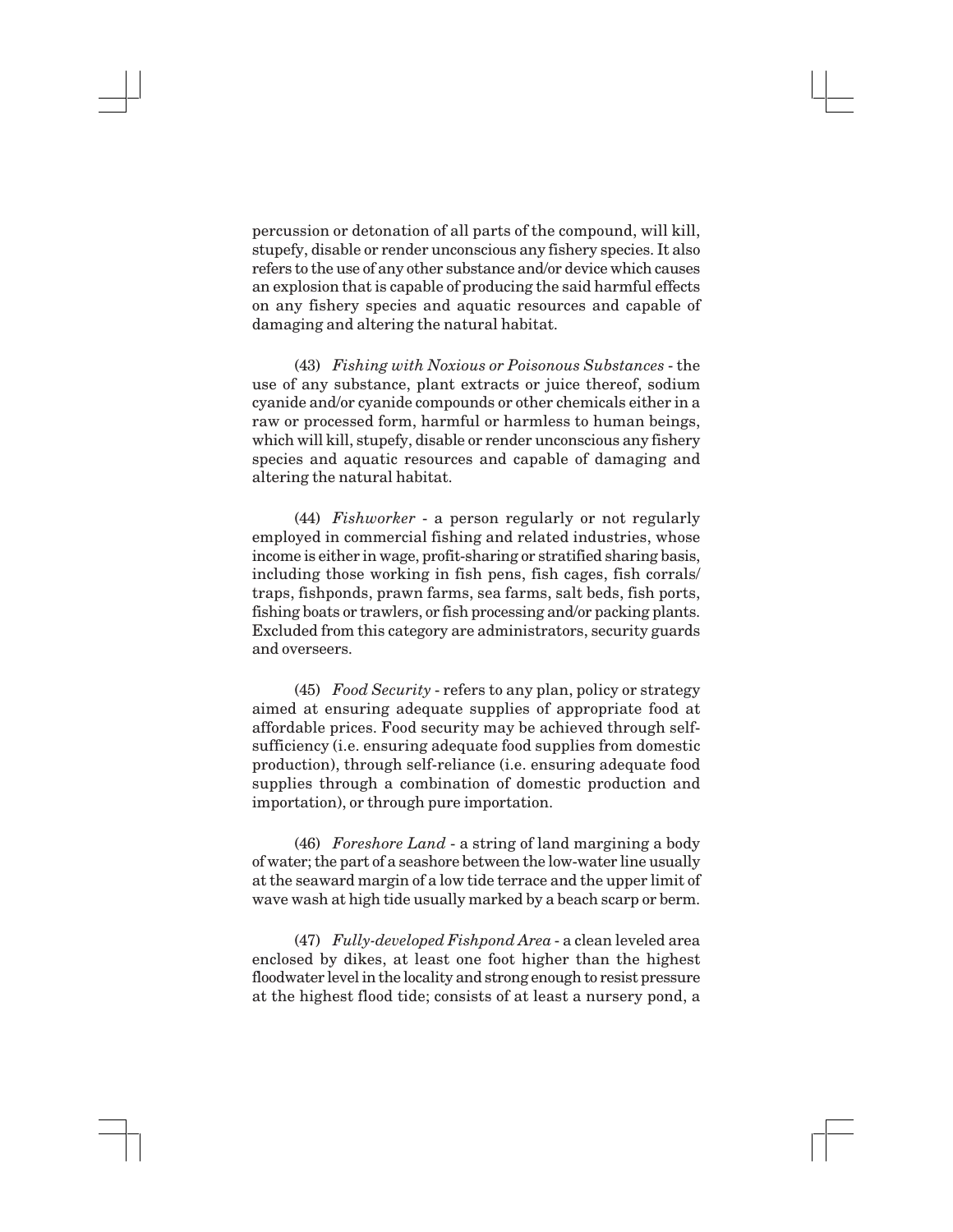percussion or detonation of all parts of the compound, will kill, stupefy, disable or render unconscious any fishery species. It also refers to the use of any other substance and/or device which causes an explosion that is capable of producing the said harmful effects on any fishery species and aquatic resources and capable of damaging and altering the natural habitat.

(43) *Fishing with Noxious or Poisonous Substances* - the use of any substance, plant extracts or juice thereof, sodium cyanide and/or cyanide compounds or other chemicals either in a raw or processed form, harmful or harmless to human beings, which will kill, stupefy, disable or render unconscious any fishery species and aquatic resources and capable of damaging and altering the natural habitat.

(44) *Fishworker* - a person regularly or not regularly employed in commercial fishing and related industries, whose income is either in wage, profit-sharing or stratified sharing basis, including those working in fish pens, fish cages, fish corrals/ traps, fishponds, prawn farms, sea farms, salt beds, fish ports, fishing boats or trawlers, or fish processing and/or packing plants. Excluded from this category are administrators, security guards and overseers.

(45) *Food Security* - refers to any plan, policy or strategy aimed at ensuring adequate supplies of appropriate food at affordable prices. Food security may be achieved through selfsufficiency (i.e. ensuring adequate food supplies from domestic production), through self-reliance (i.e. ensuring adequate food supplies through a combination of domestic production and importation), or through pure importation.

(46) *Foreshore Land* - a string of land margining a body of water; the part of a seashore between the low-water line usually at the seaward margin of a low tide terrace and the upper limit of wave wash at high tide usually marked by a beach scarp or berm.

(47) *Fully-developed Fishpond Area* - a clean leveled area enclosed by dikes, at least one foot higher than the highest floodwater level in the locality and strong enough to resist pressure at the highest flood tide; consists of at least a nursery pond, a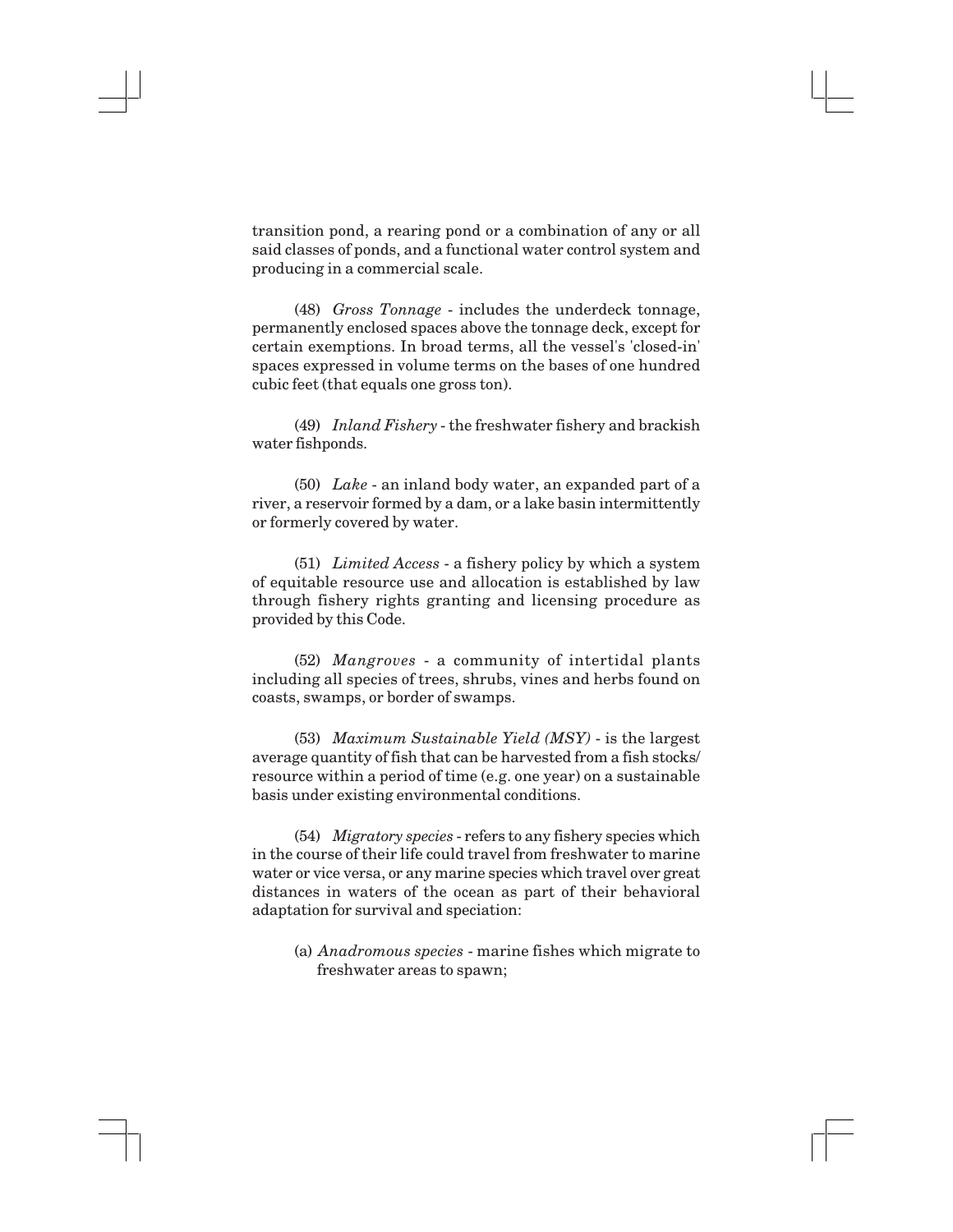transition pond, a rearing pond or a combination of any or all said classes of ponds, and a functional water control system and producing in a commercial scale.

(48) *Gross Tonnage* - includes the underdeck tonnage, permanently enclosed spaces above the tonnage deck, except for certain exemptions. In broad terms, all the vessel's 'closed-in' spaces expressed in volume terms on the bases of one hundred cubic feet (that equals one gross ton).

(49) *Inland Fishery* - the freshwater fishery and brackish water fishponds.

(50) *Lake* - an inland body water, an expanded part of a river, a reservoir formed by a dam, or a lake basin intermittently or formerly covered by water.

(51) *Limited Access* - a fishery policy by which a system of equitable resource use and allocation is established by law through fishery rights granting and licensing procedure as provided by this Code.

(52) *Mangroves* - a community of intertidal plants including all species of trees, shrubs, vines and herbs found on coasts, swamps, or border of swamps.

(53) *Maximum Sustainable Yield (MSY)* - is the largest average quantity of fish that can be harvested from a fish stocks/ resource within a period of time (e.g. one year) on a sustainable basis under existing environmental conditions.

(54) *Migratory species* - refers to any fishery species which in the course of their life could travel from freshwater to marine water or vice versa, or any marine species which travel over great distances in waters of the ocean as part of their behavioral adaptation for survival and speciation:

(a) *Anadromous species* - marine fishes which migrate to freshwater areas to spawn;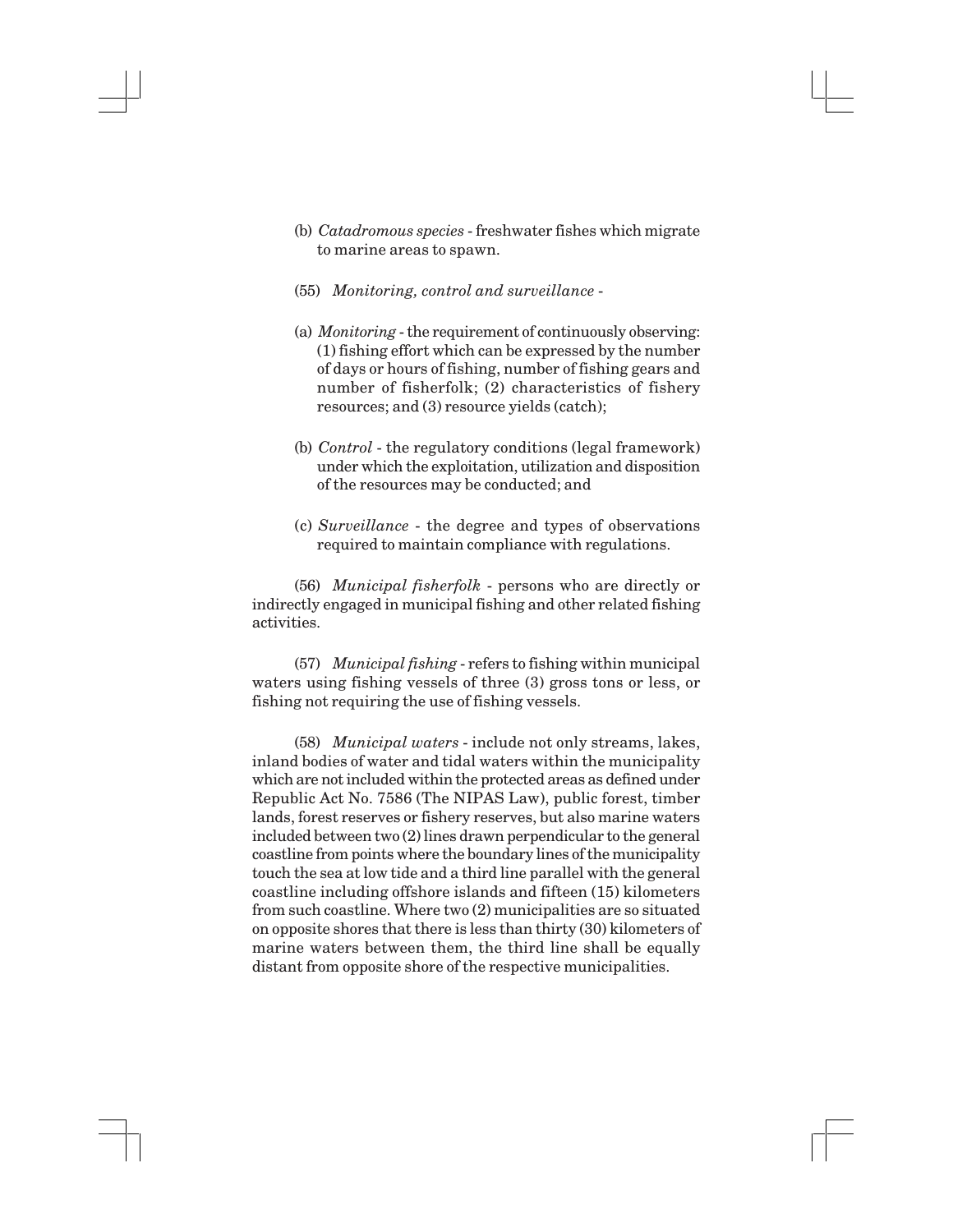- (b) *Catadromous species* freshwater fishes which migrate to marine areas to spawn.
- (55) *Monitoring, control and surveillance* -
- (a) *Monitoring* the requirement of continuously observing: (1) fishing effort which can be expressed by the number of days or hours of fishing, number of fishing gears and number of fisherfolk; (2) characteristics of fishery resources; and (3) resource yields (catch);
- (b) *Control*  the regulatory conditions (legal framework) under which the exploitation, utilization and disposition of the resources may be conducted; and
- (c) *Surveillance*  the degree and types of observations required to maintain compliance with regulations.

(56) *Municipal fisherfolk* - persons who are directly or indirectly engaged in municipal fishing and other related fishing activities.

(57) *Municipal fishing* - refers to fishing within municipal waters using fishing vessels of three (3) gross tons or less, or fishing not requiring the use of fishing vessels.

(58) *Municipal waters* - include not only streams, lakes, inland bodies of water and tidal waters within the municipality which are not included within the protected areas as defined under Republic Act No. 7586 (The NIPAS Law), public forest, timber lands, forest reserves or fishery reserves, but also marine waters included between two (2) lines drawn perpendicular to the general coastline from points where the boundary lines of the municipality touch the sea at low tide and a third line parallel with the general coastline including offshore islands and fifteen (15) kilometers from such coastline. Where two (2) municipalities are so situated on opposite shores that there is less than thirty (30) kilometers of marine waters between them, the third line shall be equally distant from opposite shore of the respective municipalities.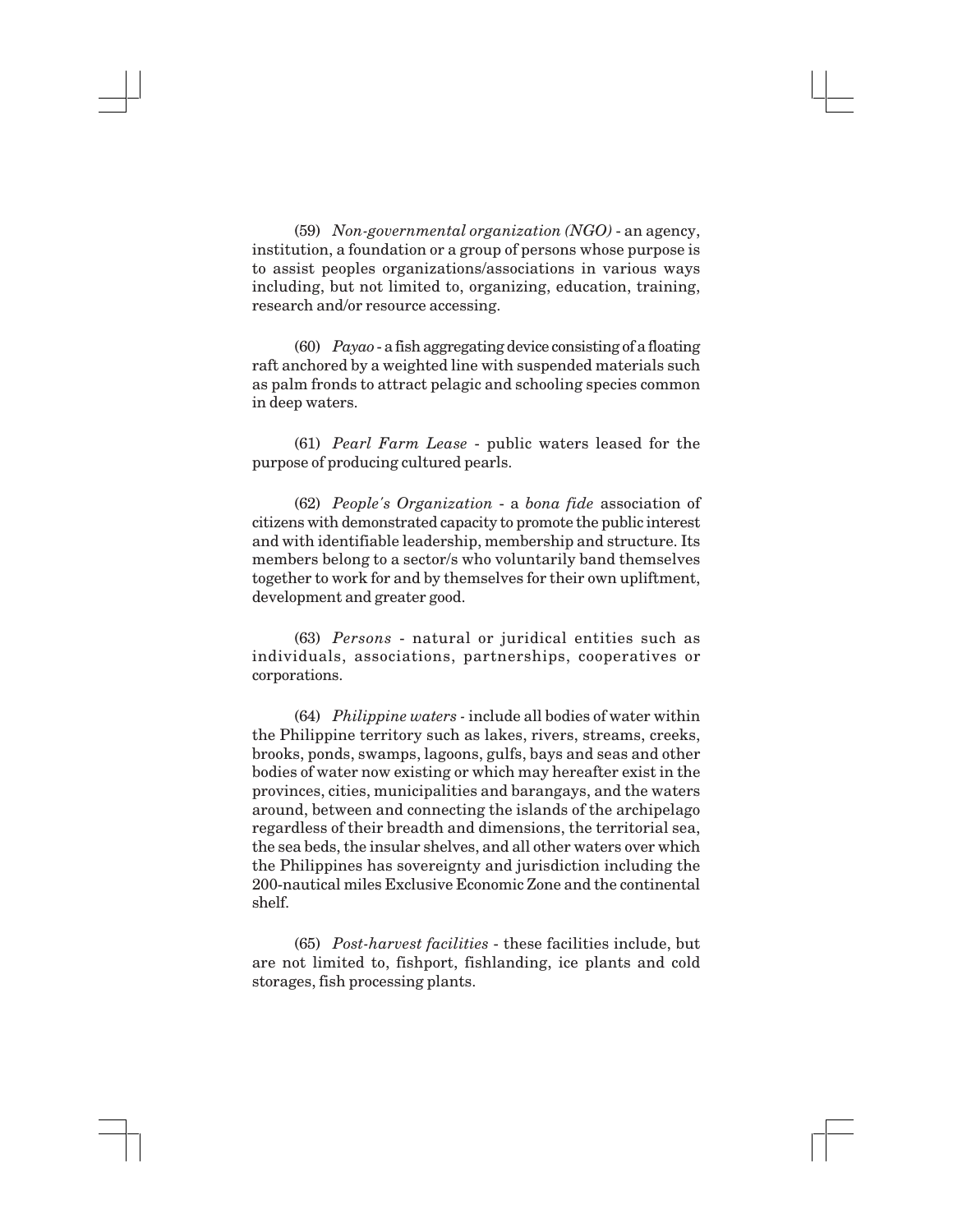(59) *Non-governmental organization (NGO)* - an agency, institution, a foundation or a group of persons whose purpose is to assist peoples organizations/associations in various ways including, but not limited to, organizing, education, training, research and/or resource accessing.

(60) *Payao* - a fish aggregating device consisting of a floating raft anchored by a weighted line with suspended materials such as palm fronds to attract pelagic and schooling species common in deep waters.

(61) *Pearl Farm Lease* - public waters leased for the purpose of producing cultured pearls.

(62) *People's Organization* - a *bona fide* association of citizens with demonstrated capacity to promote the public interest and with identifiable leadership, membership and structure. Its members belong to a sector/s who voluntarily band themselves together to work for and by themselves for their own upliftment, development and greater good.

(63) *Persons* - natural or juridical entities such as individuals, associations, partnerships, cooperatives or corporations.

(64) *Philippine waters -* include all bodies of water within the Philippine territory such as lakes, rivers, streams, creeks, brooks, ponds, swamps, lagoons, gulfs, bays and seas and other bodies of water now existing or which may hereafter exist in the provinces, cities, municipalities and barangays, and the waters around, between and connecting the islands of the archipelago regardless of their breadth and dimensions, the territorial sea, the sea beds, the insular shelves, and all other waters over which the Philippines has sovereignty and jurisdiction including the 200-nautical miles Exclusive Economic Zone and the continental shelf.

(65) *Post-harvest facilities* - these facilities include, but are not limited to, fishport, fishlanding, ice plants and cold storages, fish processing plants.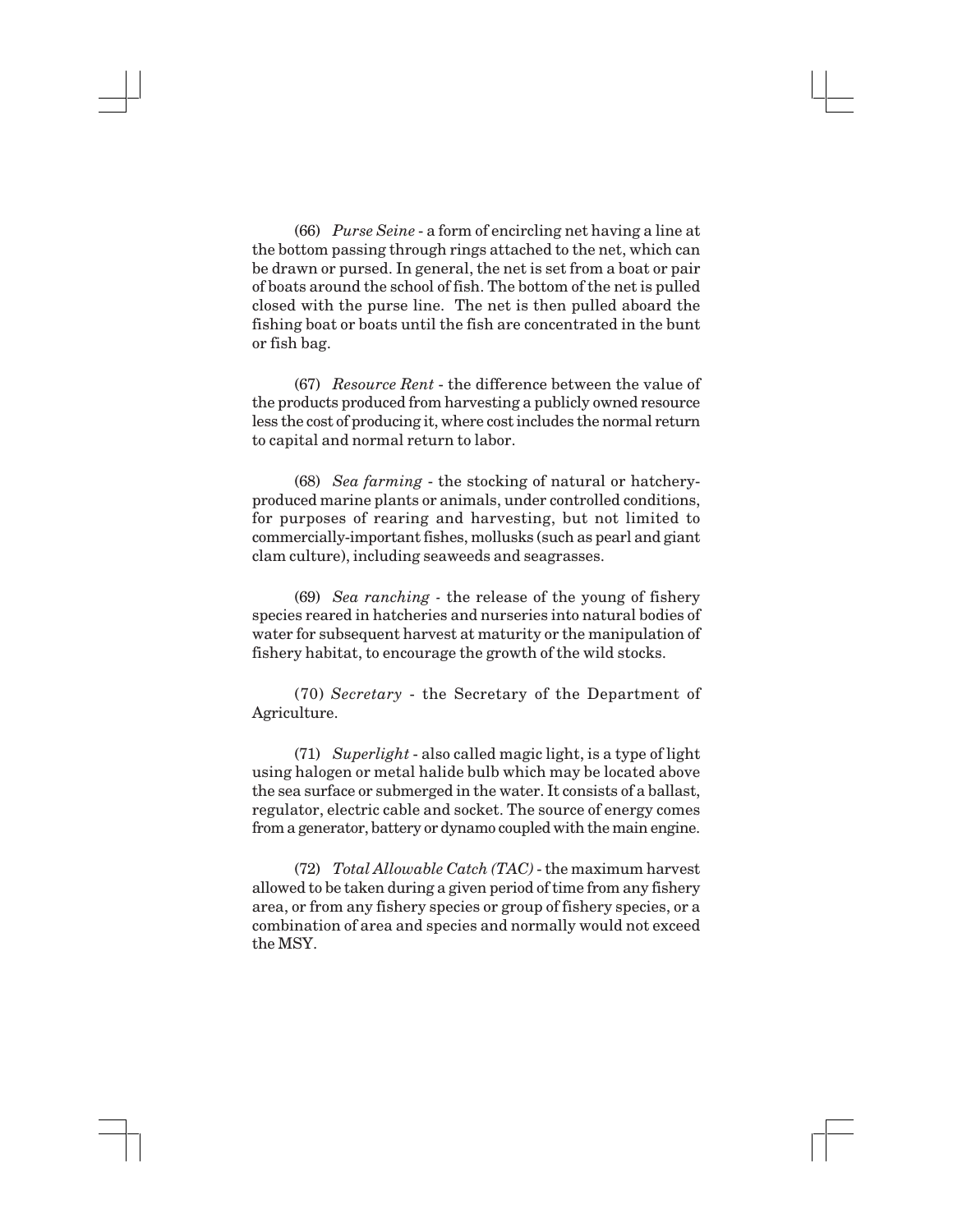(66) *Purse Seine* - a form of encircling net having a line at the bottom passing through rings attached to the net, which can be drawn or pursed. In general, the net is set from a boat or pair of boats around the school of fish. The bottom of the net is pulled closed with the purse line. The net is then pulled aboard the fishing boat or boats until the fish are concentrated in the bunt or fish bag.

(67) *Resource Rent* - the difference between the value of the products produced from harvesting a publicly owned resource less the cost of producing it, where cost includes the normal return to capital and normal return to labor.

(68) *Sea farming* - the stocking of natural or hatcheryproduced marine plants or animals, under controlled conditions, for purposes of rearing and harvesting, but not limited to commercially-important fishes, mollusks (such as pearl and giant clam culture), including seaweeds and seagrasses.

(69) *Sea ranching -* the release of the young of fishery species reared in hatcheries and nurseries into natural bodies of water for subsequent harvest at maturity or the manipulation of fishery habitat, to encourage the growth of the wild stocks.

(70) *Secretary* - the Secretary of the Department of Agriculture.

(71) *Superlight* - also called magic light, is a type of light using halogen or metal halide bulb which may be located above the sea surface or submerged in the water. It consists of a ballast, regulator, electric cable and socket. The source of energy comes from a generator, battery or dynamo coupled with the main engine.

(72) *Total Allowable Catch (TAC)* - the maximum harvest allowed to be taken during a given period of time from any fishery area, or from any fishery species or group of fishery species, or a combination of area and species and normally would not exceed the MSY.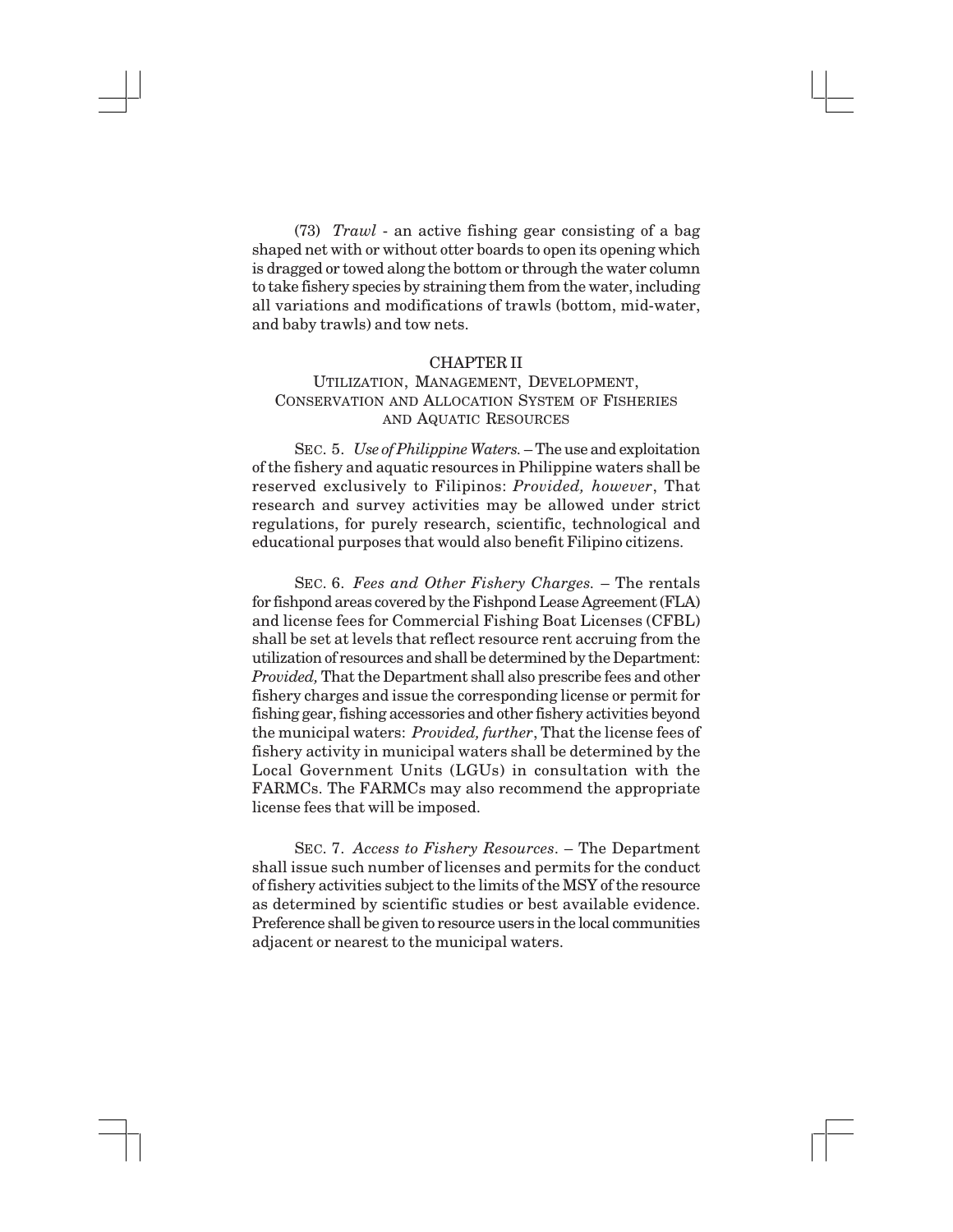(73) *Trawl* - an active fishing gear consisting of a bag shaped net with or without otter boards to open its opening which is dragged or towed along the bottom or through the water column to take fishery species by straining them from the water, including all variations and modifications of trawls (bottom, mid-water, and baby trawls) and tow nets.

#### CHAPTER II

# UTILIZATION, MANAGEMENT, DEVELOPMENT, CONSERVATION AND ALLOCATION SYSTEM OF FISHERIES AND AQUATIC RESOURCES

SEC. 5. *Use of Philippine Waters.* – The use and exploitation of the fishery and aquatic resources in Philippine waters shall be reserved exclusively to Filipinos: *Provided, however*, That research and survey activities may be allowed under strict regulations, for purely research, scientific, technological and educational purposes that would also benefit Filipino citizens.

SEC. 6. *Fees and Other Fishery Charges.* – The rentals for fishpond areas covered by the Fishpond Lease Agreement (FLA) and license fees for Commercial Fishing Boat Licenses (CFBL) shall be set at levels that reflect resource rent accruing from the utilization of resources and shall be determined by the Department: *Provided,* That the Department shall also prescribe fees and other fishery charges and issue the corresponding license or permit for fishing gear, fishing accessories and other fishery activities beyond the municipal waters: *Provided, further*, That the license fees of fishery activity in municipal waters shall be determined by the Local Government Units (LGUs) in consultation with the FARMCs. The FARMCs may also recommend the appropriate license fees that will be imposed.

SEC. 7. *Access to Fishery Resources*. – The Department shall issue such number of licenses and permits for the conduct of fishery activities subject to the limits of the MSY of the resource as determined by scientific studies or best available evidence. Preference shall be given to resource users in the local communities adjacent or nearest to the municipal waters.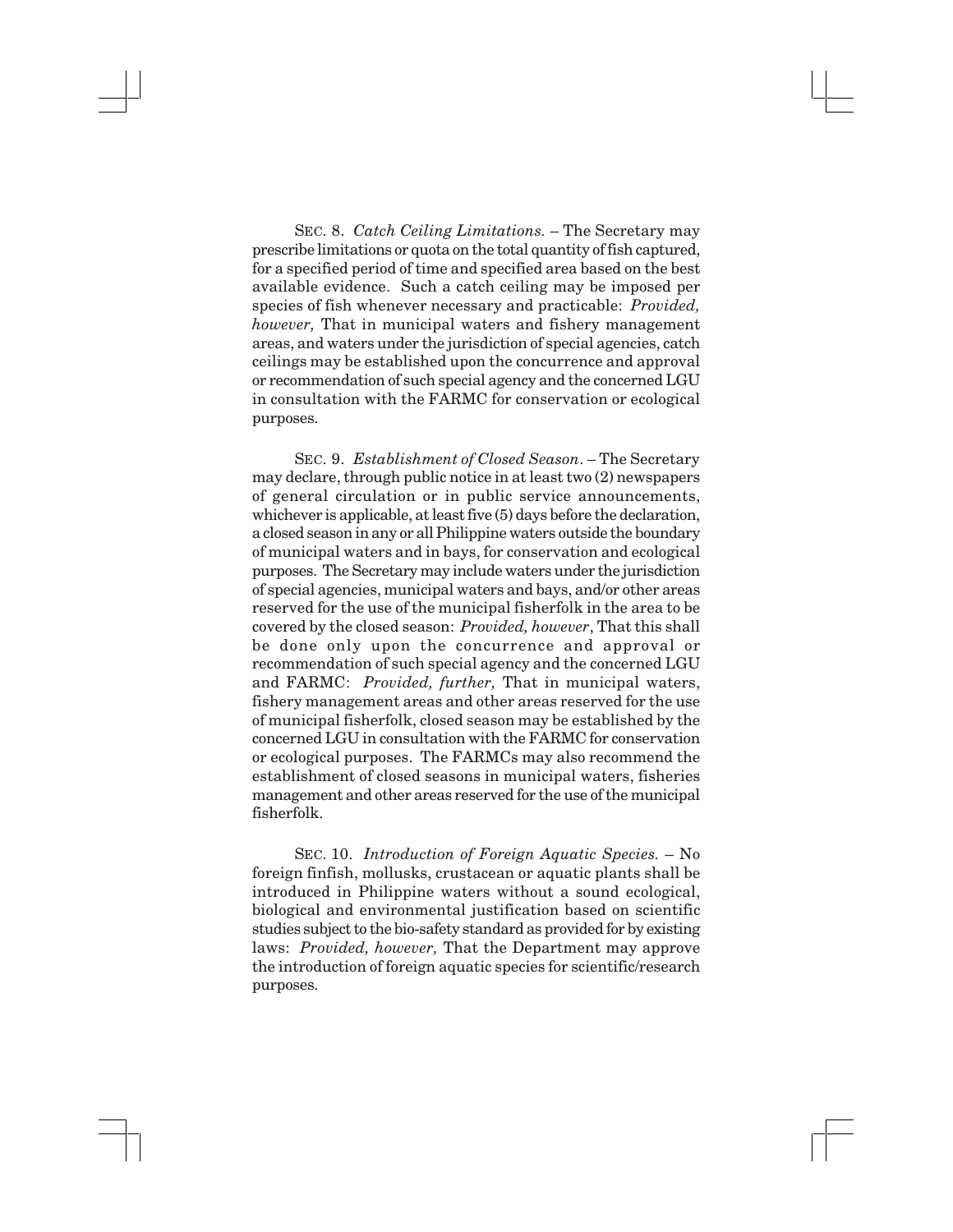SEC. 8. *Catch Ceiling Limitations.* – The Secretary may prescribe limitations or quota on the total quantity of fish captured, for a specified period of time and specified area based on the best available evidence. Such a catch ceiling may be imposed per species of fish whenever necessary and practicable: *Provided, however,* That in municipal waters and fishery management areas, and waters under the jurisdiction of special agencies, catch ceilings may be established upon the concurrence and approval or recommendation of such special agency and the concerned LGU in consultation with the FARMC for conservation or ecological purposes.

SEC. 9. *Establishment of Closed Season*. – The Secretary may declare, through public notice in at least two (2) newspapers of general circulation or in public service announcements, whichever is applicable, at least five (5) days before the declaration, a closed season in any or all Philippine waters outside the boundary of municipal waters and in bays, for conservation and ecological purposes. The Secretary may include waters under the jurisdiction of special agencies, municipal waters and bays, and/or other areas reserved for the use of the municipal fisherfolk in the area to be covered by the closed season: *Provided, however*, That this shall be done only upon the concurrence and approval or recommendation of such special agency and the concerned LGU and FARMC: *Provided, further,* That in municipal waters, fishery management areas and other areas reserved for the use of municipal fisherfolk, closed season may be established by the concerned LGU in consultation with the FARMC for conservation or ecological purposes. The FARMCs may also recommend the establishment of closed seasons in municipal waters, fisheries management and other areas reserved for the use of the municipal fisherfolk.

SEC. 10. *Introduction of Foreign Aquatic Species.* – No foreign finfish, mollusks, crustacean or aquatic plants shall be introduced in Philippine waters without a sound ecological, biological and environmental justification based on scientific studies subject to the bio-safety standard as provided for by existing laws: *Provided, however,* That the Department may approve the introduction of foreign aquatic species for scientific/research purposes.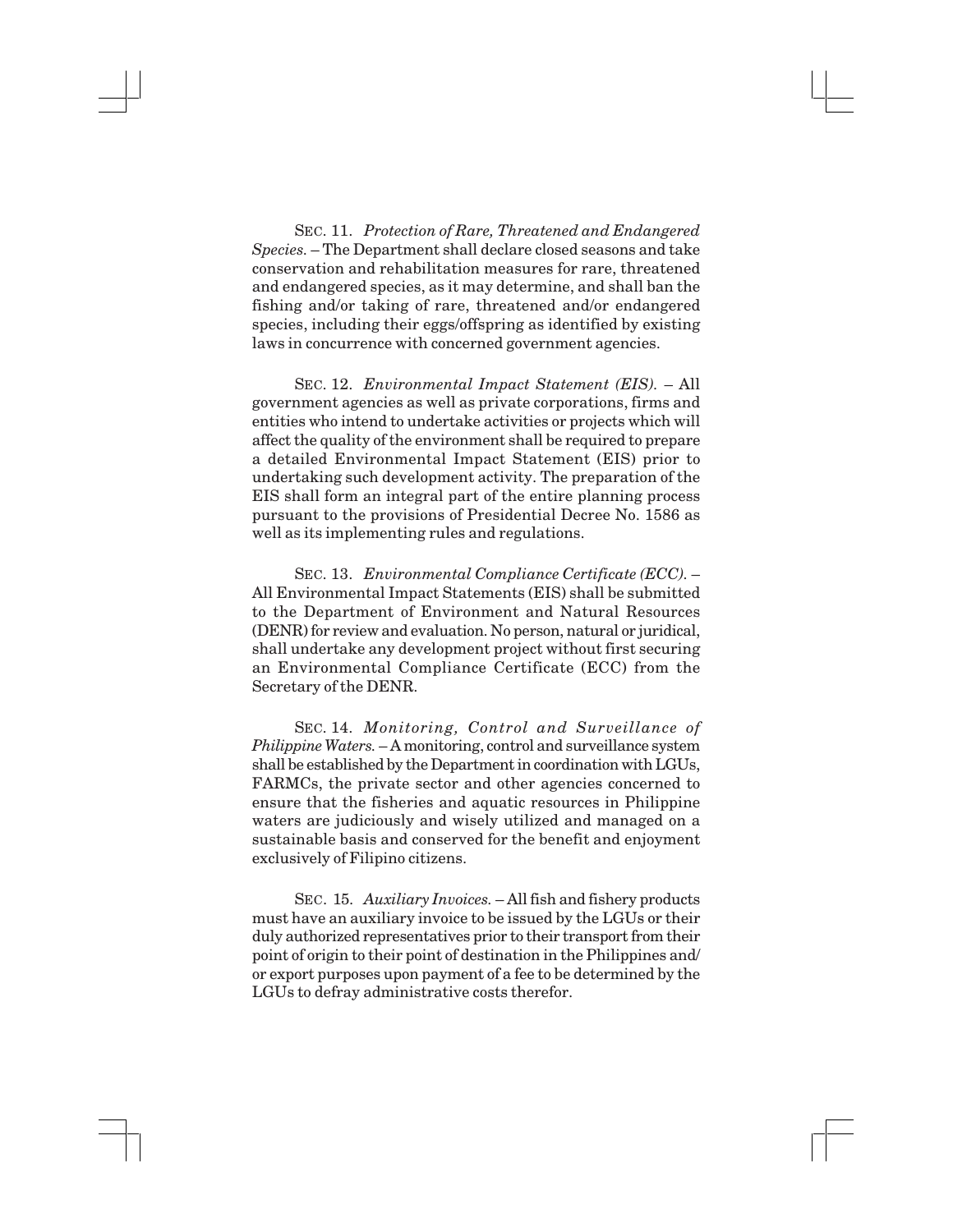SEC. 11. *Protection of Rare, Threatened and Endangered Species.* – The Department shall declare closed seasons and take conservation and rehabilitation measures for rare, threatened and endangered species, as it may determine, and shall ban the fishing and/or taking of rare, threatened and/or endangered species, including their eggs/offspring as identified by existing laws in concurrence with concerned government agencies.

SEC. 12. *Environmental Impact Statement (EIS).* – All government agencies as well as private corporations, firms and entities who intend to undertake activities or projects which will affect the quality of the environment shall be required to prepare a detailed Environmental Impact Statement (EIS) prior to undertaking such development activity. The preparation of the EIS shall form an integral part of the entire planning process pursuant to the provisions of Presidential Decree No. 1586 as well as its implementing rules and regulations.

SEC. 13. *Environmental Compliance Certificate (ECC).* – All Environmental Impact Statements (EIS) shall be submitted to the Department of Environment and Natural Resources (DENR) for review and evaluation. No person, natural or juridical, shall undertake any development project without first securing an Environmental Compliance Certificate (ECC) from the Secretary of the DENR.

SEC. 14. *Monitoring, Control and Surveillance of Philippine Waters.* – A monitoring, control and surveillance system shall be established by the Department in coordination with LGUs, FARMCs, the private sector and other agencies concerned to ensure that the fisheries and aquatic resources in Philippine waters are judiciously and wisely utilized and managed on a sustainable basis and conserved for the benefit and enjoyment exclusively of Filipino citizens.

SEC. 15. *Auxiliary Invoices.* – All fish and fishery products must have an auxiliary invoice to be issued by the LGUs or their duly authorized representatives prior to their transport from their point of origin to their point of destination in the Philippines and/ or export purposes upon payment of a fee to be determined by the LGUs to defray administrative costs therefor.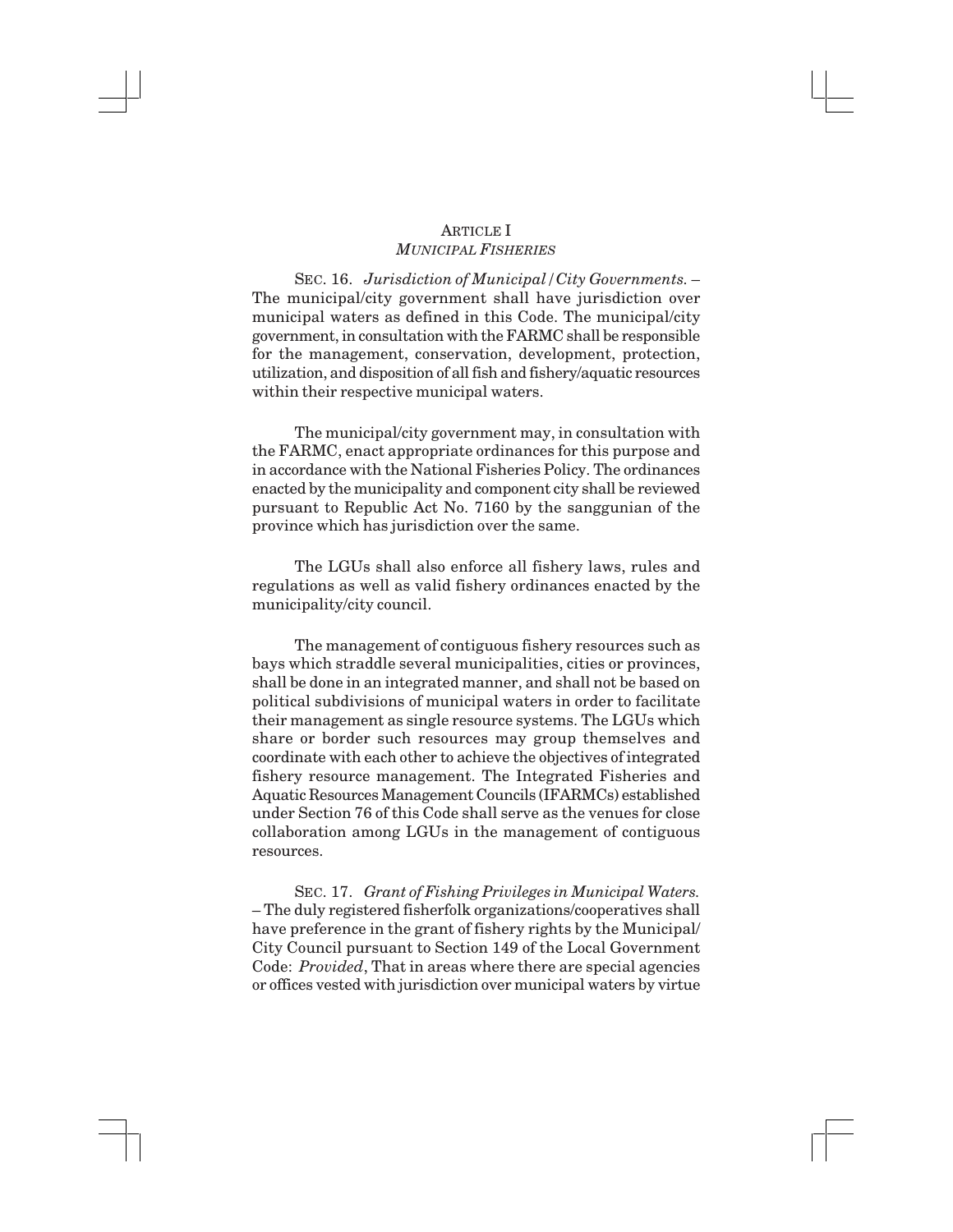## ARTICLE I *MUNICIPAL FISHERIES*

SEC. 16. *Jurisdiction of Municipal/City Governments.* – The municipal/city government shall have jurisdiction over municipal waters as defined in this Code. The municipal/city government, in consultation with the FARMC shall be responsible for the management, conservation, development, protection, utilization, and disposition of all fish and fishery/aquatic resources within their respective municipal waters.

The municipal/city government may, in consultation with the FARMC, enact appropriate ordinances for this purpose and in accordance with the National Fisheries Policy. The ordinances enacted by the municipality and component city shall be reviewed pursuant to Republic Act No. 7160 by the sanggunian of the province which has jurisdiction over the same.

The LGUs shall also enforce all fishery laws, rules and regulations as well as valid fishery ordinances enacted by the municipality/city council.

The management of contiguous fishery resources such as bays which straddle several municipalities, cities or provinces, shall be done in an integrated manner, and shall not be based on political subdivisions of municipal waters in order to facilitate their management as single resource systems. The LGUs which share or border such resources may group themselves and coordinate with each other to achieve the objectives of integrated fishery resource management. The Integrated Fisheries and Aquatic Resources Management Councils (IFARMCs) established under Section 76 of this Code shall serve as the venues for close collaboration among LGUs in the management of contiguous resources.

SEC. 17. *Grant of Fishing Privileges in Municipal Waters.* – The duly registered fisherfolk organizations/cooperatives shall have preference in the grant of fishery rights by the Municipal/ City Council pursuant to Section 149 of the Local Government Code: *Provided*, That in areas where there are special agencies or offices vested with jurisdiction over municipal waters by virtue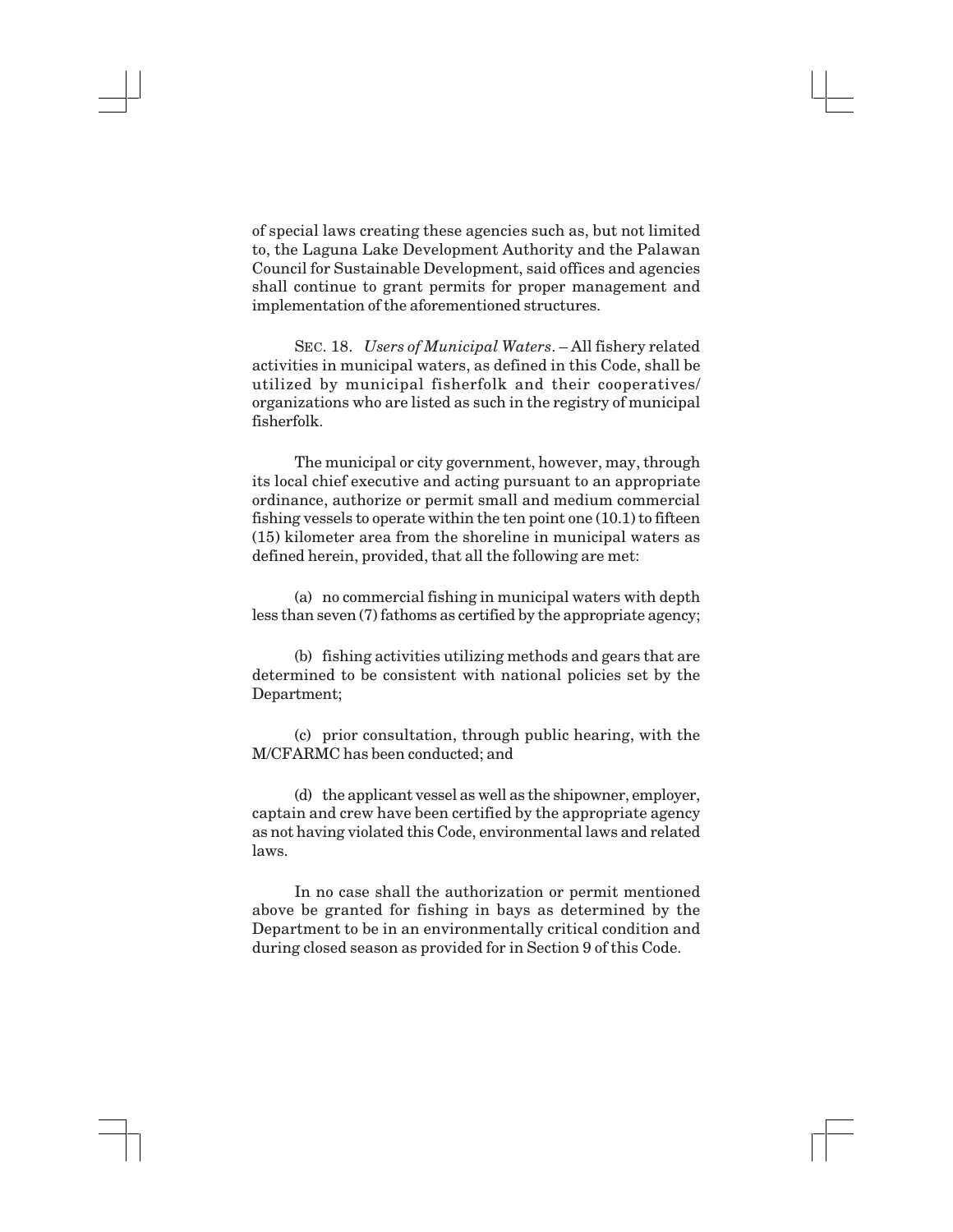of special laws creating these agencies such as, but not limited to, the Laguna Lake Development Authority and the Palawan Council for Sustainable Development, said offices and agencies shall continue to grant permits for proper management and implementation of the aforementioned structures.

SEC. 18. *Users of Municipal Waters*. – All fishery related activities in municipal waters, as defined in this Code, shall be utilized by municipal fisherfolk and their cooperatives/ organizations who are listed as such in the registry of municipal fisherfolk.

The municipal or city government, however, may, through its local chief executive and acting pursuant to an appropriate ordinance, authorize or permit small and medium commercial fishing vessels to operate within the ten point one (10.1) to fifteen (15) kilometer area from the shoreline in municipal waters as defined herein, provided, that all the following are met:

(a) no commercial fishing in municipal waters with depth less than seven (7) fathoms as certified by the appropriate agency;

(b) fishing activities utilizing methods and gears that are determined to be consistent with national policies set by the Department;

(c) prior consultation, through public hearing, with the M/CFARMC has been conducted; and

(d) the applicant vessel as well as the shipowner, employer, captain and crew have been certified by the appropriate agency as not having violated this Code, environmental laws and related laws.

In no case shall the authorization or permit mentioned above be granted for fishing in bays as determined by the Department to be in an environmentally critical condition and during closed season as provided for in Section 9 of this Code.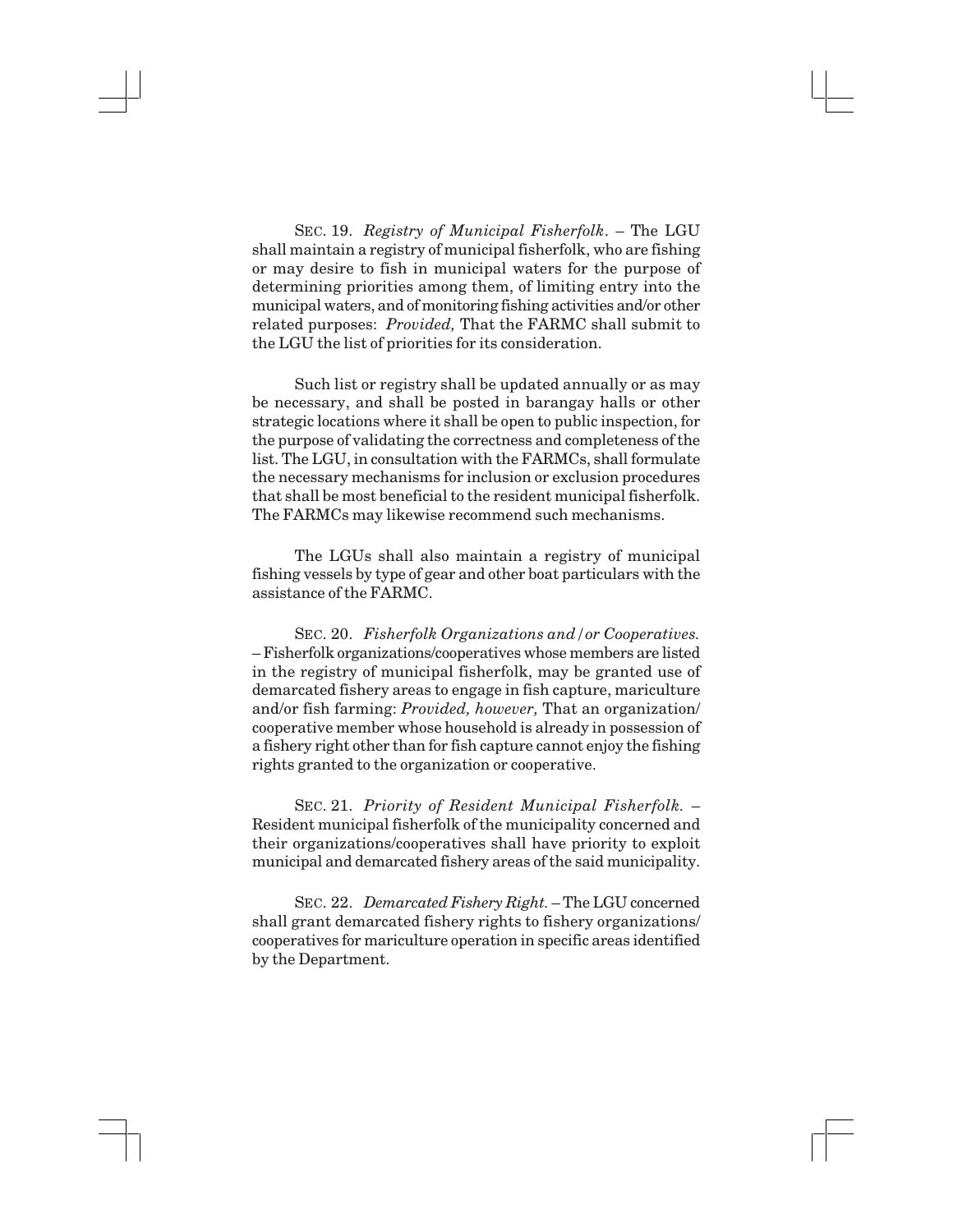SEC. 19. *Registry of Municipal Fisherfolk*. – The LGU shall maintain a registry of municipal fisherfolk, who are fishing or may desire to fish in municipal waters for the purpose of determining priorities among them, of limiting entry into the municipal waters, and of monitoring fishing activities and/or other related purposes: *Provided,* That the FARMC shall submit to the LGU the list of priorities for its consideration.

Such list or registry shall be updated annually or as may be necessary, and shall be posted in barangay halls or other strategic locations where it shall be open to public inspection, for the purpose of validating the correctness and completeness of the list. The LGU, in consultation with the FARMCs, shall formulate the necessary mechanisms for inclusion or exclusion procedures that shall be most beneficial to the resident municipal fisherfolk. The FARMCs may likewise recommend such mechanisms.

The LGUs shall also maintain a registry of municipal fishing vessels by type of gear and other boat particulars with the assistance of the FARMC.

SEC. 20. *Fisherfolk Organizations and/or Cooperatives.* – Fisherfolk organizations/cooperatives whose members are listed in the registry of municipal fisherfolk, may be granted use of demarcated fishery areas to engage in fish capture, mariculture and/or fish farming: *Provided, however,* That an organization/ cooperative member whose household is already in possession of a fishery right other than for fish capture cannot enjoy the fishing rights granted to the organization or cooperative.

SEC. 21. *Priority of Resident Municipal Fisherfolk.* – Resident municipal fisherfolk of the municipality concerned and their organizations/cooperatives shall have priority to exploit municipal and demarcated fishery areas of the said municipality.

SEC. 22. *Demarcated Fishery Right.* – The LGU concerned shall grant demarcated fishery rights to fishery organizations/ cooperatives for mariculture operation in specific areas identified by the Department.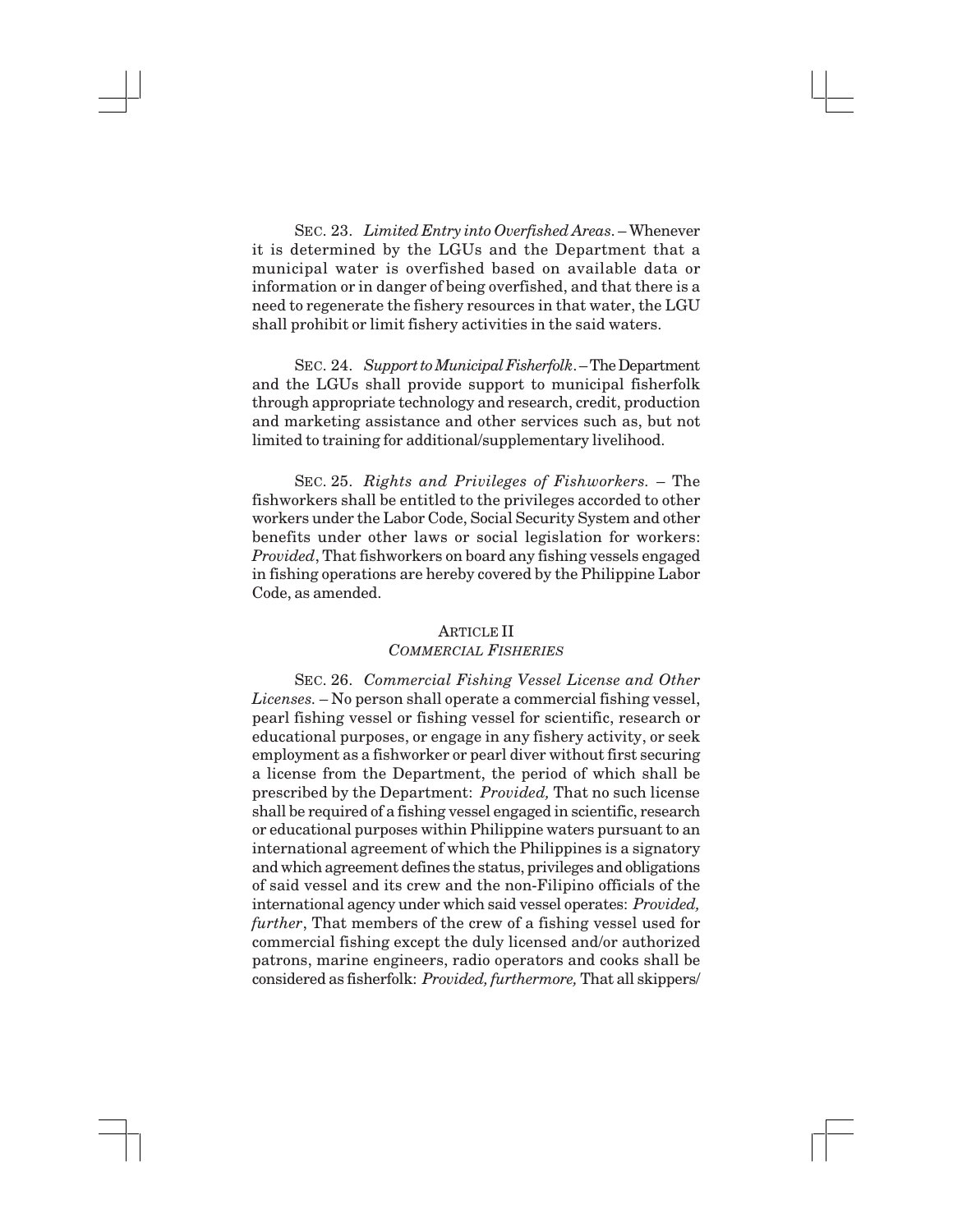SEC. 23. *Limited Entry into Overfished Areas*. – Whenever it is determined by the LGUs and the Department that a municipal water is overfished based on available data or information or in danger of being overfished, and that there is a need to regenerate the fishery resources in that water, the LGU shall prohibit or limit fishery activities in the said waters.

SEC. 24. *Support to Municipal Fisherfolk*. – The Department and the LGUs shall provide support to municipal fisherfolk through appropriate technology and research, credit, production and marketing assistance and other services such as, but not limited to training for additional/supplementary livelihood.

SEC. 25. *Rights and Privileges of Fishworkers.* – The fishworkers shall be entitled to the privileges accorded to other workers under the Labor Code, Social Security System and other benefits under other laws or social legislation for workers: *Provided*, That fishworkers on board any fishing vessels engaged in fishing operations are hereby covered by the Philippine Labor Code, as amended.

#### ARTICLE II *COMMERCIAL FISHERIES*

SEC. 26. *Commercial Fishing Vessel License and Other Licenses.* – No person shall operate a commercial fishing vessel, pearl fishing vessel or fishing vessel for scientific, research or educational purposes, or engage in any fishery activity, or seek employment as a fishworker or pearl diver without first securing a license from the Department, the period of which shall be prescribed by the Department: *Provided,* That no such license shall be required of a fishing vessel engaged in scientific, research or educational purposes within Philippine waters pursuant to an international agreement of which the Philippines is a signatory and which agreement defines the status, privileges and obligations of said vessel and its crew and the non-Filipino officials of the international agency under which said vessel operates: *Provided, further*, That members of the crew of a fishing vessel used for commercial fishing except the duly licensed and/or authorized patrons, marine engineers, radio operators and cooks shall be considered as fisherfolk: *Provided, furthermore,* That all skippers/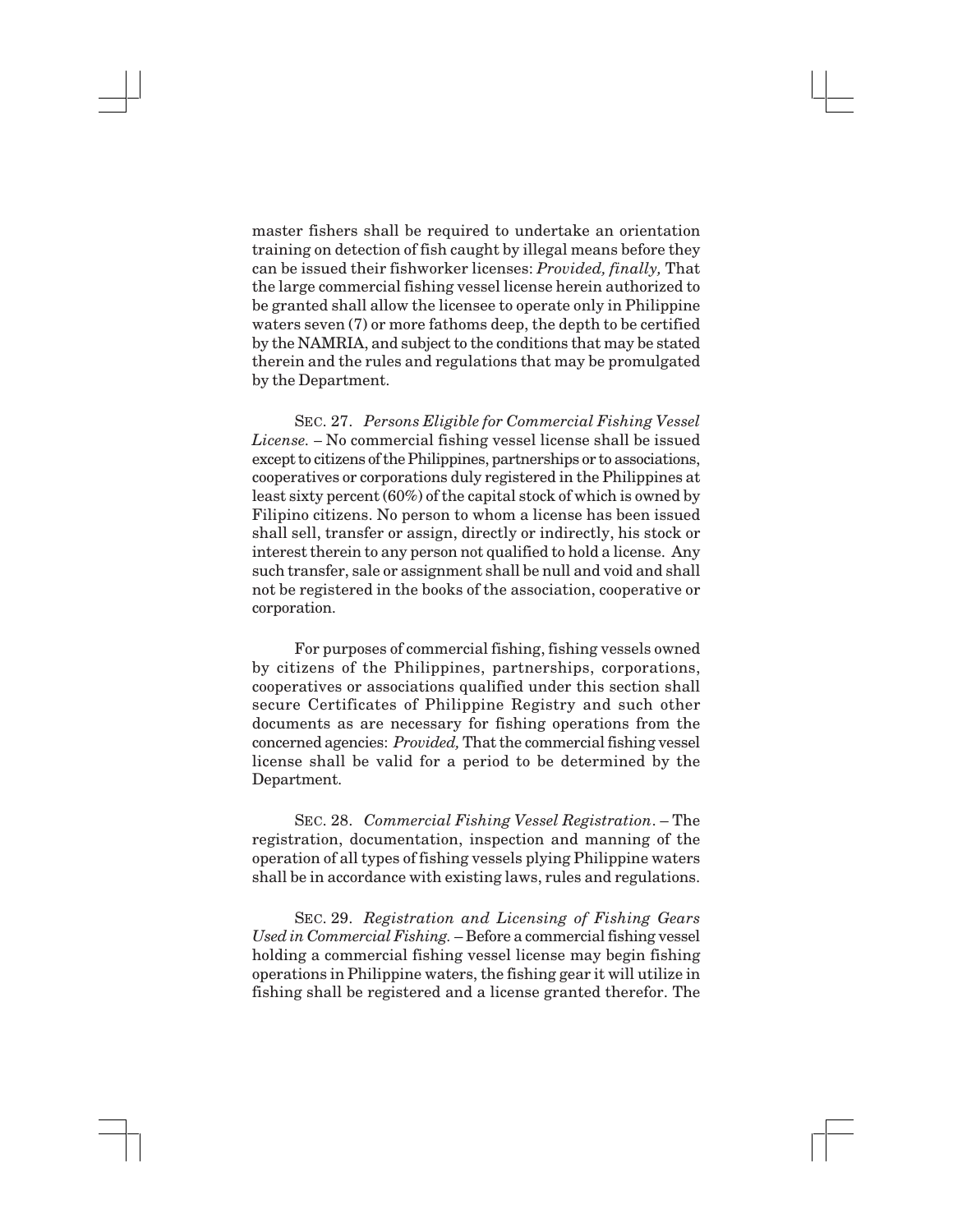master fishers shall be required to undertake an orientation training on detection of fish caught by illegal means before they can be issued their fishworker licenses: *Provided, finally,* That the large commercial fishing vessel license herein authorized to be granted shall allow the licensee to operate only in Philippine waters seven (7) or more fathoms deep, the depth to be certified by the NAMRIA, and subject to the conditions that may be stated therein and the rules and regulations that may be promulgated by the Department.

SEC. 27. *Persons Eligible for Commercial Fishing Vessel License. –* No commercial fishing vessel license shall be issued except to citizens of the Philippines, partnerships or to associations, cooperatives or corporations duly registered in the Philippines at least sixty percent (60%) of the capital stock of which is owned by Filipino citizens. No person to whom a license has been issued shall sell, transfer or assign, directly or indirectly, his stock or interest therein to any person not qualified to hold a license. Any such transfer, sale or assignment shall be null and void and shall not be registered in the books of the association, cooperative or corporation.

For purposes of commercial fishing, fishing vessels owned by citizens of the Philippines, partnerships, corporations, cooperatives or associations qualified under this section shall secure Certificates of Philippine Registry and such other documents as are necessary for fishing operations from the concerned agencies: *Provided,* That the commercial fishing vessel license shall be valid for a period to be determined by the Department.

SEC. 28. *Commercial Fishing Vessel Registration*. – The registration, documentation, inspection and manning of the operation of all types of fishing vessels plying Philippine waters shall be in accordance with existing laws, rules and regulations.

SEC. 29. *Registration and Licensing of Fishing Gears Used in Commercial Fishing.* – Before a commercial fishing vessel holding a commercial fishing vessel license may begin fishing operations in Philippine waters, the fishing gear it will utilize in fishing shall be registered and a license granted therefor. The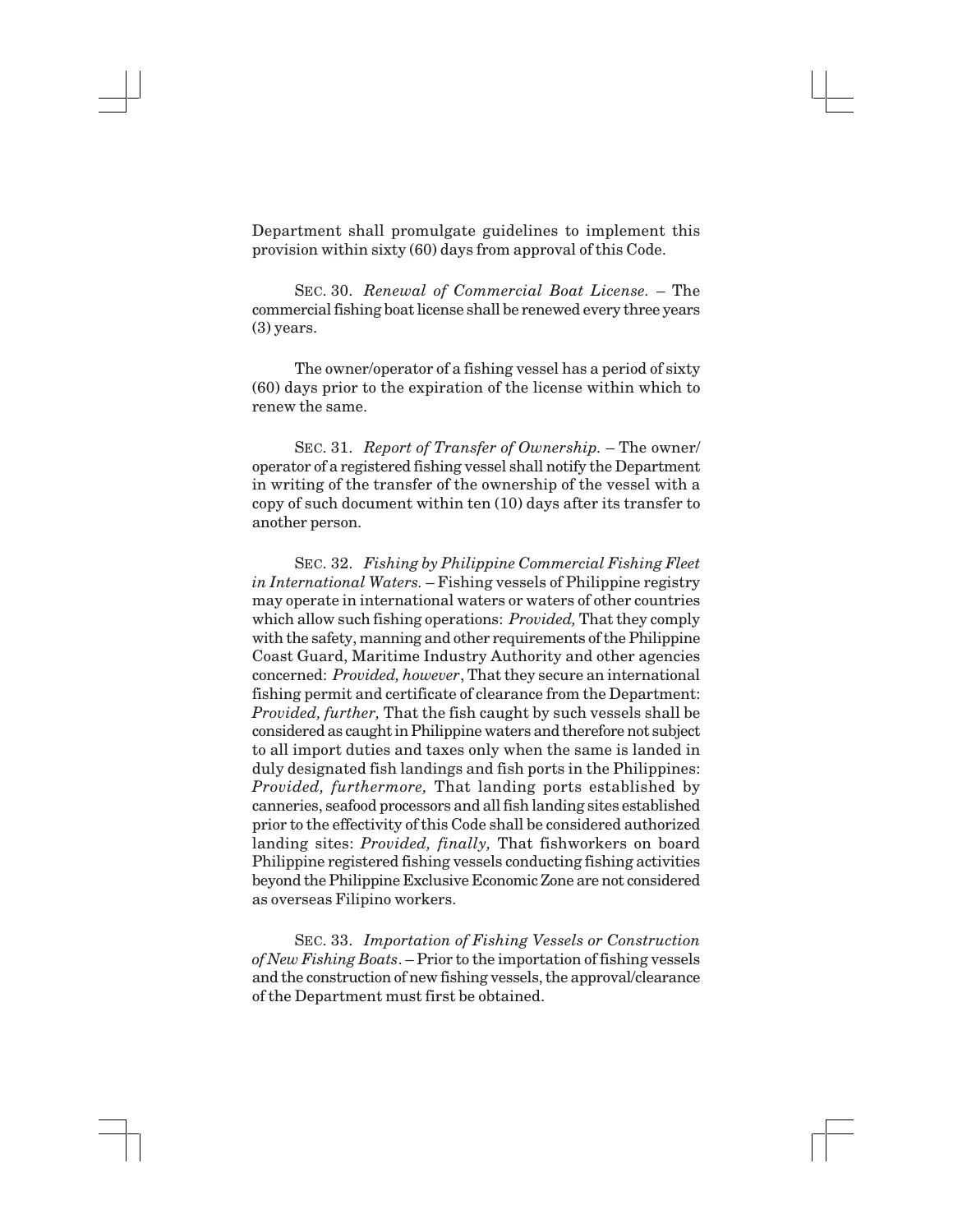Department shall promulgate guidelines to implement this provision within sixty (60) days from approval of this Code.

SEC. 30. *Renewal of Commercial Boat License.* – The commercial fishing boat license shall be renewed every three years (3) years.

The owner/operator of a fishing vessel has a period of sixty (60) days prior to the expiration of the license within which to renew the same.

SEC. 31. *Report of Transfer of Ownership.* – The owner/ operator of a registered fishing vessel shall notify the Department in writing of the transfer of the ownership of the vessel with a copy of such document within ten (10) days after its transfer to another person.

SEC. 32. *Fishing by Philippine Commercial Fishing Fleet in International Waters.* – Fishing vessels of Philippine registry may operate in international waters or waters of other countries which allow such fishing operations: *Provided,* That they comply with the safety, manning and other requirements of the Philippine Coast Guard, Maritime Industry Authority and other agencies concerned: *Provided, however*, That they secure an international fishing permit and certificate of clearance from the Department: *Provided, further,* That the fish caught by such vessels shall be considered as caught in Philippine waters and therefore not subject to all import duties and taxes only when the same is landed in duly designated fish landings and fish ports in the Philippines: *Provided, furthermore,* That landing ports established by canneries, seafood processors and all fish landing sites established prior to the effectivity of this Code shall be considered authorized landing sites: *Provided, finally,* That fishworkers on board Philippine registered fishing vessels conducting fishing activities beyond the Philippine Exclusive Economic Zone are not considered as overseas Filipino workers.

SEC. 33. *Importation of Fishing Vessels or Construction of New Fishing Boats*. – Prior to the importation of fishing vessels and the construction of new fishing vessels, the approval/clearance of the Department must first be obtained.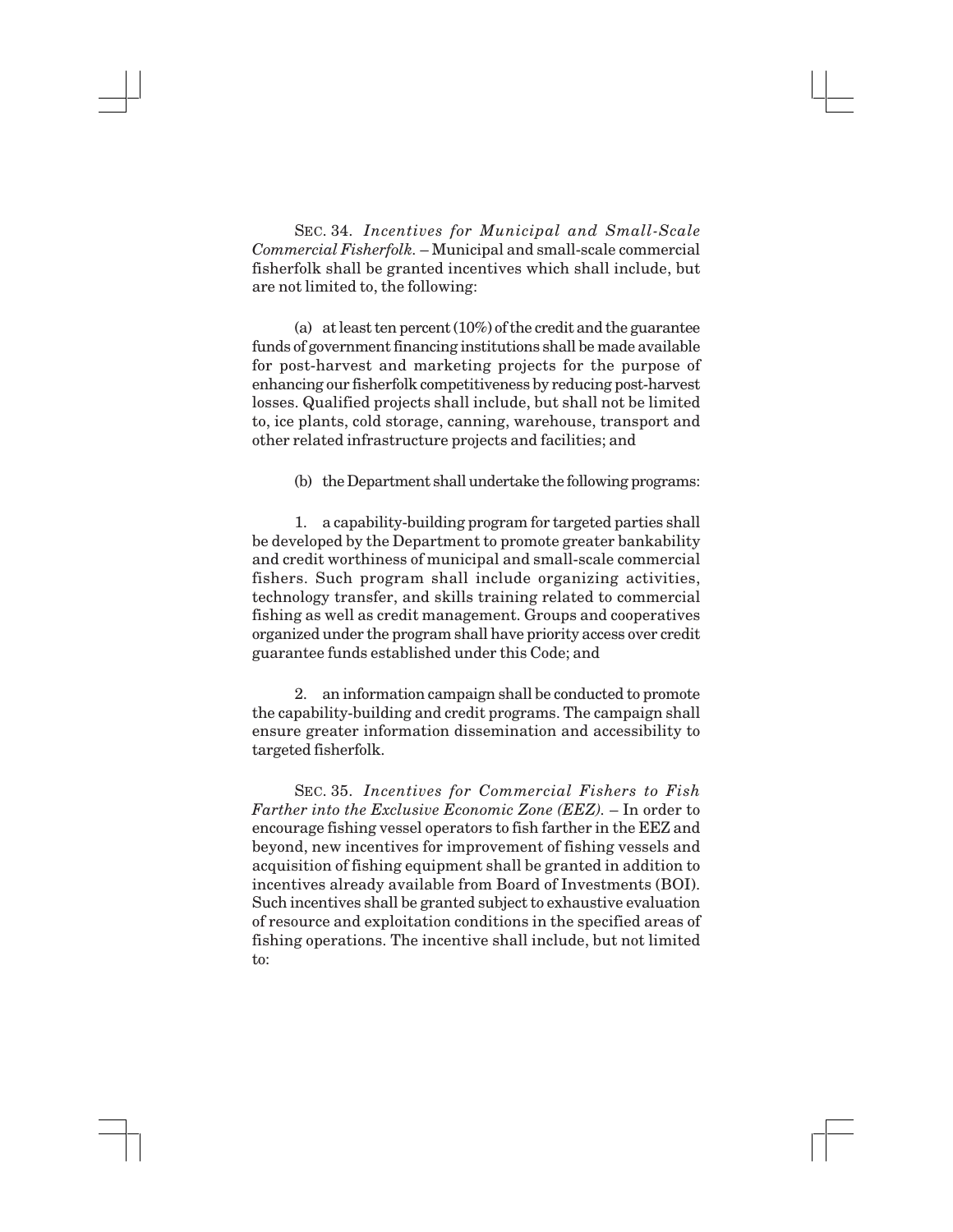SEC. 34. *Incentives for Municipal and Small-Scale Commercial Fisherfolk.* – Municipal and small-scale commercial fisherfolk shall be granted incentives which shall include, but are not limited to, the following:

(a) at least ten percent (10%) of the credit and the guarantee funds of government financing institutions shall be made available for post-harvest and marketing projects for the purpose of enhancing our fisherfolk competitiveness by reducing post-harvest losses. Qualified projects shall include, but shall not be limited to, ice plants, cold storage, canning, warehouse, transport and other related infrastructure projects and facilities; and

(b) the Department shall undertake the following programs:

1. a capability-building program for targeted parties shall be developed by the Department to promote greater bankability and credit worthiness of municipal and small-scale commercial fishers. Such program shall include organizing activities, technology transfer, and skills training related to commercial fishing as well as credit management. Groups and cooperatives organized under the program shall have priority access over credit guarantee funds established under this Code; and

2. an information campaign shall be conducted to promote the capability-building and credit programs. The campaign shall ensure greater information dissemination and accessibility to targeted fisherfolk.

SEC. 35. *Incentives for Commercial Fishers to Fish Farther into the Exclusive Economic Zone (EEZ).* – In order to encourage fishing vessel operators to fish farther in the EEZ and beyond, new incentives for improvement of fishing vessels and acquisition of fishing equipment shall be granted in addition to incentives already available from Board of Investments (BOI). Such incentives shall be granted subject to exhaustive evaluation of resource and exploitation conditions in the specified areas of fishing operations. The incentive shall include, but not limited to: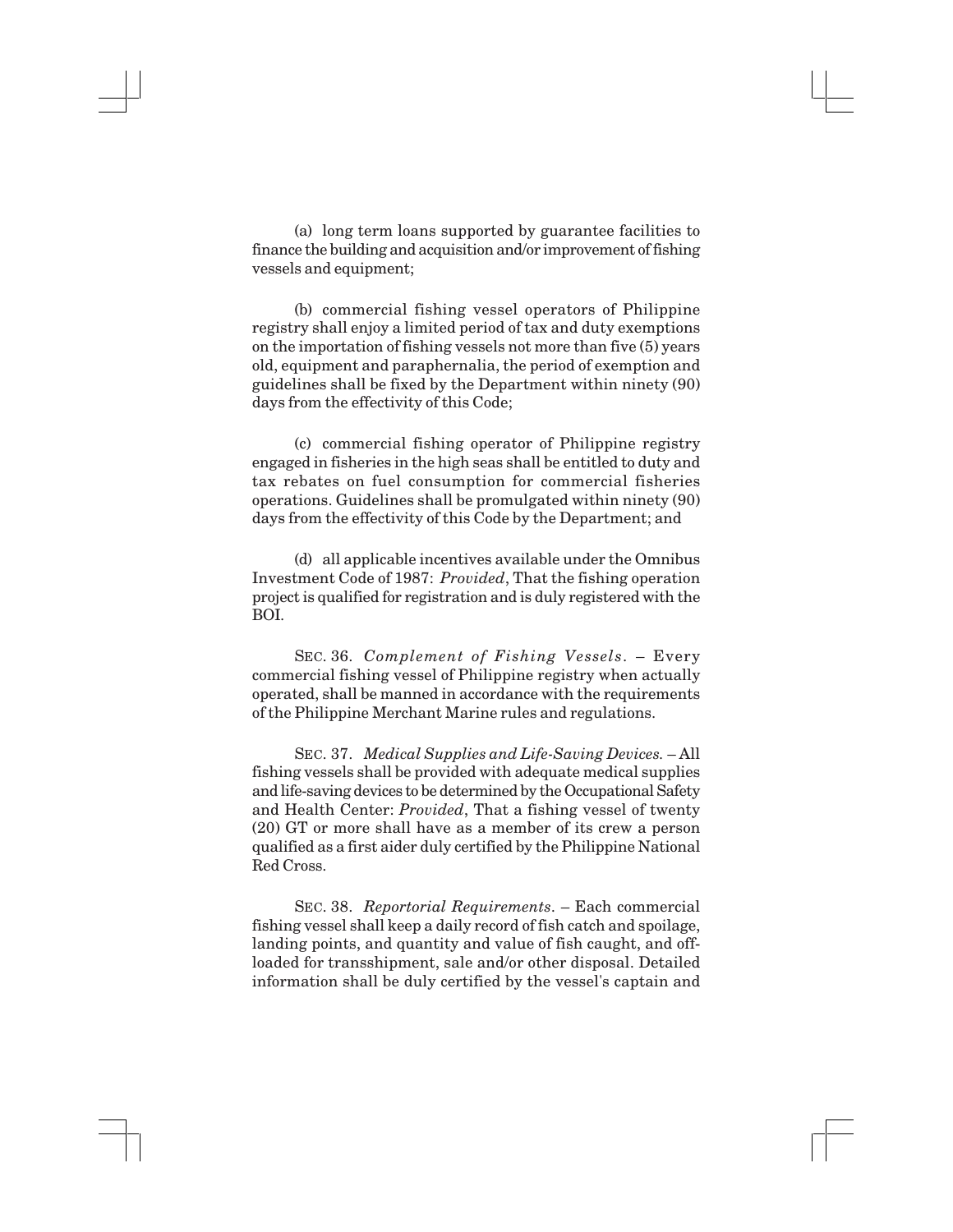(a) long term loans supported by guarantee facilities to finance the building and acquisition and/or improvement of fishing vessels and equipment;

(b) commercial fishing vessel operators of Philippine registry shall enjoy a limited period of tax and duty exemptions on the importation of fishing vessels not more than five (5) years old, equipment and paraphernalia, the period of exemption and guidelines shall be fixed by the Department within ninety (90) days from the effectivity of this Code;

(c) commercial fishing operator of Philippine registry engaged in fisheries in the high seas shall be entitled to duty and tax rebates on fuel consumption for commercial fisheries operations. Guidelines shall be promulgated within ninety (90) days from the effectivity of this Code by the Department; and

(d) all applicable incentives available under the Omnibus Investment Code of 1987: *Provided*, That the fishing operation project is qualified for registration and is duly registered with the BOI.

SEC. 36. *Complement of Fishing Vessels*. – Every commercial fishing vessel of Philippine registry when actually operated, shall be manned in accordance with the requirements of the Philippine Merchant Marine rules and regulations.

SEC. 37. *Medical Supplies and Life-Saving Devices.* – All fishing vessels shall be provided with adequate medical supplies and life-saving devices to be determined by the Occupational Safety and Health Center: *Provided*, That a fishing vessel of twenty (20) GT or more shall have as a member of its crew a person qualified as a first aider duly certified by the Philippine National Red Cross.

SEC. 38. *Reportorial Requirements*. – Each commercial fishing vessel shall keep a daily record of fish catch and spoilage, landing points, and quantity and value of fish caught, and offloaded for transshipment, sale and/or other disposal. Detailed information shall be duly certified by the vessel's captain and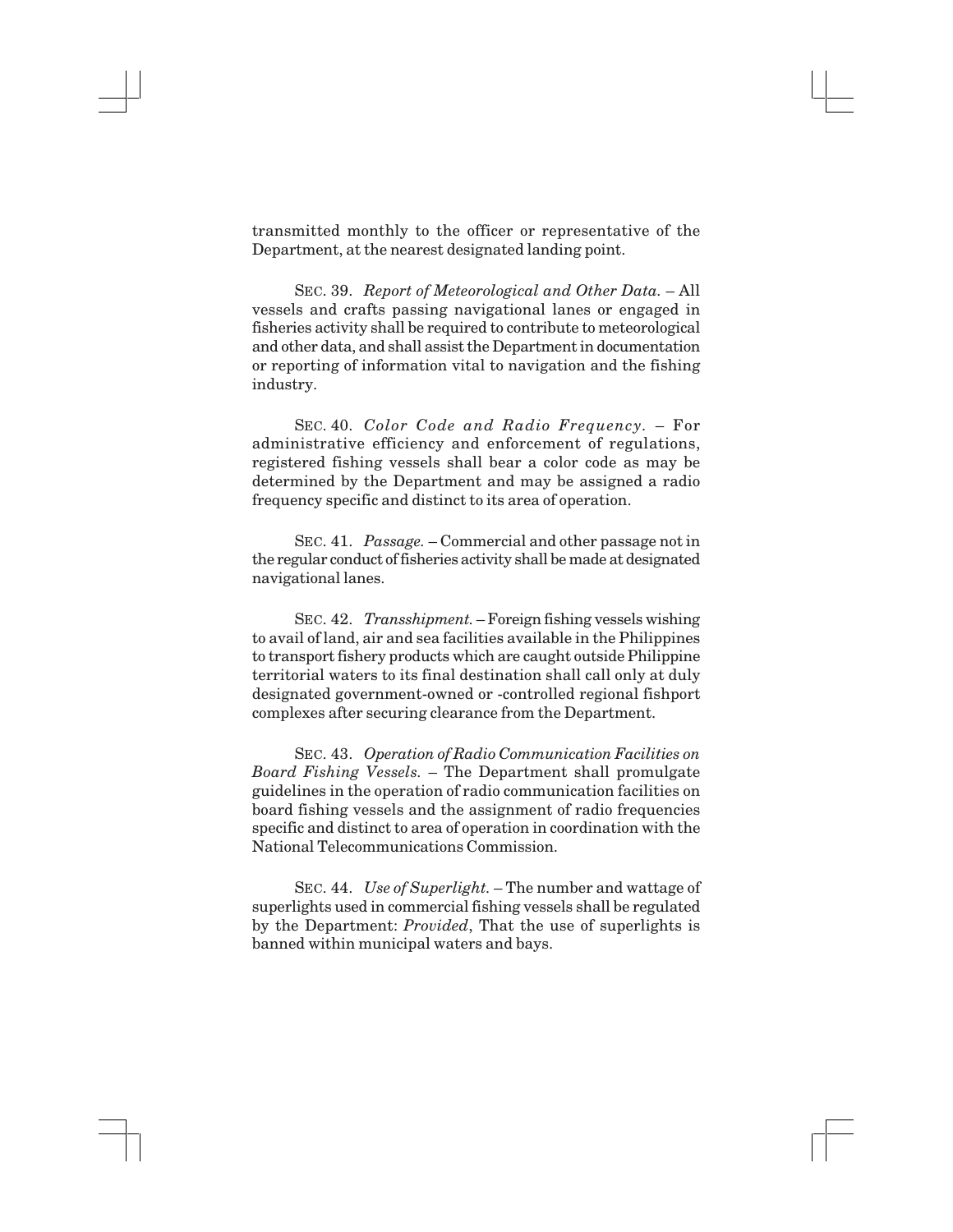transmitted monthly to the officer or representative of the Department, at the nearest designated landing point.

SEC. 39. *Report of Meteorological and Other Data.* – All vessels and crafts passing navigational lanes or engaged in fisheries activity shall be required to contribute to meteorological and other data, and shall assist the Department in documentation or reporting of information vital to navigation and the fishing industry.

SEC. 40. *Color Code and Radio Frequency.* – For administrative efficiency and enforcement of regulations, registered fishing vessels shall bear a color code as may be determined by the Department and may be assigned a radio frequency specific and distinct to its area of operation.

SEC. 41. *Passage.* – Commercial and other passage not in the regular conduct of fisheries activity shall be made at designated navigational lanes.

SEC. 42. *Transshipment.* – Foreign fishing vessels wishing to avail of land, air and sea facilities available in the Philippines to transport fishery products which are caught outside Philippine territorial waters to its final destination shall call only at duly designated government-owned or -controlled regional fishport complexes after securing clearance from the Department.

SEC. 43. *Operation of Radio Communication Facilities on Board Fishing Vessels.* – The Department shall promulgate guidelines in the operation of radio communication facilities on board fishing vessels and the assignment of radio frequencies specific and distinct to area of operation in coordination with the National Telecommunications Commission.

SEC. 44. *Use of Superlight.* – The number and wattage of superlights used in commercial fishing vessels shall be regulated by the Department: *Provided*, That the use of superlights is banned within municipal waters and bays.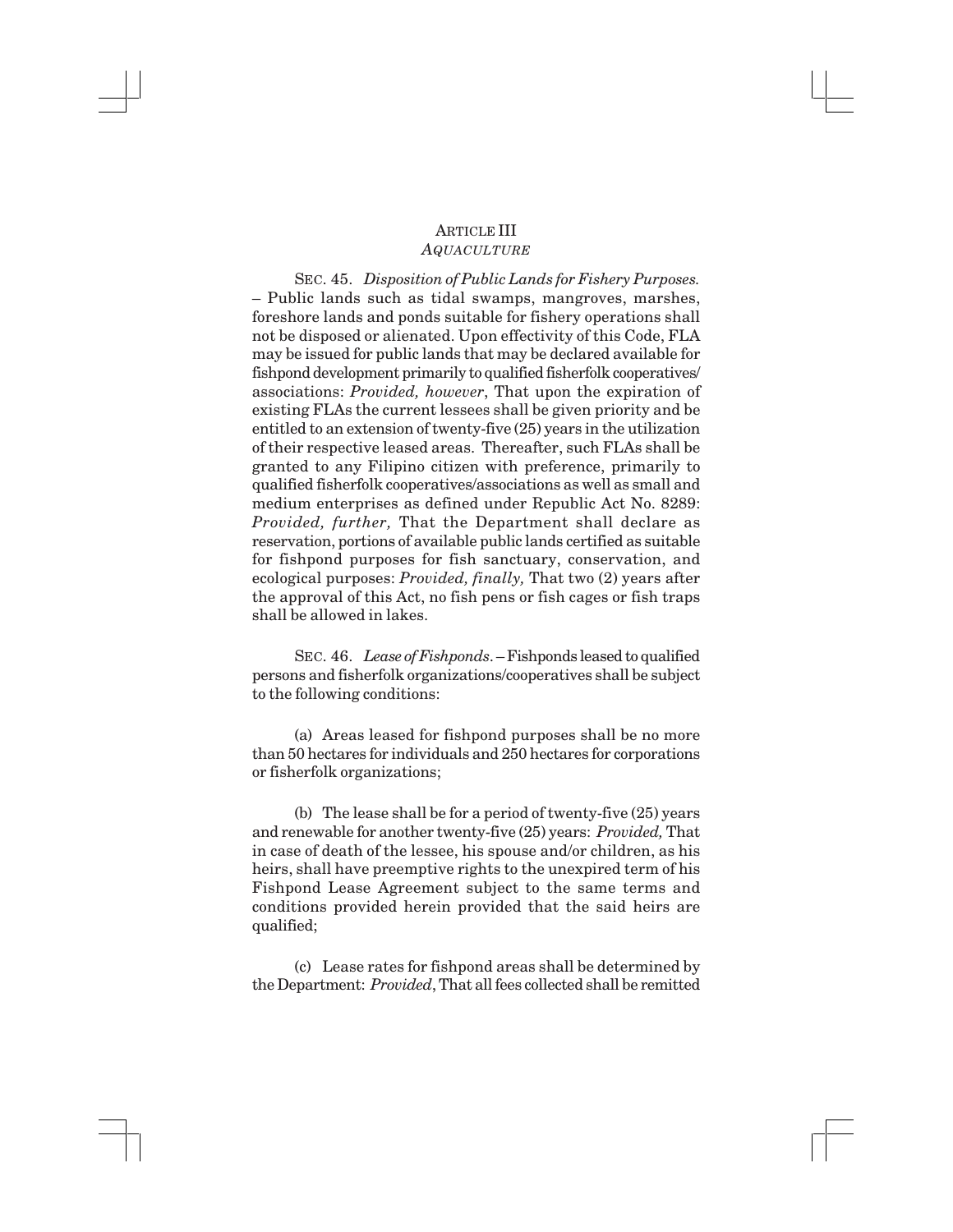# ARTICLE III *AQUACULTURE*

SEC. 45. *Disposition of Public Lands for Fishery Purposes.* – Public lands such as tidal swamps, mangroves, marshes, foreshore lands and ponds suitable for fishery operations shall not be disposed or alienated. Upon effectivity of this Code, FLA may be issued for public lands that may be declared available for fishpond development primarily to qualified fisherfolk cooperatives/ associations: *Provided, however*, That upon the expiration of existing FLAs the current lessees shall be given priority and be entitled to an extension of twenty-five (25) years in the utilization of their respective leased areas. Thereafter, such FLAs shall be granted to any Filipino citizen with preference, primarily to qualified fisherfolk cooperatives/associations as well as small and medium enterprises as defined under Republic Act No. 8289: *Provided, further,* That the Department shall declare as reservation, portions of available public lands certified as suitable for fishpond purposes for fish sanctuary, conservation, and ecological purposes: *Provided, finally,* That two (2) years after the approval of this Act, no fish pens or fish cages or fish traps shall be allowed in lakes.

SEC. 46. *Lease of Fishponds*. – Fishponds leased to qualified persons and fisherfolk organizations/cooperatives shall be subject to the following conditions:

(a) Areas leased for fishpond purposes shall be no more than 50 hectares for individuals and 250 hectares for corporations or fisherfolk organizations;

(b) The lease shall be for a period of twenty-five (25) years and renewable for another twenty-five (25) years: *Provided,* That in case of death of the lessee, his spouse and/or children, as his heirs, shall have preemptive rights to the unexpired term of his Fishpond Lease Agreement subject to the same terms and conditions provided herein provided that the said heirs are qualified;

(c) Lease rates for fishpond areas shall be determined by the Department: *Provided*, That all fees collected shall be remitted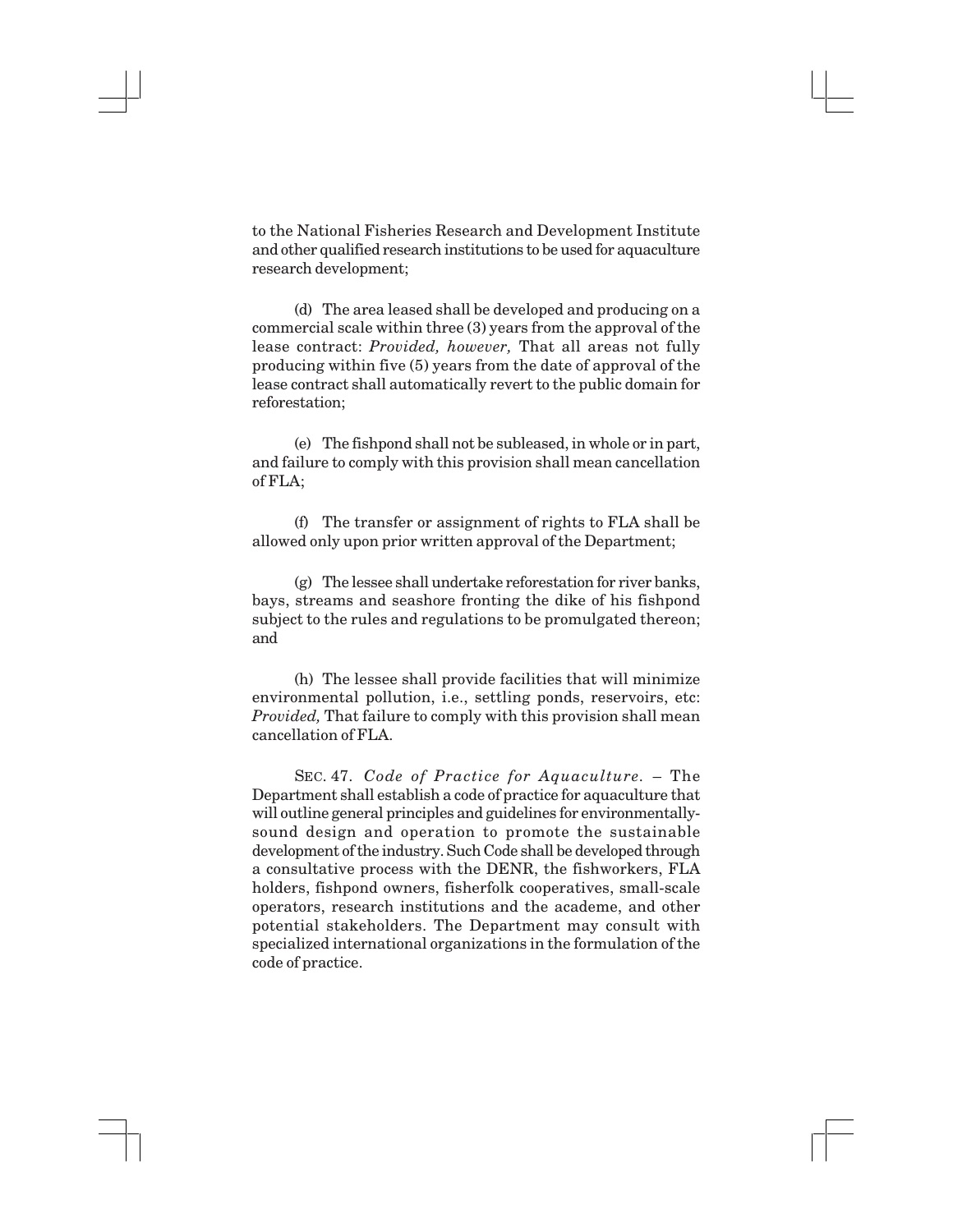to the National Fisheries Research and Development Institute and other qualified research institutions to be used for aquaculture research development;

(d) The area leased shall be developed and producing on a commercial scale within three (3) years from the approval of the lease contract: *Provided, however,* That all areas not fully producing within five (5) years from the date of approval of the lease contract shall automatically revert to the public domain for reforestation;

(e) The fishpond shall not be subleased, in whole or in part, and failure to comply with this provision shall mean cancellation of FLA;

(f) The transfer or assignment of rights to FLA shall be allowed only upon prior written approval of the Department;

(g) The lessee shall undertake reforestation for river banks, bays, streams and seashore fronting the dike of his fishpond subject to the rules and regulations to be promulgated thereon; and

(h) The lessee shall provide facilities that will minimize environmental pollution, i.e., settling ponds, reservoirs, etc: *Provided,* That failure to comply with this provision shall mean cancellation of FLA.

SEC. 47. *Code of Practice for Aquaculture.* – The Department shall establish a code of practice for aquaculture that will outline general principles and guidelines for environmentallysound design and operation to promote the sustainable development of the industry. Such Code shall be developed through a consultative process with the DENR, the fishworkers, FLA holders, fishpond owners, fisherfolk cooperatives, small-scale operators, research institutions and the academe, and other potential stakeholders. The Department may consult with specialized international organizations in the formulation of the code of practice.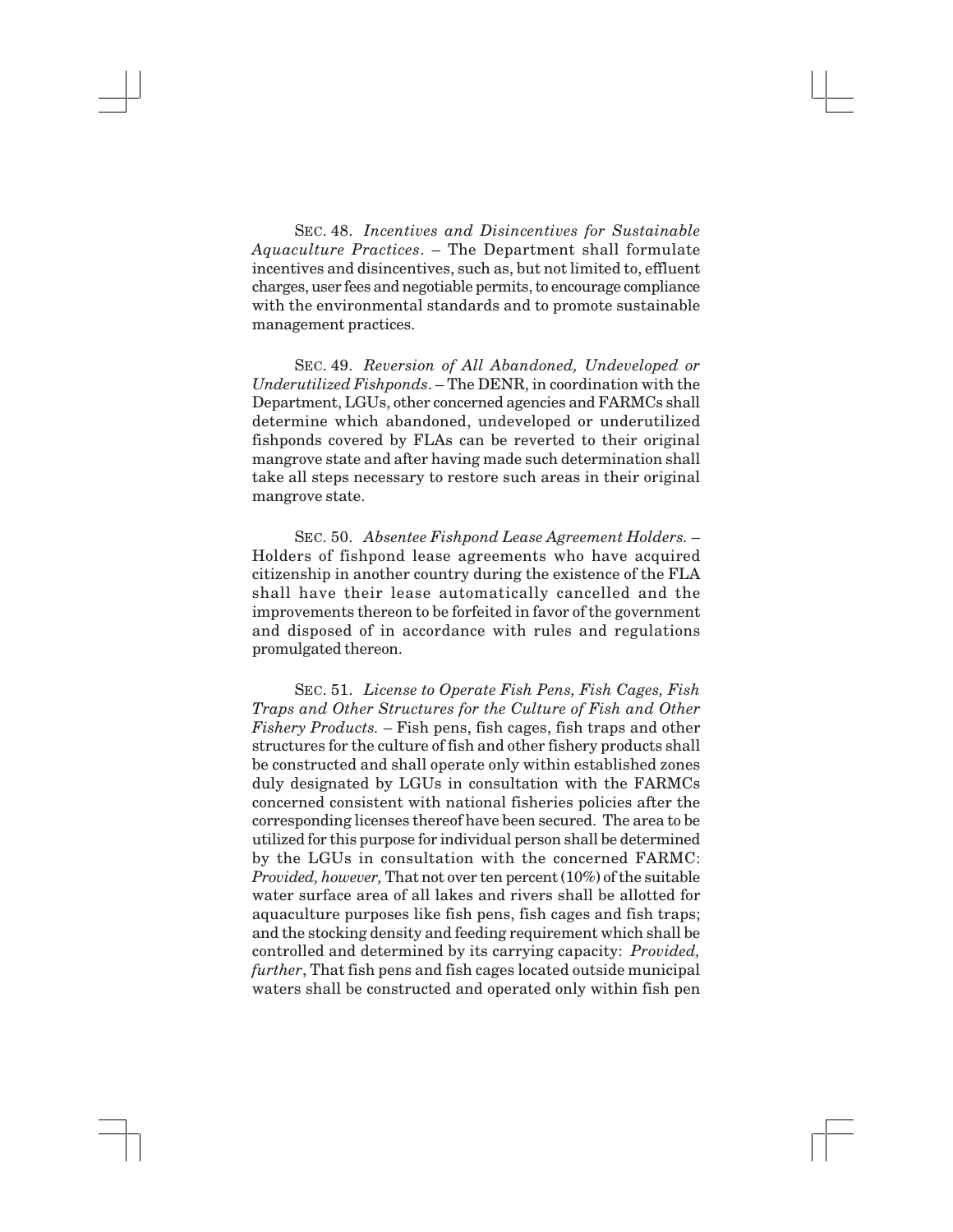SEC. 48. *Incentives and Disincentives for Sustainable Aquaculture Practices*. – The Department shall formulate incentives and disincentives, such as, but not limited to, effluent charges, user fees and negotiable permits, to encourage compliance with the environmental standards and to promote sustainable management practices.

SEC. 49. *Reversion of All Abandoned, Undeveloped or Underutilized Fishponds*. – The DENR, in coordination with the Department, LGUs, other concerned agencies and FARMCs shall determine which abandoned, undeveloped or underutilized fishponds covered by FLAs can be reverted to their original mangrove state and after having made such determination shall take all steps necessary to restore such areas in their original mangrove state.

SEC. 50. *Absentee Fishpond Lease Agreement Holders.* – Holders of fishpond lease agreements who have acquired citizenship in another country during the existence of the FLA shall have their lease automatically cancelled and the improvements thereon to be forfeited in favor of the government and disposed of in accordance with rules and regulations promulgated thereon.

SEC. 51. *License to Operate Fish Pens, Fish Cages, Fish Traps and Other Structures for the Culture of Fish and Other Fishery Products.* – Fish pens, fish cages, fish traps and other structures for the culture of fish and other fishery products shall be constructed and shall operate only within established zones duly designated by LGUs in consultation with the FARMCs concerned consistent with national fisheries policies after the corresponding licenses thereof have been secured. The area to be utilized for this purpose for individual person shall be determined by the LGUs in consultation with the concerned FARMC: *Provided, however,* That not over ten percent (10%) of the suitable water surface area of all lakes and rivers shall be allotted for aquaculture purposes like fish pens, fish cages and fish traps; and the stocking density and feeding requirement which shall be controlled and determined by its carrying capacity: *Provided, further*, That fish pens and fish cages located outside municipal waters shall be constructed and operated only within fish pen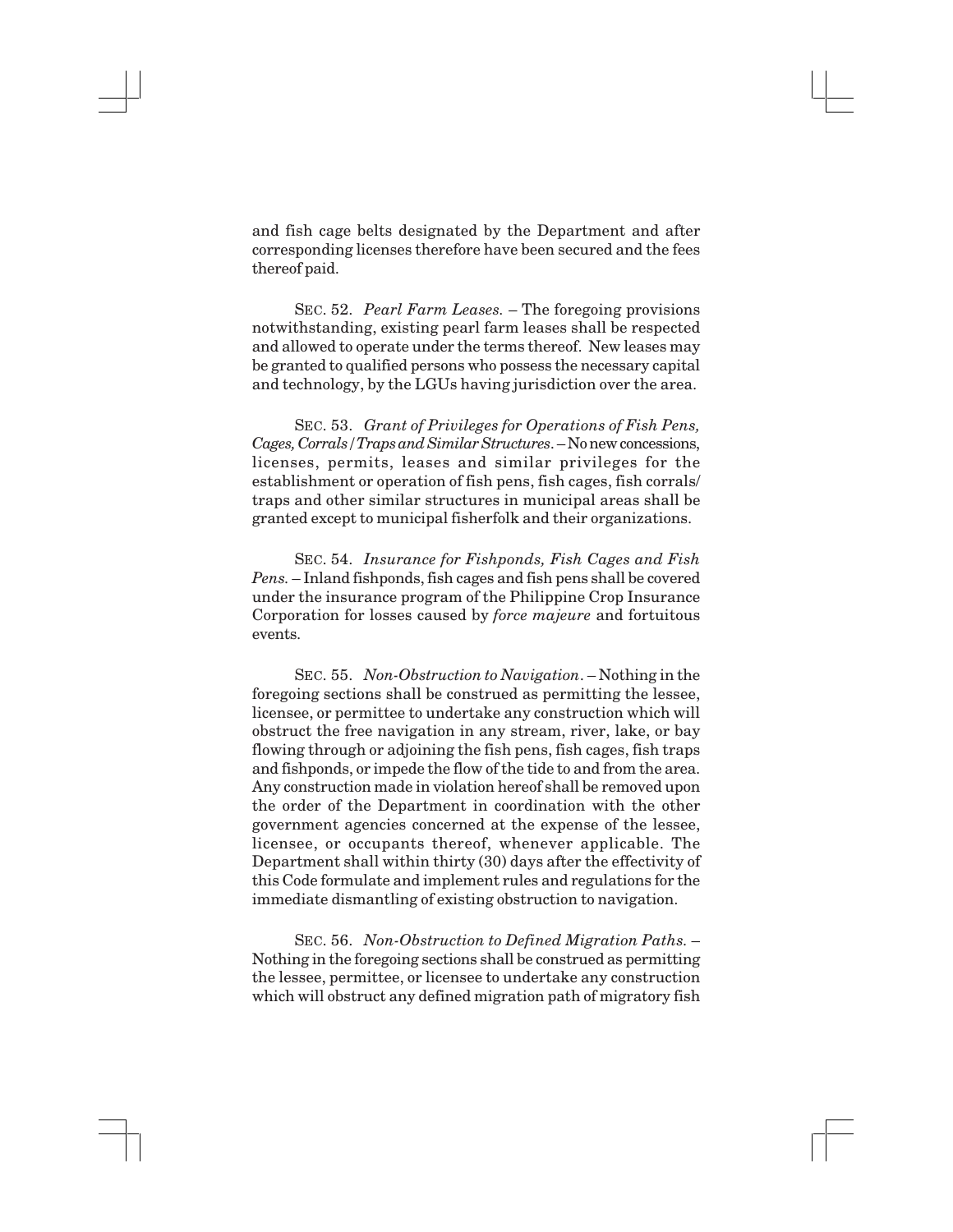and fish cage belts designated by the Department and after corresponding licenses therefore have been secured and the fees thereof paid.

SEC. 52. *Pearl Farm Leases.* – The foregoing provisions notwithstanding, existing pearl farm leases shall be respected and allowed to operate under the terms thereof. New leases may be granted to qualified persons who possess the necessary capital and technology, by the LGUs having jurisdiction over the area.

SEC. 53. *Grant of Privileges for Operations of Fish Pens, Cages, Corrals/Traps and Similar Structures*. – No new concessions, licenses, permits, leases and similar privileges for the establishment or operation of fish pens, fish cages, fish corrals/ traps and other similar structures in municipal areas shall be granted except to municipal fisherfolk and their organizations.

SEC. 54. *Insurance for Fishponds, Fish Cages and Fish Pens.* – Inland fishponds, fish cages and fish pens shall be covered under the insurance program of the Philippine Crop Insurance Corporation for losses caused by *force majeure* and fortuitous events.

SEC. 55. *Non-Obstruction to Navigation*. – Nothing in the foregoing sections shall be construed as permitting the lessee, licensee, or permittee to undertake any construction which will obstruct the free navigation in any stream, river, lake, or bay flowing through or adjoining the fish pens, fish cages, fish traps and fishponds, or impede the flow of the tide to and from the area. Any construction made in violation hereof shall be removed upon the order of the Department in coordination with the other government agencies concerned at the expense of the lessee, licensee, or occupants thereof, whenever applicable. The Department shall within thirty (30) days after the effectivity of this Code formulate and implement rules and regulations for the immediate dismantling of existing obstruction to navigation.

SEC. 56. *Non-Obstruction to Defined Migration Paths.* – Nothing in the foregoing sections shall be construed as permitting the lessee, permittee, or licensee to undertake any construction which will obstruct any defined migration path of migratory fish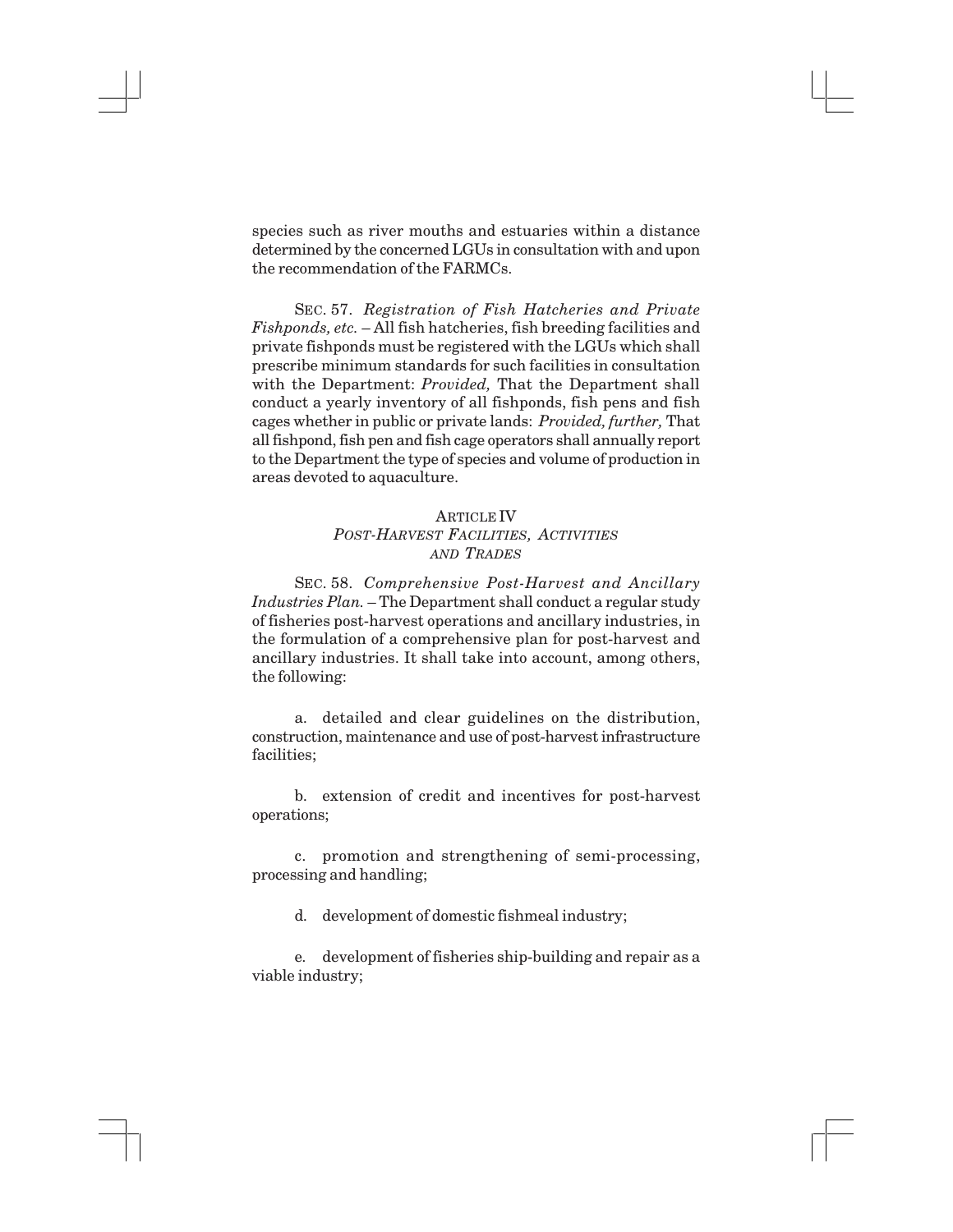species such as river mouths and estuaries within a distance determined by the concerned LGUs in consultation with and upon the recommendation of the FARMCs.

SEC. 57. *Registration of Fish Hatcheries and Private Fishponds, etc.* – All fish hatcheries, fish breeding facilities and private fishponds must be registered with the LGUs which shall prescribe minimum standards for such facilities in consultation with the Department: *Provided,* That the Department shall conduct a yearly inventory of all fishponds, fish pens and fish cages whether in public or private lands: *Provided, further,* That all fishpond, fish pen and fish cage operators shall annually report to the Department the type of species and volume of production in areas devoted to aquaculture.

## ARTICLE IV *POST-HARVEST FACILITIES, ACTIVITIES AND TRADES*

SEC. 58. *Comprehensive Post-Harvest and Ancillary Industries Plan.* – The Department shall conduct a regular study of fisheries post-harvest operations and ancillary industries, in the formulation of a comprehensive plan for post-harvest and ancillary industries. It shall take into account, among others, the following:

a. detailed and clear guidelines on the distribution, construction, maintenance and use of post-harvest infrastructure facilities;

b. extension of credit and incentives for post-harvest operations;

c. promotion and strengthening of semi-processing, processing and handling;

d. development of domestic fishmeal industry;

e. development of fisheries ship-building and repair as a viable industry;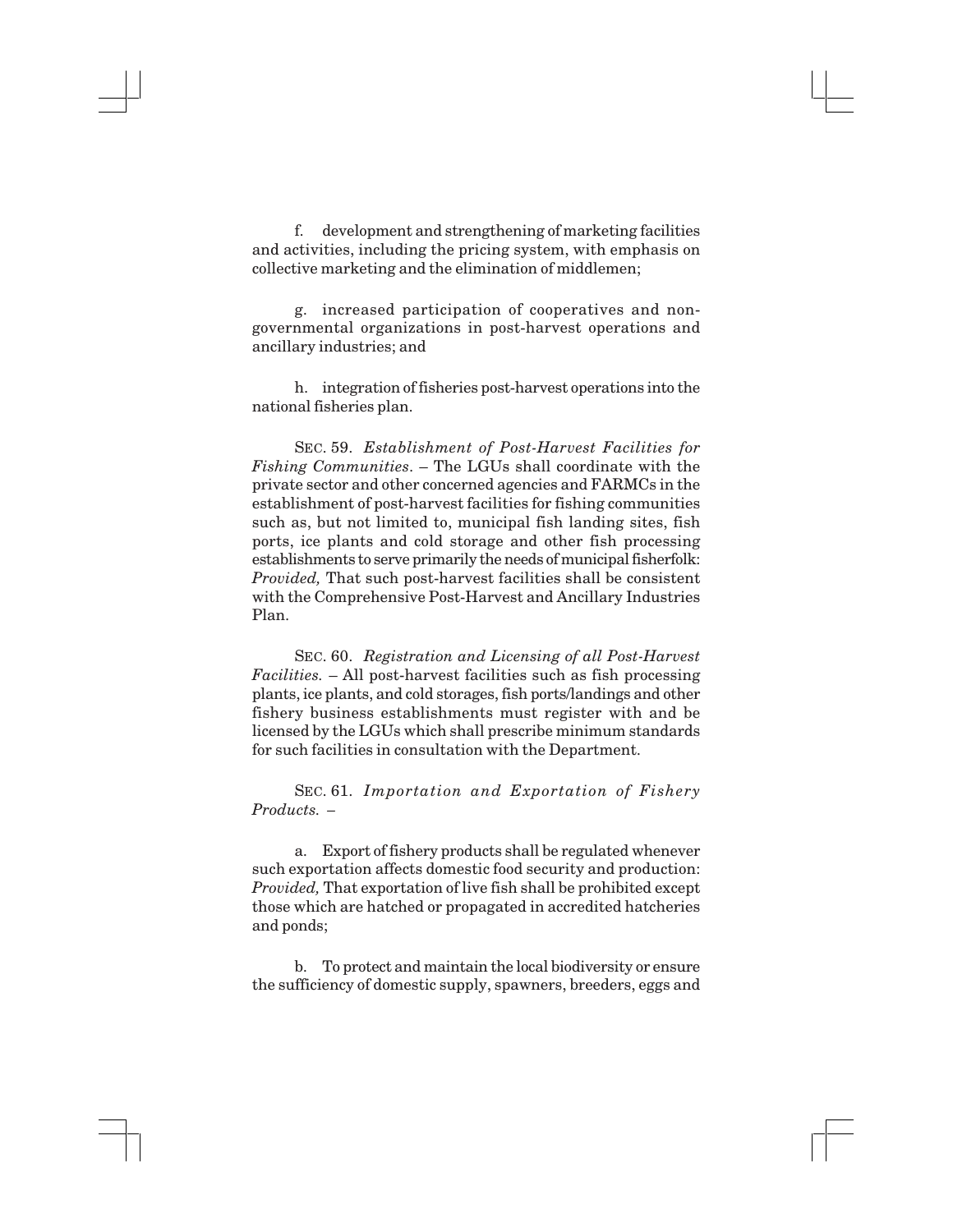f. development and strengthening of marketing facilities and activities, including the pricing system, with emphasis on collective marketing and the elimination of middlemen;

g. increased participation of cooperatives and nongovernmental organizations in post-harvest operations and ancillary industries; and

h. integration of fisheries post-harvest operations into the national fisheries plan.

SEC. 59. *Establishment of Post-Harvest Facilities for Fishing Communities*. – The LGUs shall coordinate with the private sector and other concerned agencies and FARMCs in the establishment of post-harvest facilities for fishing communities such as, but not limited to, municipal fish landing sites, fish ports, ice plants and cold storage and other fish processing establishments to serve primarily the needs of municipal fisherfolk: *Provided,* That such post-harvest facilities shall be consistent with the Comprehensive Post-Harvest and Ancillary Industries Plan.

SEC. 60. *Registration and Licensing of all Post-Harvest Facilities.* – All post-harvest facilities such as fish processing plants, ice plants, and cold storages, fish ports/landings and other fishery business establishments must register with and be licensed by the LGUs which shall prescribe minimum standards for such facilities in consultation with the Department.

SEC. 61. *Importation and Exportation of Fishery Products. –*

a. Export of fishery products shall be regulated whenever such exportation affects domestic food security and production: *Provided,* That exportation of live fish shall be prohibited except those which are hatched or propagated in accredited hatcheries and ponds;

b. To protect and maintain the local biodiversity or ensure the sufficiency of domestic supply, spawners, breeders, eggs and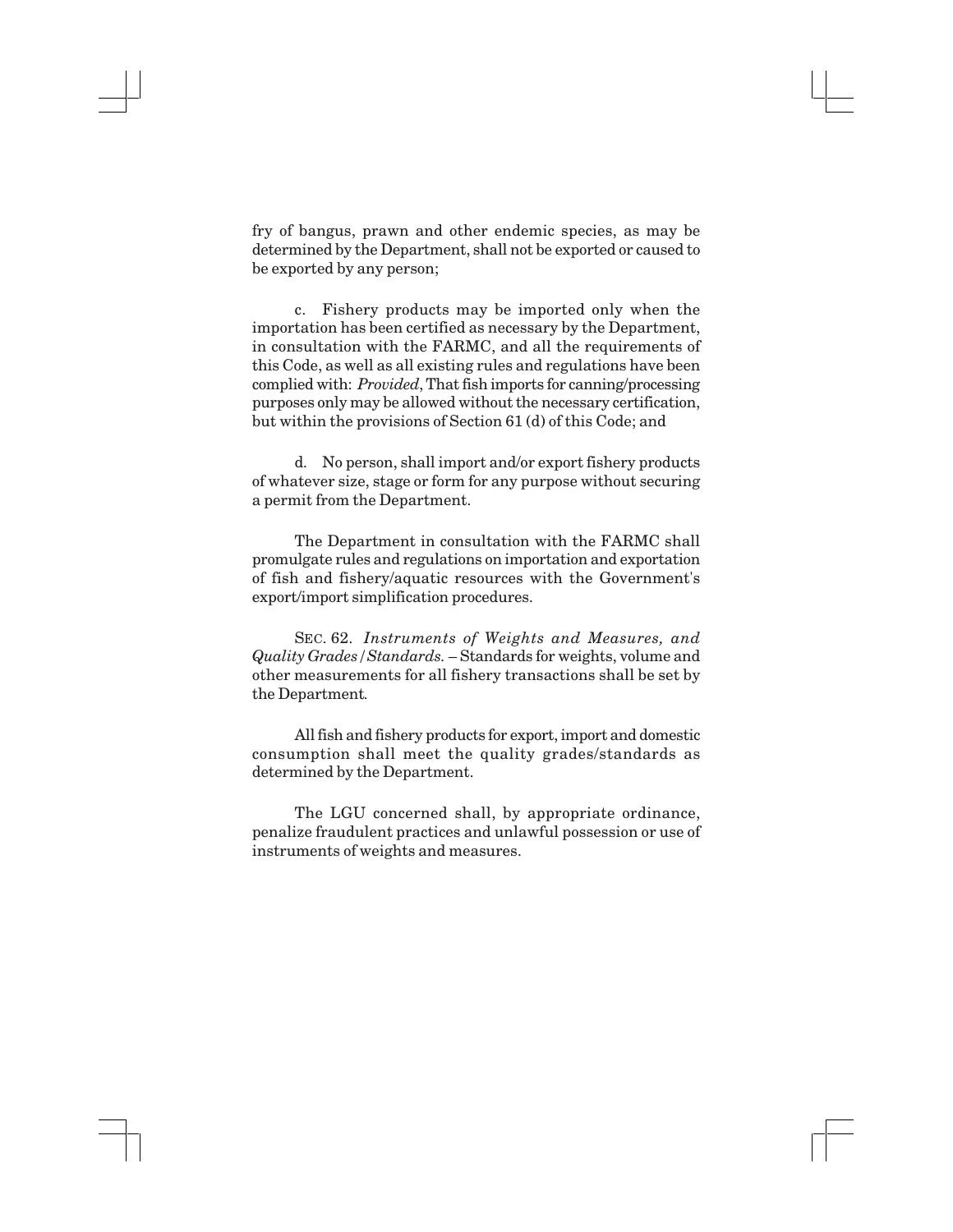fry of bangus, prawn and other endemic species, as may be determined by the Department, shall not be exported or caused to be exported by any person;

c. Fishery products may be imported only when the importation has been certified as necessary by the Department, in consultation with the FARMC, and all the requirements of this Code, as well as all existing rules and regulations have been complied with: *Provided*, That fish imports for canning/processing purposes only may be allowed without the necessary certification, but within the provisions of Section 61 (d) of this Code; and

d. No person, shall import and/or export fishery products of whatever size, stage or form for any purpose without securing a permit from the Department.

The Department in consultation with the FARMC shall promulgate rules and regulations on importation and exportation of fish and fishery/aquatic resources with the Government's export/import simplification procedures.

SEC. 62. *Instruments of Weights and Measures, and Quality Grades/Standards.* – Standards for weights, volume and other measurements for all fishery transactions shall be set by the Department*.*

All fish and fishery products for export, import and domestic consumption shall meet the quality grades/standards as determined by the Department.

The LGU concerned shall, by appropriate ordinance, penalize fraudulent practices and unlawful possession or use of instruments of weights and measures.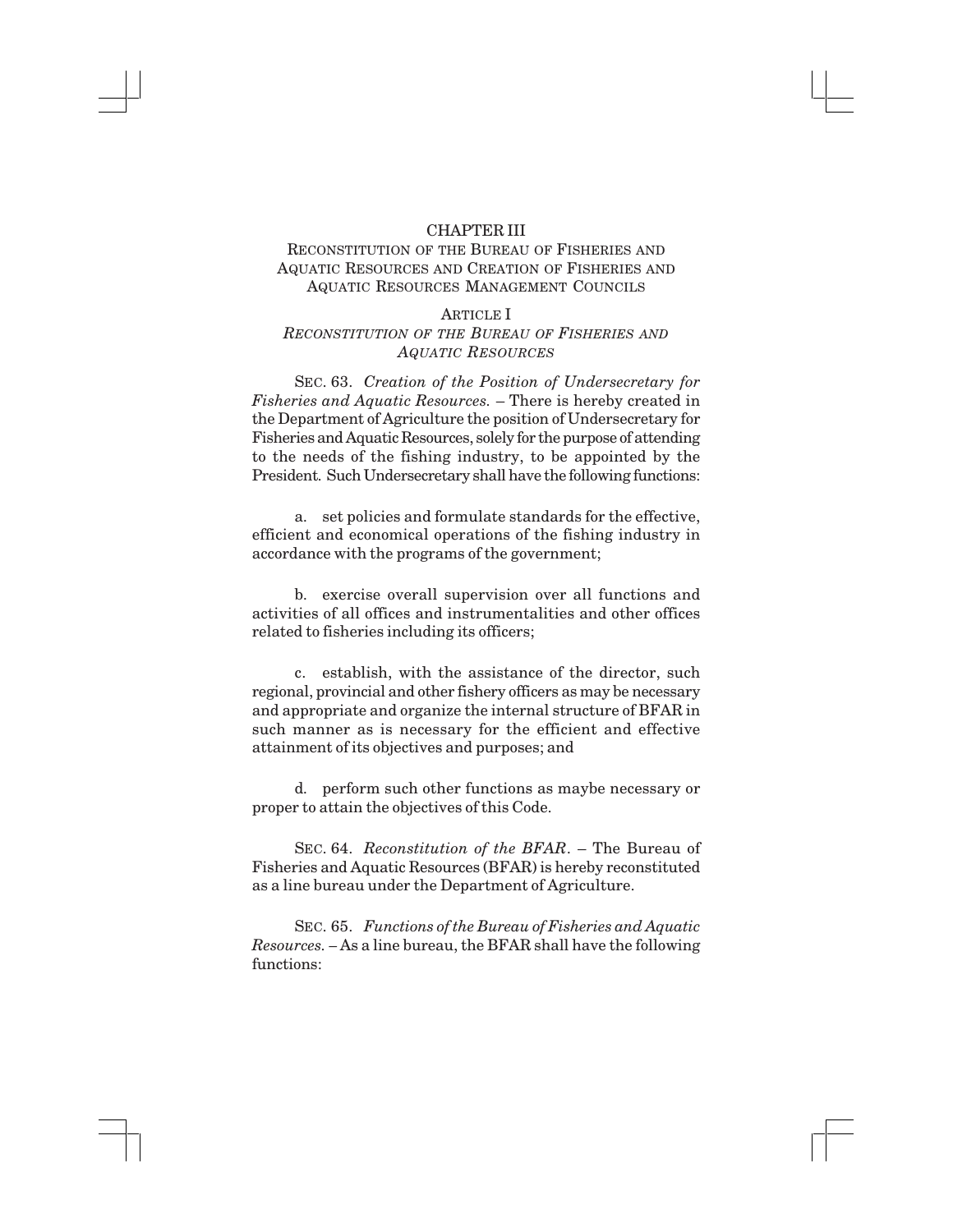#### CHAPTER III

## RECONSTITUTION OF THE BUREAU OF FISHERIES AND AQUATIC RESOURCES AND CREATION OF FISHERIES AND AQUATIC RESOURCES MANAGEMENT COUNCILS

#### ARTICLE I

## *RECONSTITUTION OF THE BUREAU OF FISHERIES AND AQUATIC RESOURCES*

SEC. 63. *Creation of the Position of Undersecretary for Fisheries and Aquatic Resources.* – There is hereby created in the Department of Agriculture the position of Undersecretary for Fisheries and Aquatic Resources, solely for the purpose of attending to the needs of the fishing industry, to be appointed by the President. Such Undersecretary shall have the following functions:

a. set policies and formulate standards for the effective, efficient and economical operations of the fishing industry in accordance with the programs of the government;

b. exercise overall supervision over all functions and activities of all offices and instrumentalities and other offices related to fisheries including its officers;

c. establish, with the assistance of the director, such regional, provincial and other fishery officers as may be necessary and appropriate and organize the internal structure of BFAR in such manner as is necessary for the efficient and effective attainment of its objectives and purposes; and

d. perform such other functions as maybe necessary or proper to attain the objectives of this Code.

SEC. 64. *Reconstitution of the BFAR*. – The Bureau of Fisheries and Aquatic Resources (BFAR) is hereby reconstituted as a line bureau under the Department of Agriculture.

SEC. 65. *Functions of the Bureau of Fisheries and Aquatic Resources. –* As a line bureau, the BFAR shall have the following functions: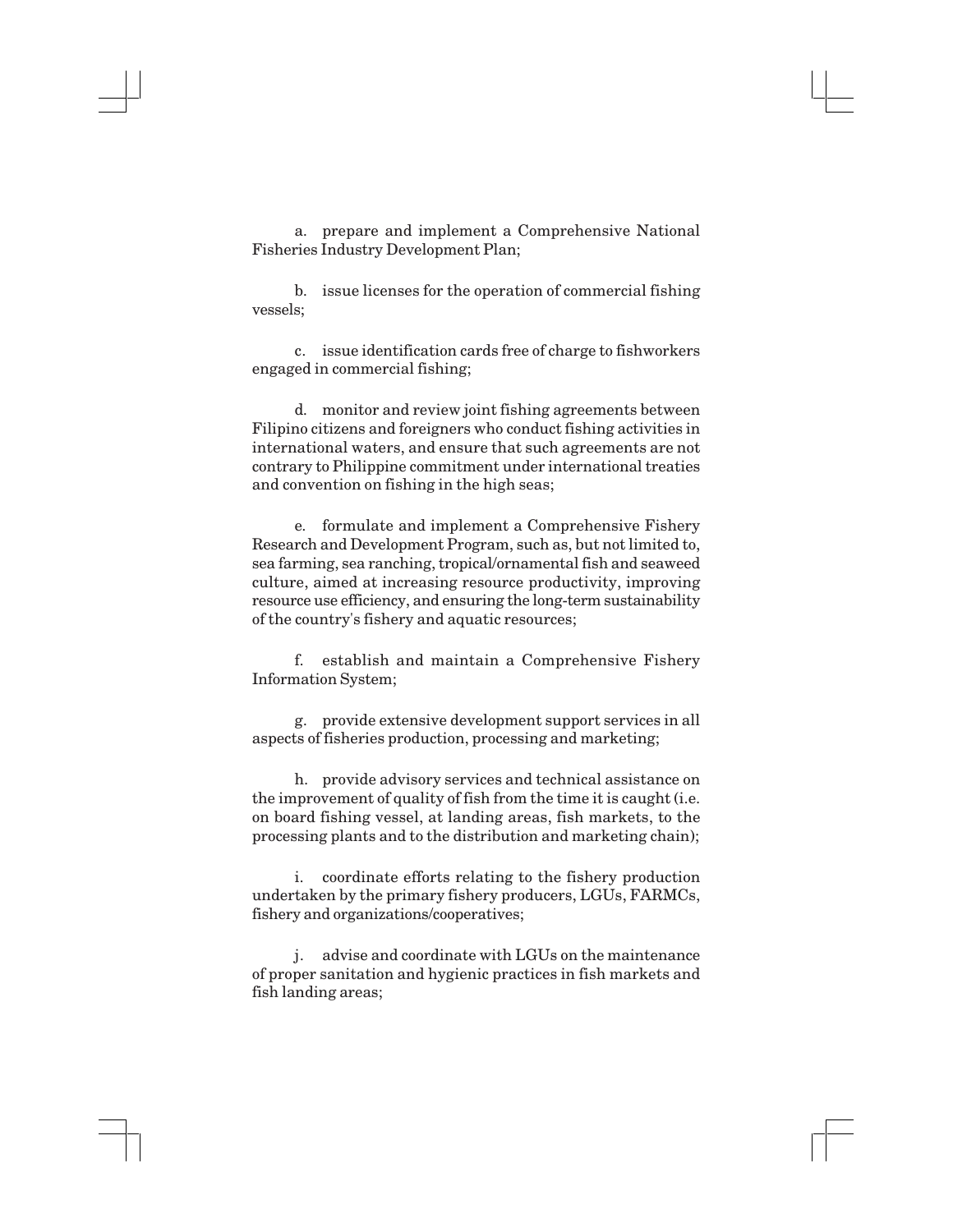a. prepare and implement a Comprehensive National Fisheries Industry Development Plan;

b. issue licenses for the operation of commercial fishing vessels;

c. issue identification cards free of charge to fishworkers engaged in commercial fishing;

d. monitor and review joint fishing agreements between Filipino citizens and foreigners who conduct fishing activities in international waters, and ensure that such agreements are not contrary to Philippine commitment under international treaties and convention on fishing in the high seas;

e. formulate and implement a Comprehensive Fishery Research and Development Program, such as, but not limited to, sea farming, sea ranching, tropical/ornamental fish and seaweed culture, aimed at increasing resource productivity, improving resource use efficiency, and ensuring the long-term sustainability of the country's fishery and aquatic resources;

f. establish and maintain a Comprehensive Fishery Information System;

g. provide extensive development support services in all aspects of fisheries production, processing and marketing;

h. provide advisory services and technical assistance on the improvement of quality of fish from the time it is caught (i.e. on board fishing vessel, at landing areas, fish markets, to the processing plants and to the distribution and marketing chain);

i. coordinate efforts relating to the fishery production undertaken by the primary fishery producers, LGUs, FARMCs, fishery and organizations/cooperatives;

j. advise and coordinate with LGUs on the maintenance of proper sanitation and hygienic practices in fish markets and fish landing areas;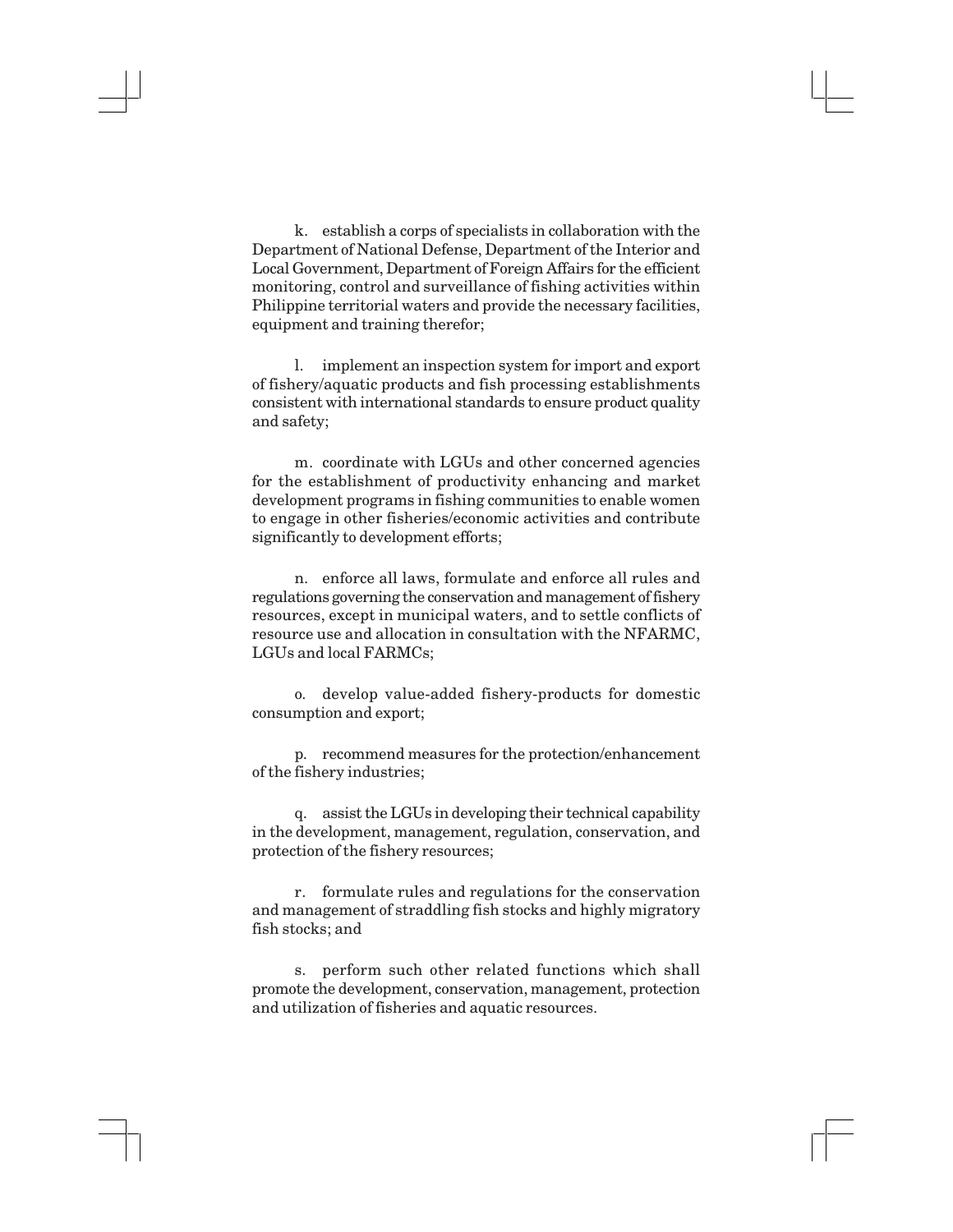k. establish a corps of specialists in collaboration with the Department of National Defense, Department of the Interior and Local Government, Department of Foreign Affairs for the efficient monitoring, control and surveillance of fishing activities within Philippine territorial waters and provide the necessary facilities, equipment and training therefor;

l. implement an inspection system for import and export of fishery/aquatic products and fish processing establishments consistent with international standards to ensure product quality and safety;

m. coordinate with LGUs and other concerned agencies for the establishment of productivity enhancing and market development programs in fishing communities to enable women to engage in other fisheries/economic activities and contribute significantly to development efforts;

n. enforce all laws, formulate and enforce all rules and regulations governing the conservation and management of fishery resources, except in municipal waters, and to settle conflicts of resource use and allocation in consultation with the NFARMC, LGUs and local FARMCs;

o. develop value-added fishery-products for domestic consumption and export;

p. recommend measures for the protection/enhancement of the fishery industries;

q. assist the LGUs in developing their technical capability in the development, management, regulation, conservation, and protection of the fishery resources;

r. formulate rules and regulations for the conservation and management of straddling fish stocks and highly migratory fish stocks; and

s. perform such other related functions which shall promote the development, conservation, management, protection and utilization of fisheries and aquatic resources.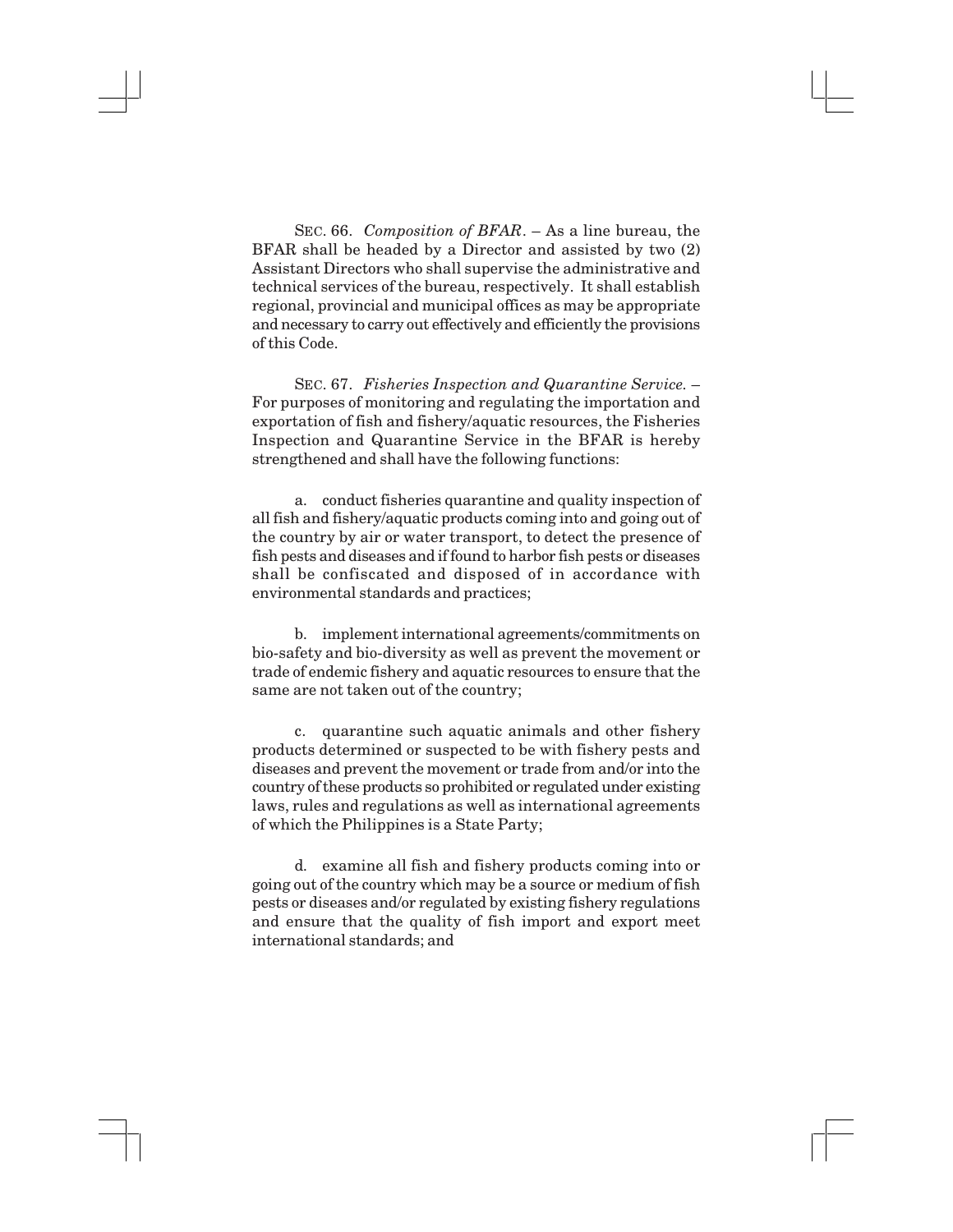SEC. 66. *Composition of BFAR*. – As a line bureau, the BFAR shall be headed by a Director and assisted by two (2) Assistant Directors who shall supervise the administrative and technical services of the bureau, respectively. It shall establish regional, provincial and municipal offices as may be appropriate and necessary to carry out effectively and efficiently the provisions of this Code.

SEC. 67. *Fisheries Inspection and Quarantine Service.* – For purposes of monitoring and regulating the importation and exportation of fish and fishery/aquatic resources, the Fisheries Inspection and Quarantine Service in the BFAR is hereby strengthened and shall have the following functions:

a. conduct fisheries quarantine and quality inspection of all fish and fishery/aquatic products coming into and going out of the country by air or water transport, to detect the presence of fish pests and diseases and if found to harbor fish pests or diseases shall be confiscated and disposed of in accordance with environmental standards and practices;

b. implement international agreements/commitments on bio-safety and bio-diversity as well as prevent the movement or trade of endemic fishery and aquatic resources to ensure that the same are not taken out of the country;

c. quarantine such aquatic animals and other fishery products determined or suspected to be with fishery pests and diseases and prevent the movement or trade from and/or into the country of these products so prohibited or regulated under existing laws, rules and regulations as well as international agreements of which the Philippines is a State Party;

d. examine all fish and fishery products coming into or going out of the country which may be a source or medium of fish pests or diseases and/or regulated by existing fishery regulations and ensure that the quality of fish import and export meet international standards; and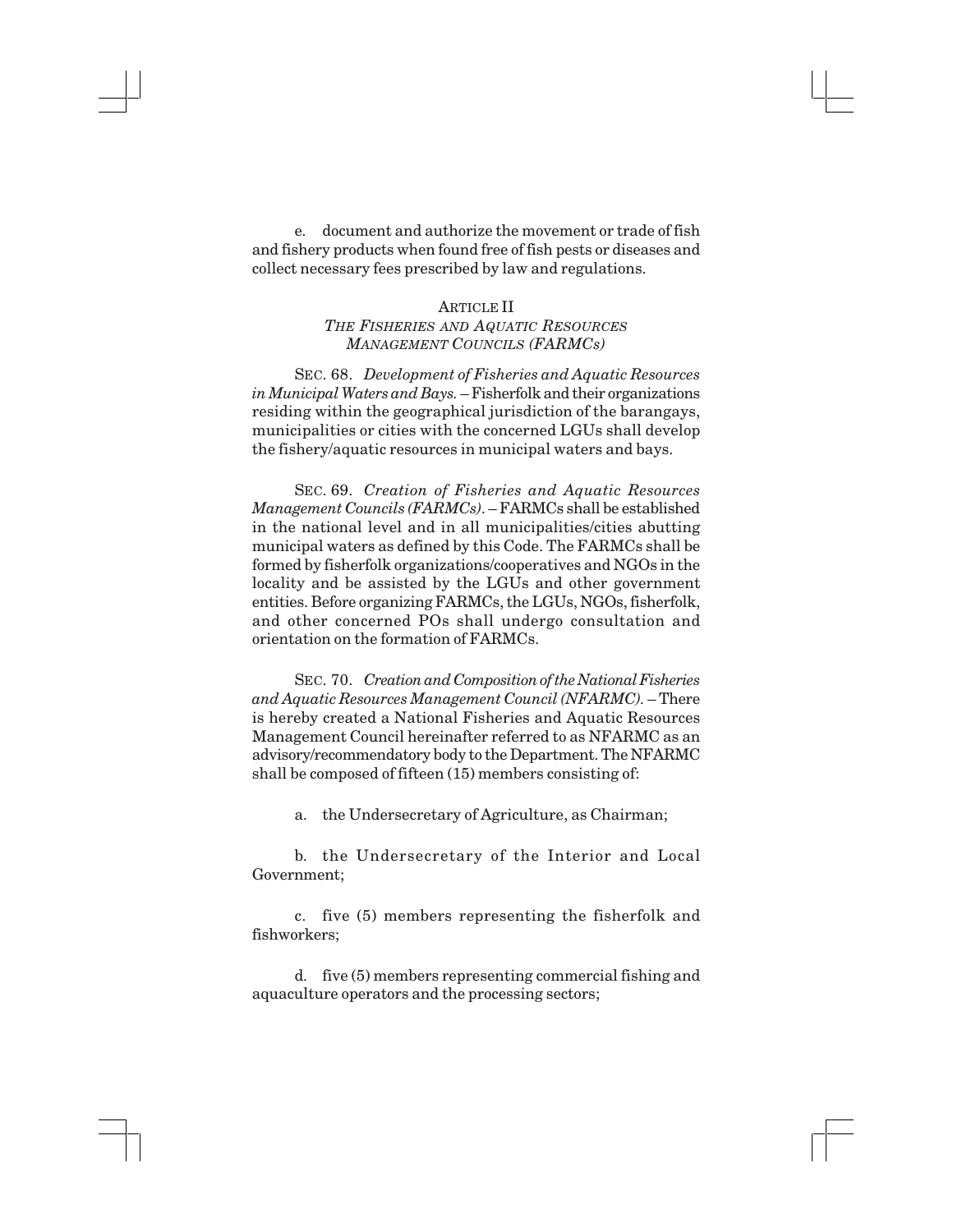e. document and authorize the movement or trade of fish and fishery products when found free of fish pests or diseases and collect necessary fees prescribed by law and regulations.

#### ARTICLE II

## *THE FISHERIES AND AQUATIC RESOURCES MANAGEMENT COUNCILS (FARMCs)*

SEC. 68. *Development of Fisheries and Aquatic Resources in Municipal Waters and Bays.* – Fisherfolk and their organizations residing within the geographical jurisdiction of the barangays, municipalities or cities with the concerned LGUs shall develop the fishery/aquatic resources in municipal waters and bays.

SEC. 69. *Creation of Fisheries and Aquatic Resources Management Councils (FARMCs)*. – FARMCs shall be established in the national level and in all municipalities/cities abutting municipal waters as defined by this Code. The FARMCs shall be formed by fisherfolk organizations/cooperatives and NGOs in the locality and be assisted by the LGUs and other government entities. Before organizing FARMCs, the LGUs, NGOs, fisherfolk, and other concerned POs shall undergo consultation and orientation on the formation of FARMCs.

SEC. 70. *Creation and Composition of the National Fisheries and Aquatic Resources Management Council (NFARMC).* – There is hereby created a National Fisheries and Aquatic Resources Management Council hereinafter referred to as NFARMC as an advisory/recommendatory body to the Department. The NFARMC shall be composed of fifteen (15) members consisting of:

a. the Undersecretary of Agriculture, as Chairman;

b. the Undersecretary of the Interior and Local Government;

c. five (5) members representing the fisherfolk and fishworkers;

d. five (5) members representing commercial fishing and aquaculture operators and the processing sectors;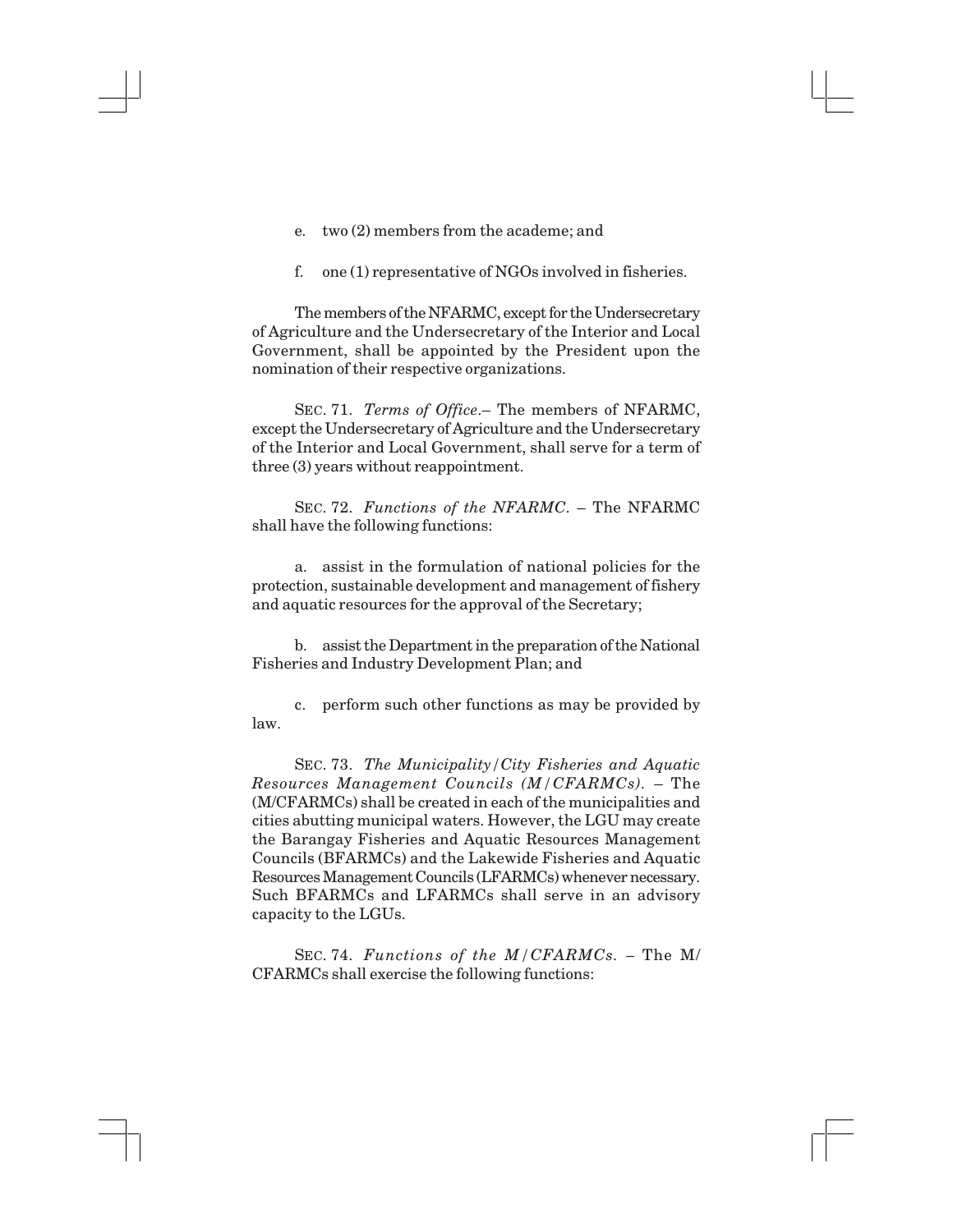- e. two (2) members from the academe; and
- f. one (1) representative of NGOs involved in fisheries.

The members of the NFARMC, except for the Undersecretary of Agriculture and the Undersecretary of the Interior and Local Government, shall be appointed by the President upon the nomination of their respective organizations.

SEC. 71. *Terms of Office*.– The members of NFARMC, except the Undersecretary of Agriculture and the Undersecretary of the Interior and Local Government, shall serve for a term of three (3) years without reappointment.

SEC. 72. *Functions of the NFARMC*. – The NFARMC shall have the following functions:

a. assist in the formulation of national policies for the protection, sustainable development and management of fishery and aquatic resources for the approval of the Secretary;

b. assist the Department in the preparation of the National Fisheries and Industry Development Plan; and

c. perform such other functions as may be provided by law.

SEC. 73. *The Municipality/City Fisheries and Aquatic Resources Management Councils (M/CFARMCs).* – The (M/CFARMCs) shall be created in each of the municipalities and cities abutting municipal waters. However, the LGU may create the Barangay Fisheries and Aquatic Resources Management Councils (BFARMCs) and the Lakewide Fisheries and Aquatic Resources Management Councils (LFARMCs) whenever necessary. Such BFARMCs and LFARMCs shall serve in an advisory capacity to the LGUs.

SEC. 74. *Functions of the M/CFARMCs. –* The M/ CFARMCs shall exercise the following functions: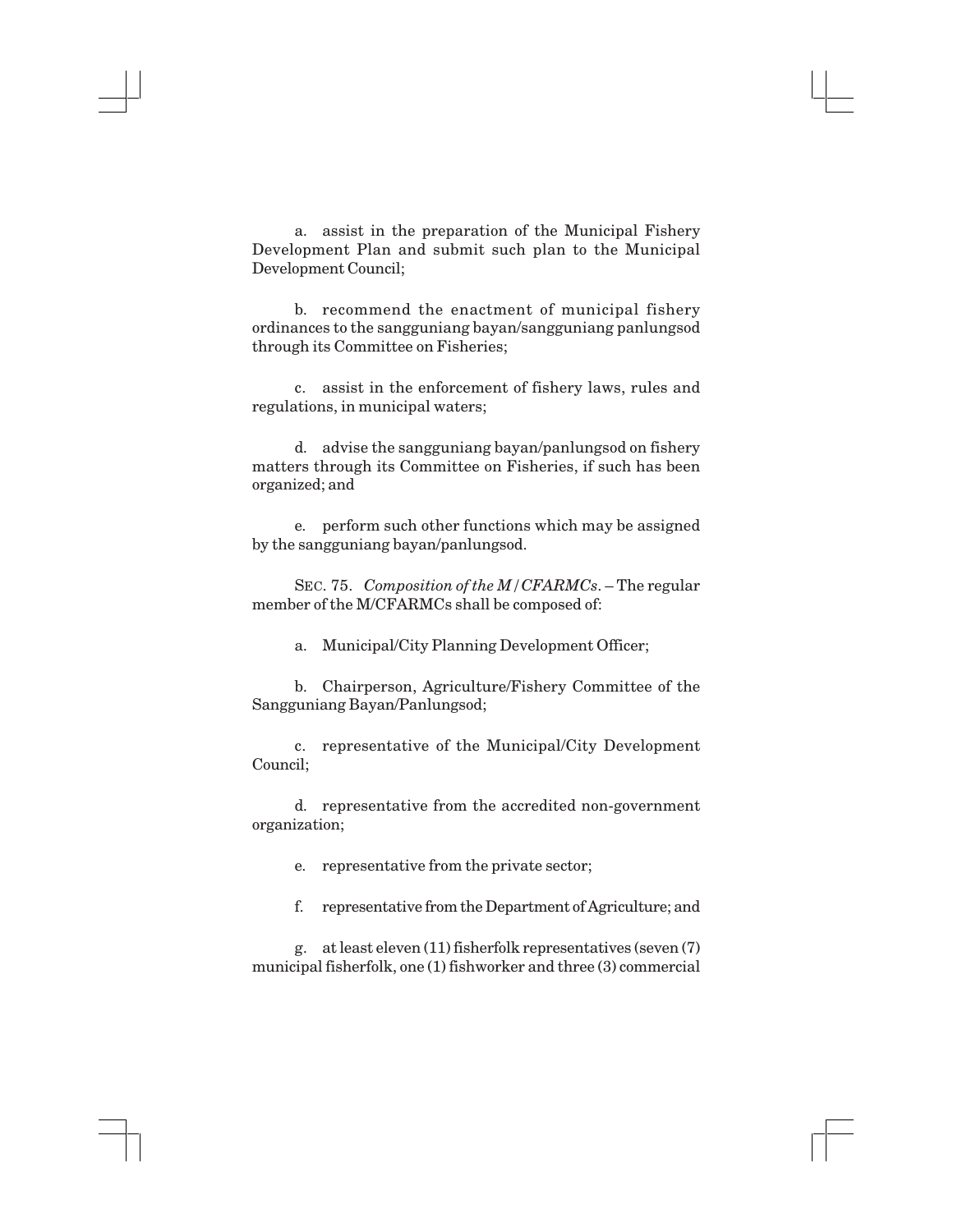a. assist in the preparation of the Municipal Fishery Development Plan and submit such plan to the Municipal Development Council;

b. recommend the enactment of municipal fishery ordinances to the sangguniang bayan/sangguniang panlungsod through its Committee on Fisheries;

c. assist in the enforcement of fishery laws, rules and regulations, in municipal waters;

d. advise the sangguniang bayan/panlungsod on fishery matters through its Committee on Fisheries, if such has been organized; and

e. perform such other functions which may be assigned by the sangguniang bayan/panlungsod.

SEC. 75. *Composition of the M/CFARMCs*. – The regular member of the M/CFARMCs shall be composed of:

a. Municipal/City Planning Development Officer;

b. Chairperson, Agriculture/Fishery Committee of the Sangguniang Bayan/Panlungsod;

c. representative of the Municipal/City Development Council;

d. representative from the accredited non-government organization;

e. representative from the private sector;

f. representative from the Department of Agriculture; and

g. at least eleven (11) fisherfolk representatives (seven (7) municipal fisherfolk, one (1) fishworker and three (3) commercial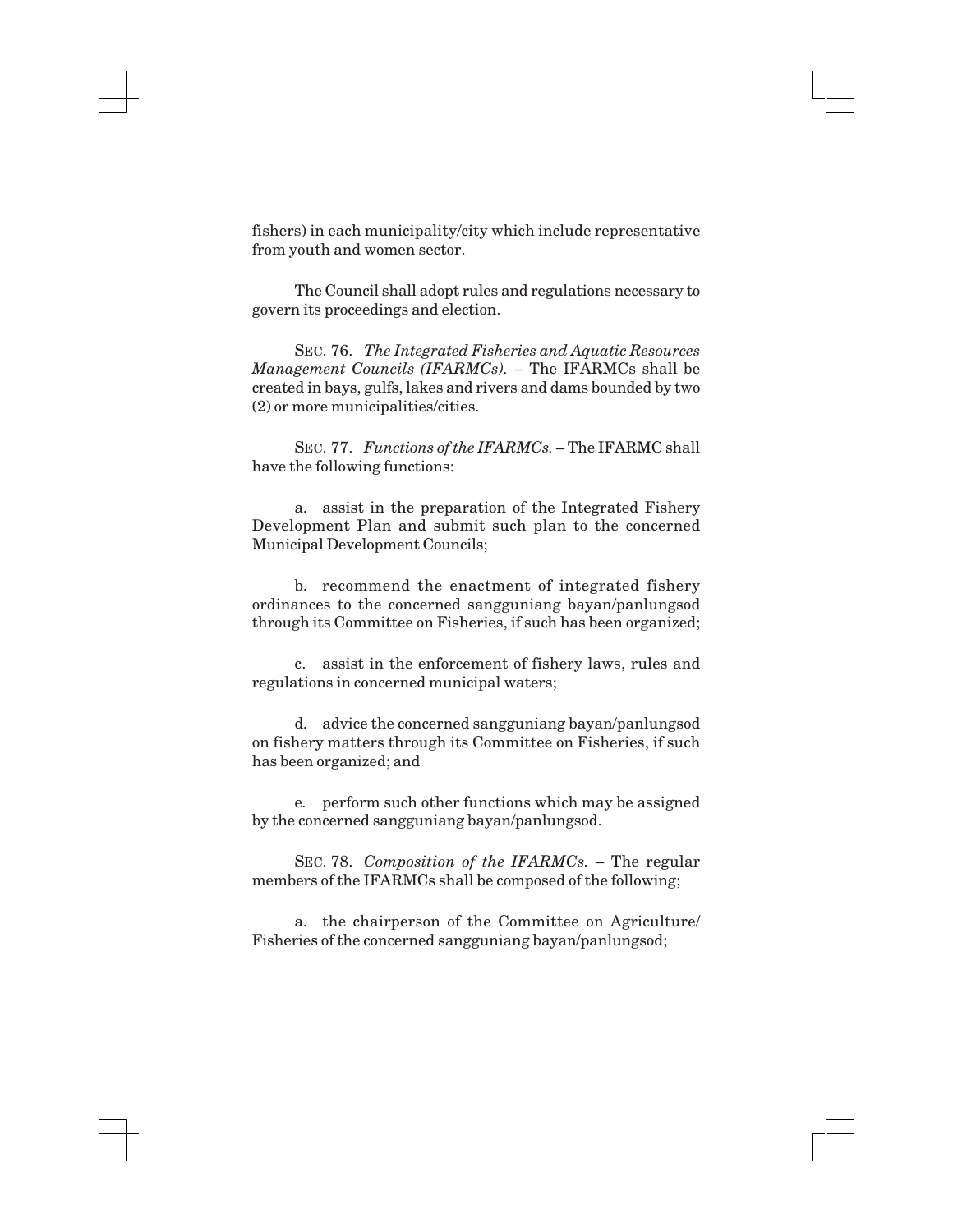fishers) in each municipality/city which include representative from youth and women sector.

The Council shall adopt rules and regulations necessary to govern its proceedings and election.

SEC. 76. *The Integrated Fisheries and Aquatic Resources Management Councils (IFARMCs).* – The IFARMCs shall be created in bays, gulfs, lakes and rivers and dams bounded by two (2) or more municipalities/cities.

SEC. 77. *Functions of the IFARMCs.* – The IFARMC shall have the following functions:

a. assist in the preparation of the Integrated Fishery Development Plan and submit such plan to the concerned Municipal Development Councils;

b. recommend the enactment of integrated fishery ordinances to the concerned sangguniang bayan/panlungsod through its Committee on Fisheries, if such has been organized;

c. assist in the enforcement of fishery laws, rules and regulations in concerned municipal waters;

d. advice the concerned sangguniang bayan/panlungsod on fishery matters through its Committee on Fisheries, if such has been organized; and

e. perform such other functions which may be assigned by the concerned sangguniang bayan/panlungsod.

SEC. 78. *Composition of the IFARMCs.* – The regular members of the IFARMCs shall be composed of the following;

a. the chairperson of the Committee on Agriculture/ Fisheries of the concerned sangguniang bayan/panlungsod;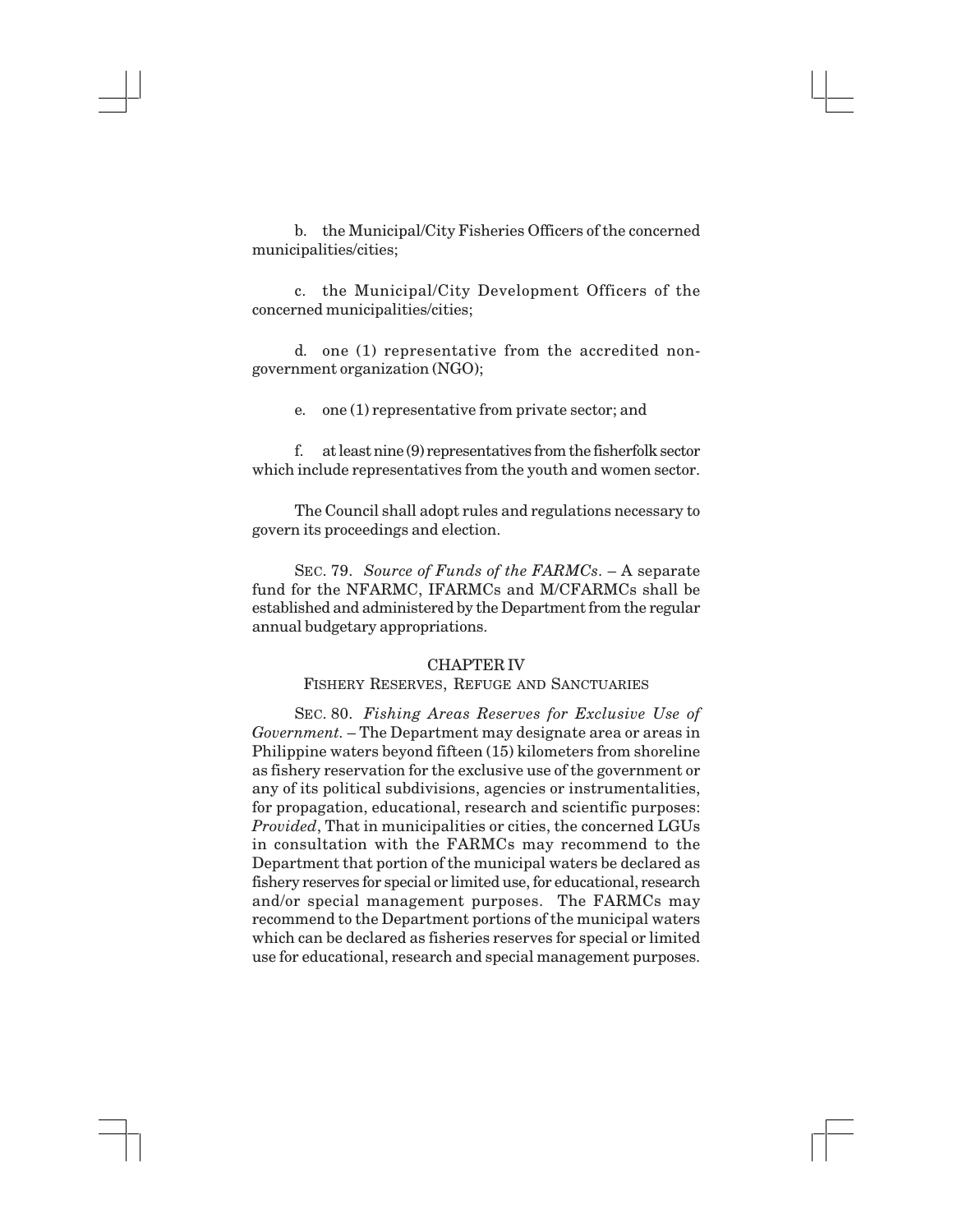b. the Municipal/City Fisheries Officers of the concerned municipalities/cities;

c. the Municipal/City Development Officers of the concerned municipalities/cities;

d. one (1) representative from the accredited nongovernment organization (NGO);

e. one (1) representative from private sector; and

f. at least nine (9) representatives from the fisherfolk sector which include representatives from the youth and women sector.

The Council shall adopt rules and regulations necessary to govern its proceedings and election.

SEC. 79. *Source of Funds of the FARMCs*. – A separate fund for the NFARMC, IFARMCs and M/CFARMCs shall be established and administered by the Department from the regular annual budgetary appropriations.

#### CHAPTER IV

#### FISHERY RESERVES, REFUGE AND SANCTUARIES

SEC. 80. *Fishing Areas Reserves for Exclusive Use of Government.* – The Department may designate area or areas in Philippine waters beyond fifteen (15) kilometers from shoreline as fishery reservation for the exclusive use of the government or any of its political subdivisions, agencies or instrumentalities, for propagation, educational, research and scientific purposes: *Provided*, That in municipalities or cities, the concerned LGUs in consultation with the FARMCs may recommend to the Department that portion of the municipal waters be declared as fishery reserves for special or limited use, for educational, research and/or special management purposes. The FARMCs may recommend to the Department portions of the municipal waters which can be declared as fisheries reserves for special or limited use for educational, research and special management purposes.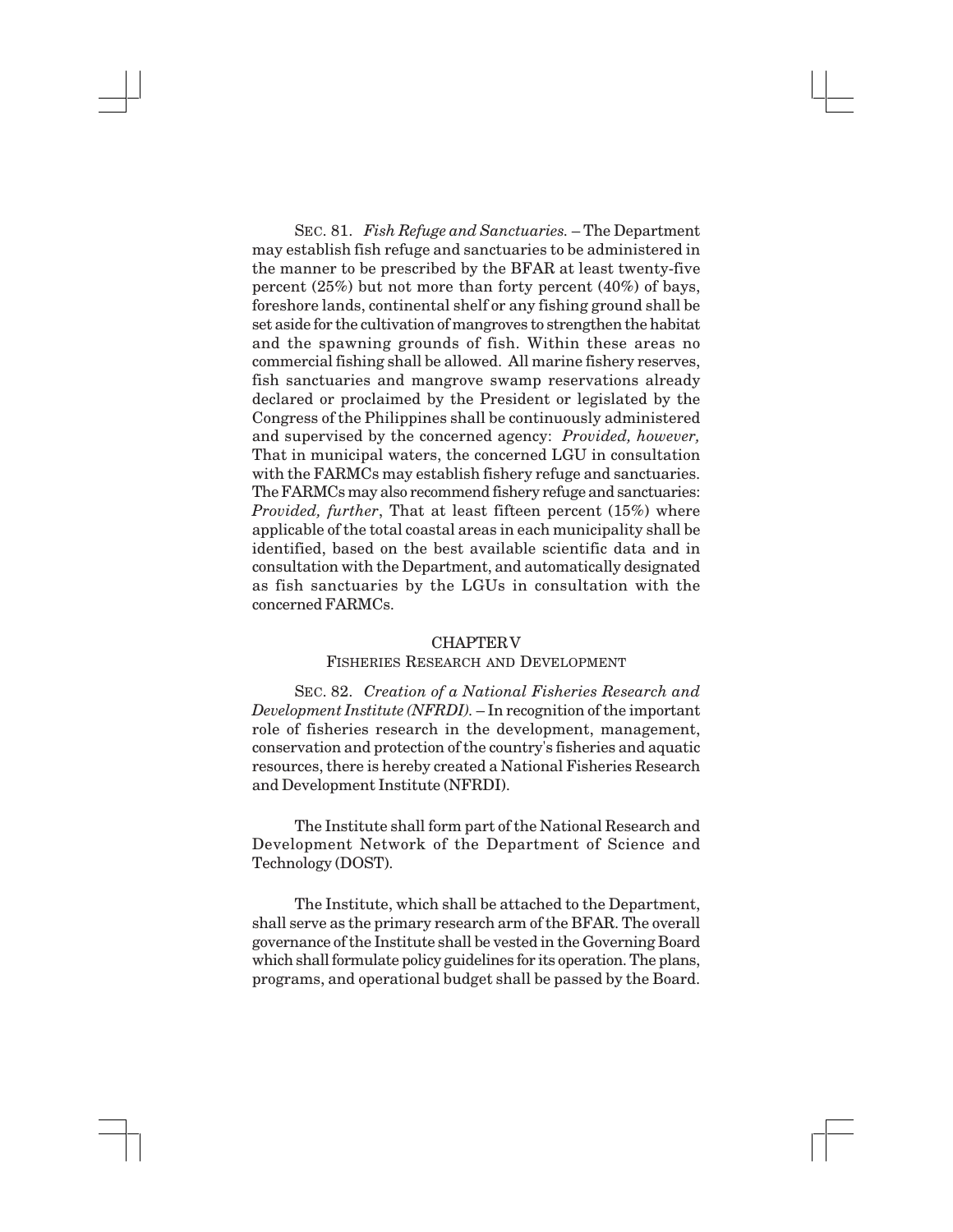SEC. 81. *Fish Refuge and Sanctuaries.* – The Department may establish fish refuge and sanctuaries to be administered in the manner to be prescribed by the BFAR at least twenty-five percent (25%) but not more than forty percent (40%) of bays, foreshore lands, continental shelf or any fishing ground shall be set aside for the cultivation of mangroves to strengthen the habitat and the spawning grounds of fish. Within these areas no commercial fishing shall be allowed. All marine fishery reserves, fish sanctuaries and mangrove swamp reservations already declared or proclaimed by the President or legislated by the Congress of the Philippines shall be continuously administered and supervised by the concerned agency: *Provided, however,* That in municipal waters, the concerned LGU in consultation with the FARMCs may establish fishery refuge and sanctuaries. The FARMCs may also recommend fishery refuge and sanctuaries: *Provided, further*, That at least fifteen percent (15%) where applicable of the total coastal areas in each municipality shall be identified, based on the best available scientific data and in consultation with the Department, and automatically designated as fish sanctuaries by the LGUs in consultation with the concerned FARMCs.

#### CHAPTERV

#### FISHERIES RESEARCH AND DEVELOPMENT

SEC. 82. *Creation of a National Fisheries Research and Development Institute (NFRDI).* – In recognition of the important role of fisheries research in the development, management, conservation and protection of the country's fisheries and aquatic resources, there is hereby created a National Fisheries Research and Development Institute (NFRDI).

The Institute shall form part of the National Research and Development Network of the Department of Science and Technology (DOST).

The Institute, which shall be attached to the Department, shall serve as the primary research arm of the BFAR. The overall governance of the Institute shall be vested in the Governing Board which shall formulate policy guidelines for its operation. The plans, programs, and operational budget shall be passed by the Board.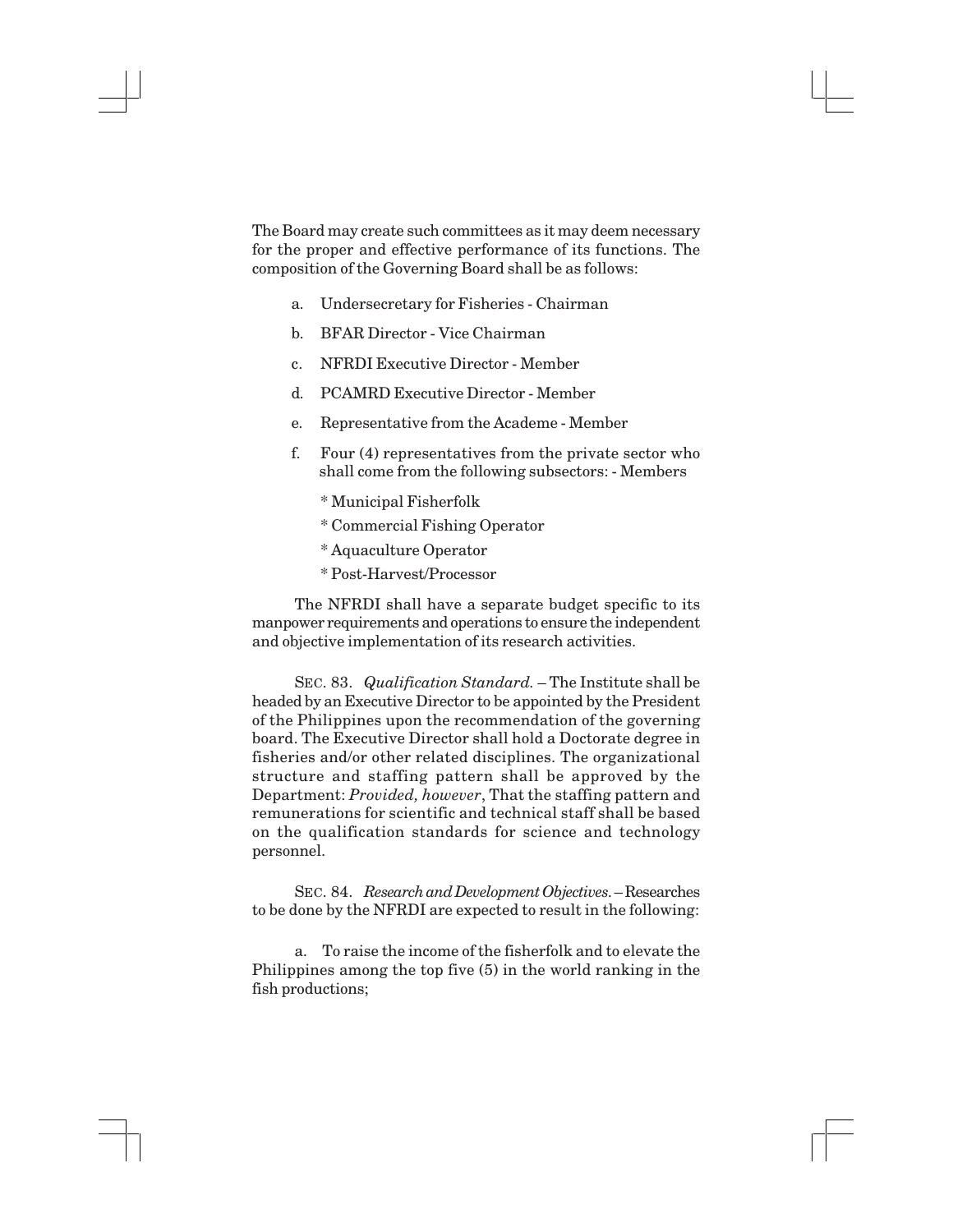The Board may create such committees as it may deem necessary for the proper and effective performance of its functions. The composition of the Governing Board shall be as follows:

- a. Undersecretary for Fisheries Chairman
- b. BFAR Director Vice Chairman
- c. NFRDI Executive Director Member
- d. PCAMRD Executive Director Member
- e. Representative from the Academe Member
- f. Four (4) representatives from the private sector who shall come from the following subsectors: - Members
	- \* Municipal Fisherfolk
	- \* Commercial Fishing Operator
	- \* Aquaculture Operator
	- \* Post-Harvest/Processor

The NFRDI shall have a separate budget specific to its manpower requirements and operations to ensure the independent and objective implementation of its research activities.

SEC. 83. *Qualification Standard.* – The Institute shall be headed by an Executive Director to be appointed by the President of the Philippines upon the recommendation of the governing board. The Executive Director shall hold a Doctorate degree in fisheries and/or other related disciplines. The organizational structure and staffing pattern shall be approved by the Department: *Provided, however*, That the staffing pattern and remunerations for scientific and technical staff shall be based on the qualification standards for science and technology personnel.

SEC. 84. *Research and Development Objectives*. – Researches to be done by the NFRDI are expected to result in the following:

a. To raise the income of the fisherfolk and to elevate the Philippines among the top five (5) in the world ranking in the fish productions;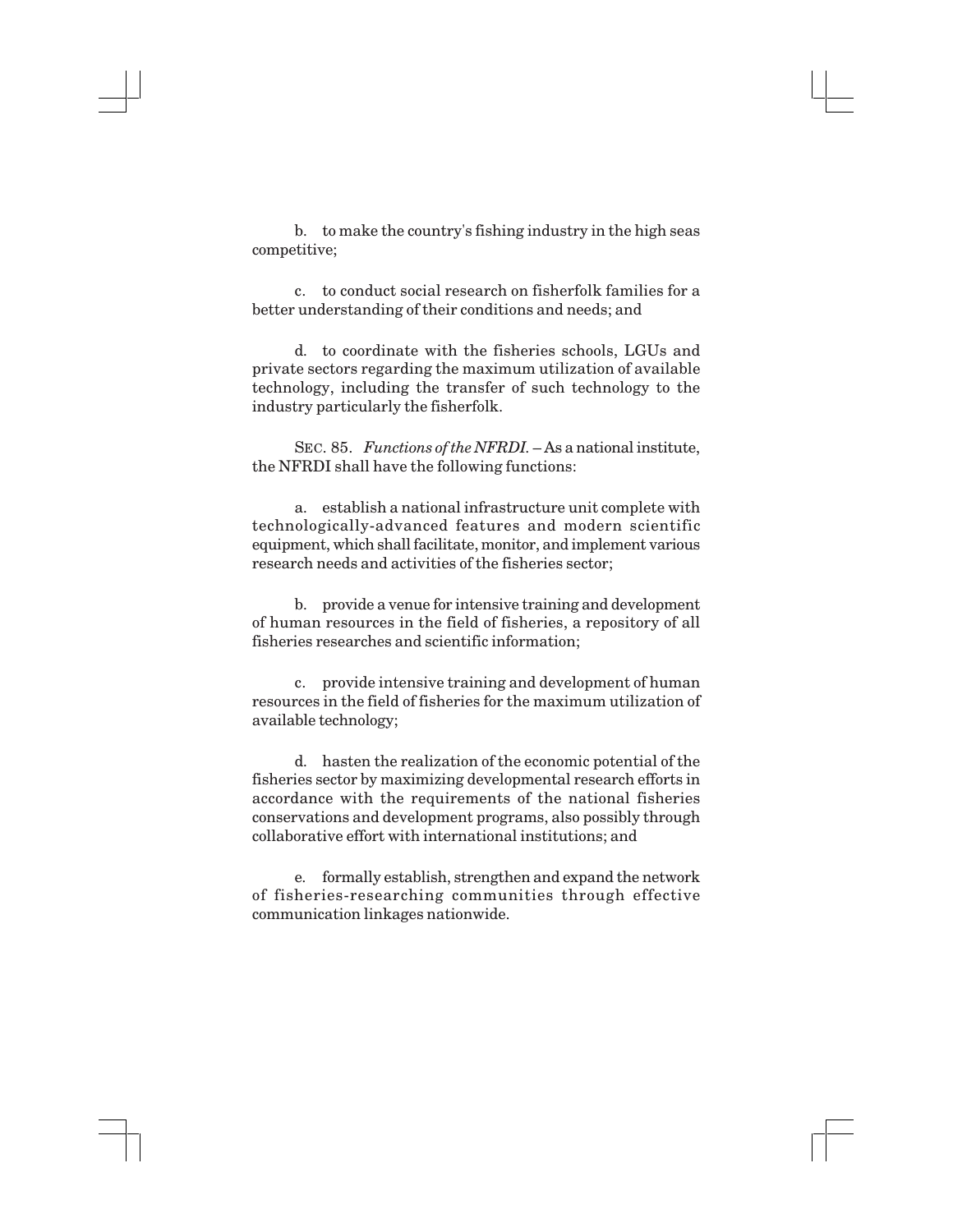b. to make the country's fishing industry in the high seas competitive;

c. to conduct social research on fisherfolk families for a better understanding of their conditions and needs; and

d. to coordinate with the fisheries schools, LGUs and private sectors regarding the maximum utilization of available technology, including the transfer of such technology to the industry particularly the fisherfolk.

SEC. 85. *Functions of the NFRDI*.  $-$  As a national institute, the NFRDI shall have the following functions:

a. establish a national infrastructure unit complete with technologically-advanced features and modern scientific equipment, which shall facilitate, monitor, and implement various research needs and activities of the fisheries sector;

b. provide a venue for intensive training and development of human resources in the field of fisheries, a repository of all fisheries researches and scientific information;

c. provide intensive training and development of human resources in the field of fisheries for the maximum utilization of available technology;

d. hasten the realization of the economic potential of the fisheries sector by maximizing developmental research efforts in accordance with the requirements of the national fisheries conservations and development programs, also possibly through collaborative effort with international institutions; and

e. formally establish, strengthen and expand the network of fisheries-researching communities through effective communication linkages nationwide.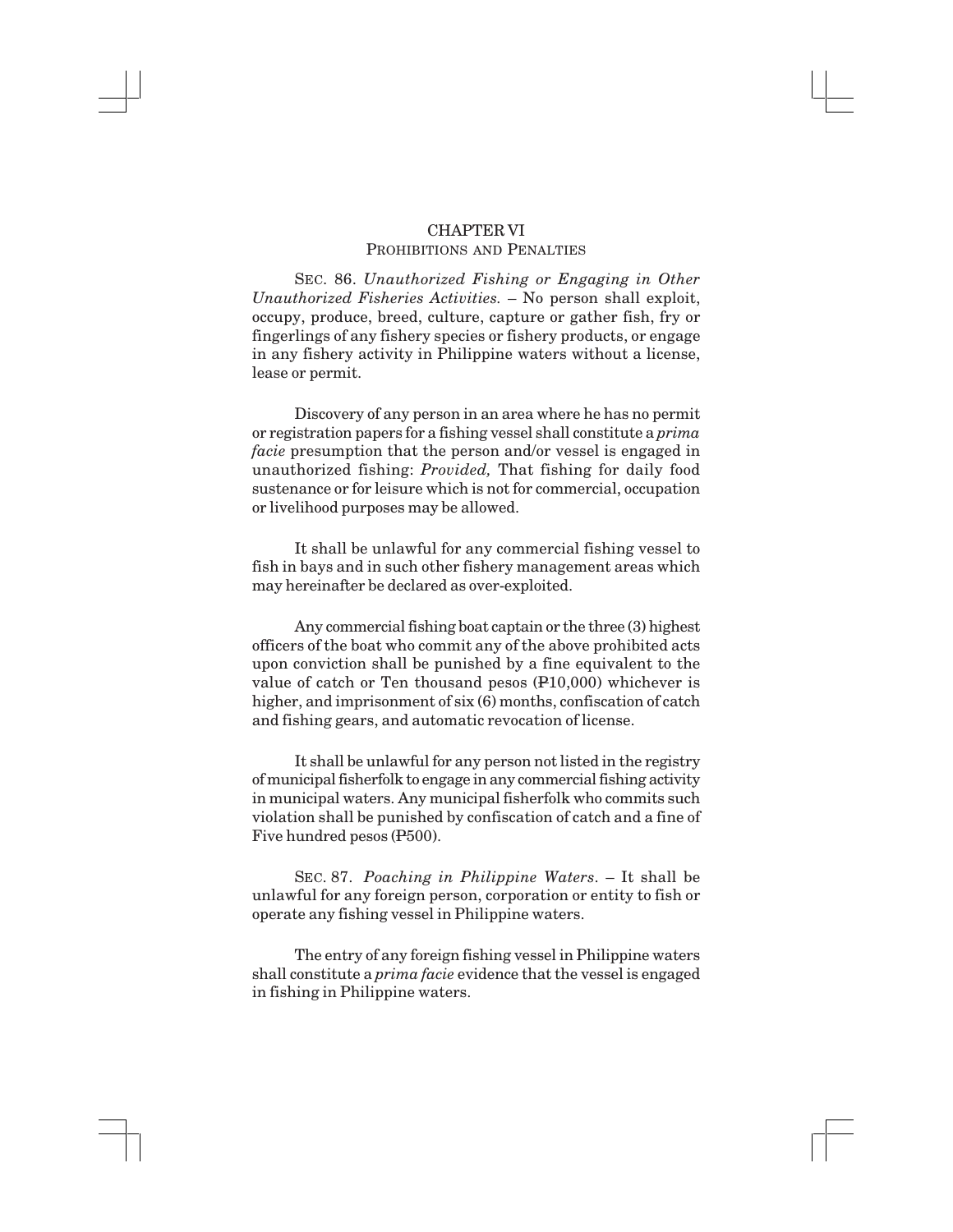## CHAPTER VI PROHIBITIONS AND PENALTIES

SEC. 86. *Unauthorized Fishing or Engaging in Other Unauthorized Fisheries Activities.* – No person shall exploit, occupy, produce, breed, culture, capture or gather fish, fry or fingerlings of any fishery species or fishery products, or engage in any fishery activity in Philippine waters without a license, lease or permit.

Discovery of any person in an area where he has no permit or registration papers for a fishing vessel shall constitute a *prima facie* presumption that the person and/or vessel is engaged in unauthorized fishing: *Provided,* That fishing for daily food sustenance or for leisure which is not for commercial, occupation or livelihood purposes may be allowed.

It shall be unlawful for any commercial fishing vessel to fish in bays and in such other fishery management areas which may hereinafter be declared as over-exploited.

Any commercial fishing boat captain or the three (3) highest officers of the boat who commit any of the above prohibited acts upon conviction shall be punished by a fine equivalent to the value of catch or Ten thousand pesos (P10,000) whichever is higher, and imprisonment of six  $(6)$  months, confiscation of catch and fishing gears, and automatic revocation of license.

It shall be unlawful for any person not listed in the registry of municipal fisherfolk to engage in any commercial fishing activity in municipal waters. Any municipal fisherfolk who commits such violation shall be punished by confiscation of catch and a fine of Five hundred pesos (P500).

SEC. 87. *Poaching in Philippine Waters*. – It shall be unlawful for any foreign person, corporation or entity to fish or operate any fishing vessel in Philippine waters.

The entry of any foreign fishing vessel in Philippine waters shall constitute a *prima facie* evidence that the vessel is engaged in fishing in Philippine waters.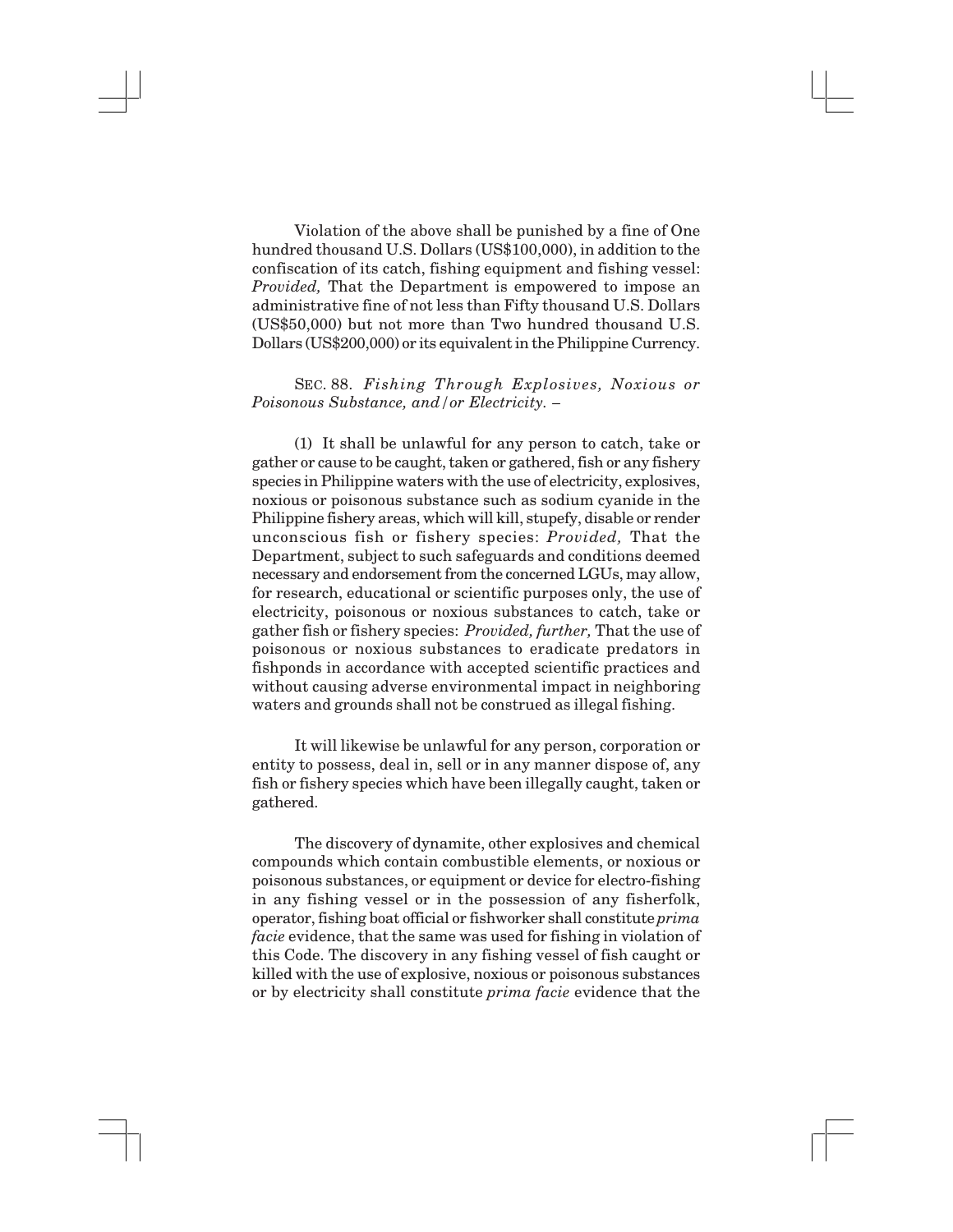Violation of the above shall be punished by a fine of One hundred thousand U.S. Dollars (US\$100,000), in addition to the confiscation of its catch, fishing equipment and fishing vessel: *Provided,* That the Department is empowered to impose an administrative fine of not less than Fifty thousand U.S. Dollars (US\$50,000) but not more than Two hundred thousand U.S. Dollars (US\$200,000) or its equivalent in the Philippine Currency.

SEC. 88. *Fishing Through Explosives, Noxious or Poisonous Substance, and/or Electricity. –*

(1) It shall be unlawful for any person to catch, take or gather or cause to be caught, taken or gathered, fish or any fishery species in Philippine waters with the use of electricity, explosives, noxious or poisonous substance such as sodium cyanide in the Philippine fishery areas, which will kill, stupefy, disable or render unconscious fish or fishery species: *Provided,* That the Department, subject to such safeguards and conditions deemed necessary and endorsement from the concerned LGUs, may allow, for research, educational or scientific purposes only, the use of electricity, poisonous or noxious substances to catch, take or gather fish or fishery species: *Provided, further,* That the use of poisonous or noxious substances to eradicate predators in fishponds in accordance with accepted scientific practices and without causing adverse environmental impact in neighboring waters and grounds shall not be construed as illegal fishing.

It will likewise be unlawful for any person, corporation or entity to possess, deal in, sell or in any manner dispose of, any fish or fishery species which have been illegally caught, taken or gathered.

The discovery of dynamite, other explosives and chemical compounds which contain combustible elements, or noxious or poisonous substances, or equipment or device for electro-fishing in any fishing vessel or in the possession of any fisherfolk, operator, fishing boat official or fishworker shall constitute *prima facie* evidence, that the same was used for fishing in violation of this Code. The discovery in any fishing vessel of fish caught or killed with the use of explosive, noxious or poisonous substances or by electricity shall constitute *prima facie* evidence that the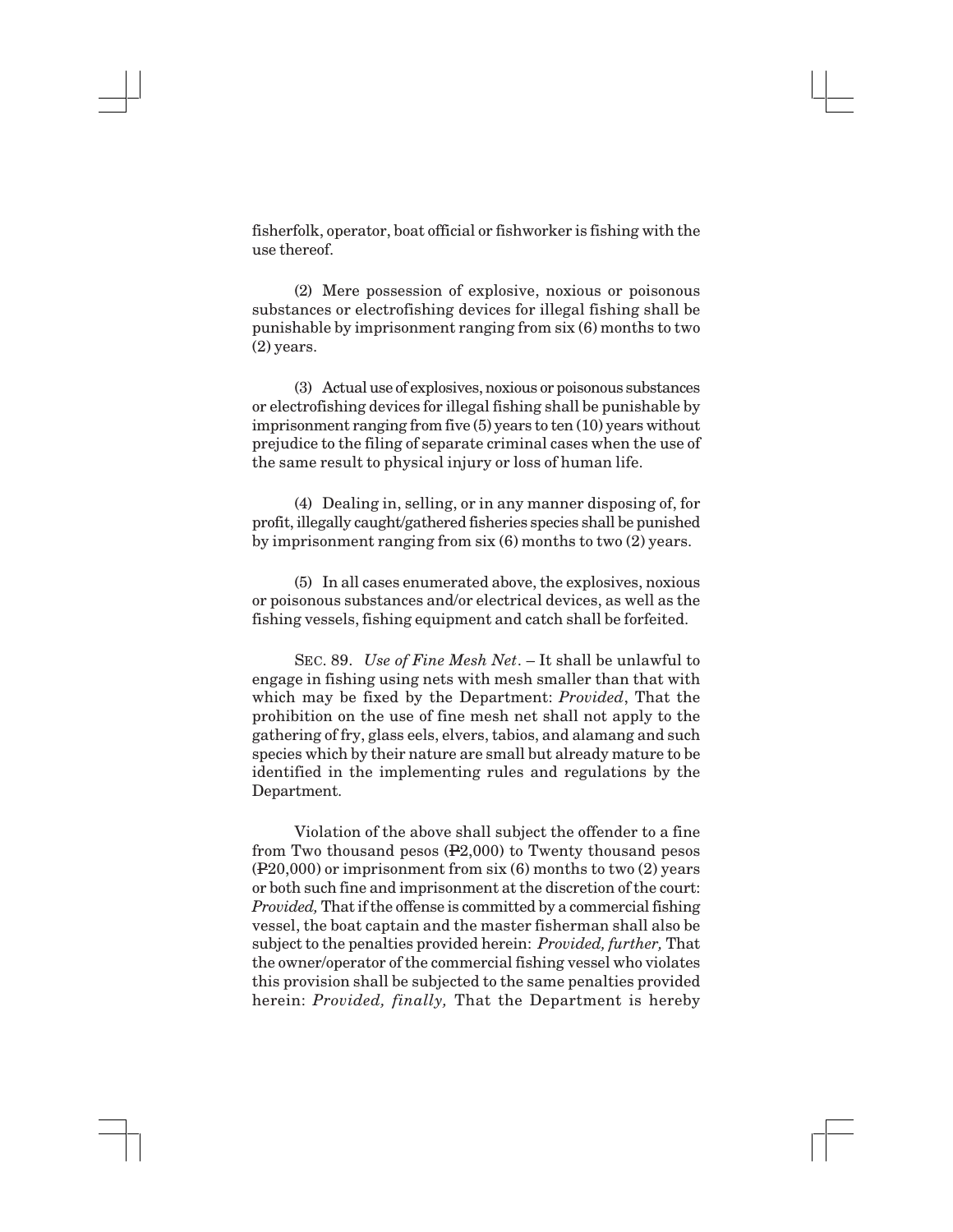fisherfolk, operator, boat official or fishworker is fishing with the use thereof.

(2) Mere possession of explosive, noxious or poisonous substances or electrofishing devices for illegal fishing shall be punishable by imprisonment ranging from six (6) months to two (2) years.

(3) Actual use of explosives, noxious or poisonous substances or electrofishing devices for illegal fishing shall be punishable by imprisonment ranging from five (5) years to ten (10) years without prejudice to the filing of separate criminal cases when the use of the same result to physical injury or loss of human life.

(4) Dealing in, selling, or in any manner disposing of, for profit, illegally caught/gathered fisheries species shall be punished by imprisonment ranging from six (6) months to two (2) years.

(5) In all cases enumerated above, the explosives, noxious or poisonous substances and/or electrical devices, as well as the fishing vessels, fishing equipment and catch shall be forfeited.

SEC. 89. *Use of Fine Mesh Net*. – It shall be unlawful to engage in fishing using nets with mesh smaller than that with which may be fixed by the Department: *Provided*, That the prohibition on the use of fine mesh net shall not apply to the gathering of fry, glass eels, elvers, tabios, and alamang and such species which by their nature are small but already mature to be identified in the implementing rules and regulations by the Department.

Violation of the above shall subject the offender to a fine from Two thousand pesos (P2,000) to Twenty thousand pesos (P20,000) or imprisonment from six (6) months to two (2) years or both such fine and imprisonment at the discretion of the court: *Provided,* That if the offense is committed by a commercial fishing vessel, the boat captain and the master fisherman shall also be subject to the penalties provided herein: *Provided, further,* That the owner/operator of the commercial fishing vessel who violates this provision shall be subjected to the same penalties provided herein: *Provided, finally,* That the Department is hereby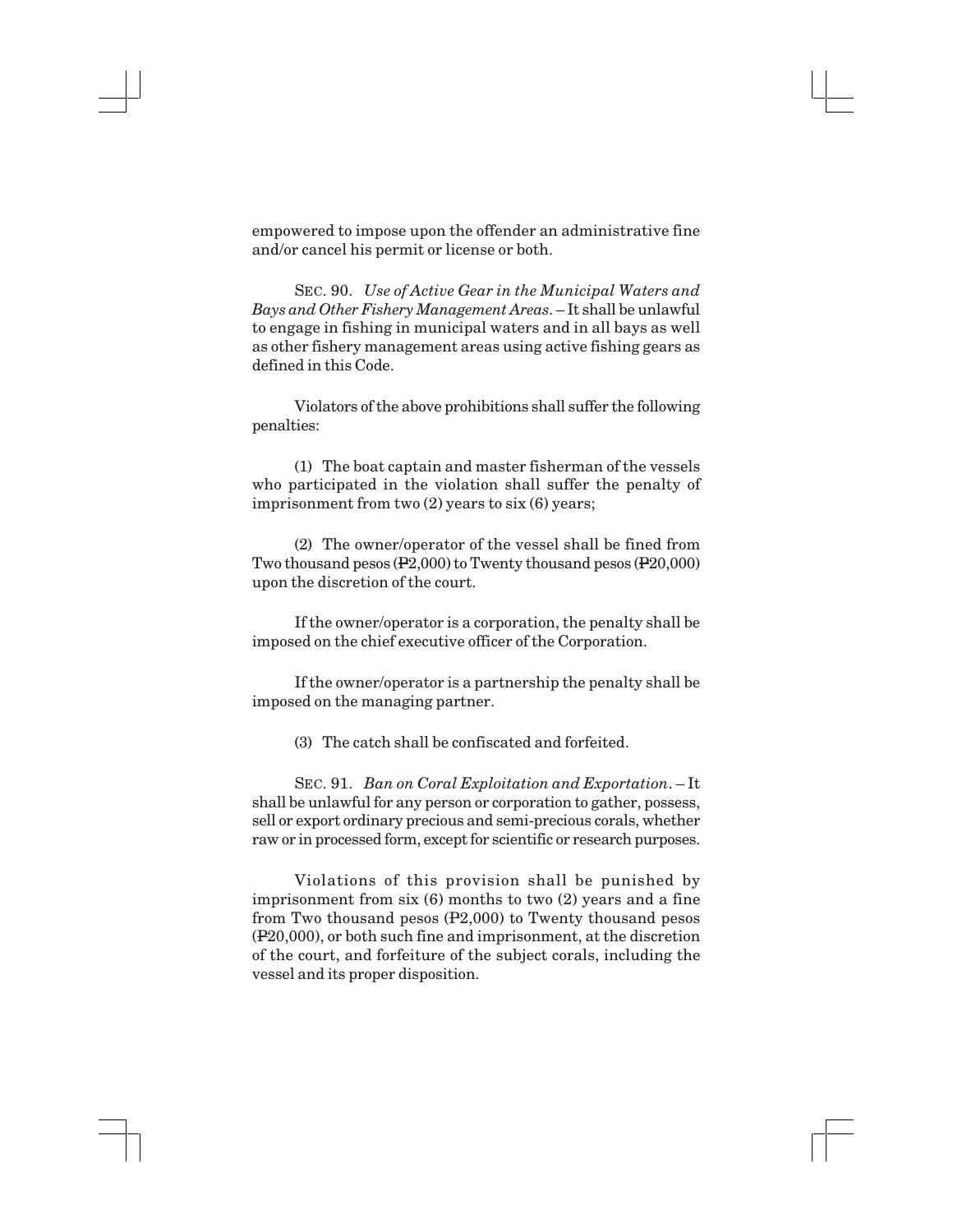empowered to impose upon the offender an administrative fine and/or cancel his permit or license or both.

SEC. 90. *Use of Active Gear in the Municipal Waters and Bays and Other Fishery Management Areas*. – It shall be unlawful to engage in fishing in municipal waters and in all bays as well as other fishery management areas using active fishing gears as defined in this Code.

Violators of the above prohibitions shall suffer the following penalties:

(1) The boat captain and master fisherman of the vessels who participated in the violation shall suffer the penalty of imprisonment from two (2) years to six (6) years;

(2) The owner/operator of the vessel shall be fined from Two thousand pesos (P2,000) to Twenty thousand pesos (P20,000) upon the discretion of the court.

If the owner/operator is a corporation, the penalty shall be imposed on the chief executive officer of the Corporation.

If the owner/operator is a partnership the penalty shall be imposed on the managing partner.

(3) The catch shall be confiscated and forfeited.

SEC. 91. *Ban on Coral Exploitation and Exportation*. – It shall be unlawful for any person or corporation to gather, possess, sell or export ordinary precious and semi-precious corals, whether raw or in processed form, except for scientific or research purposes.

Violations of this provision shall be punished by imprisonment from six (6) months to two (2) years and a fine from Two thousand pesos (P2,000) to Twenty thousand pesos (P20,000), or both such fine and imprisonment, at the discretion of the court, and forfeiture of the subject corals, including the vessel and its proper disposition.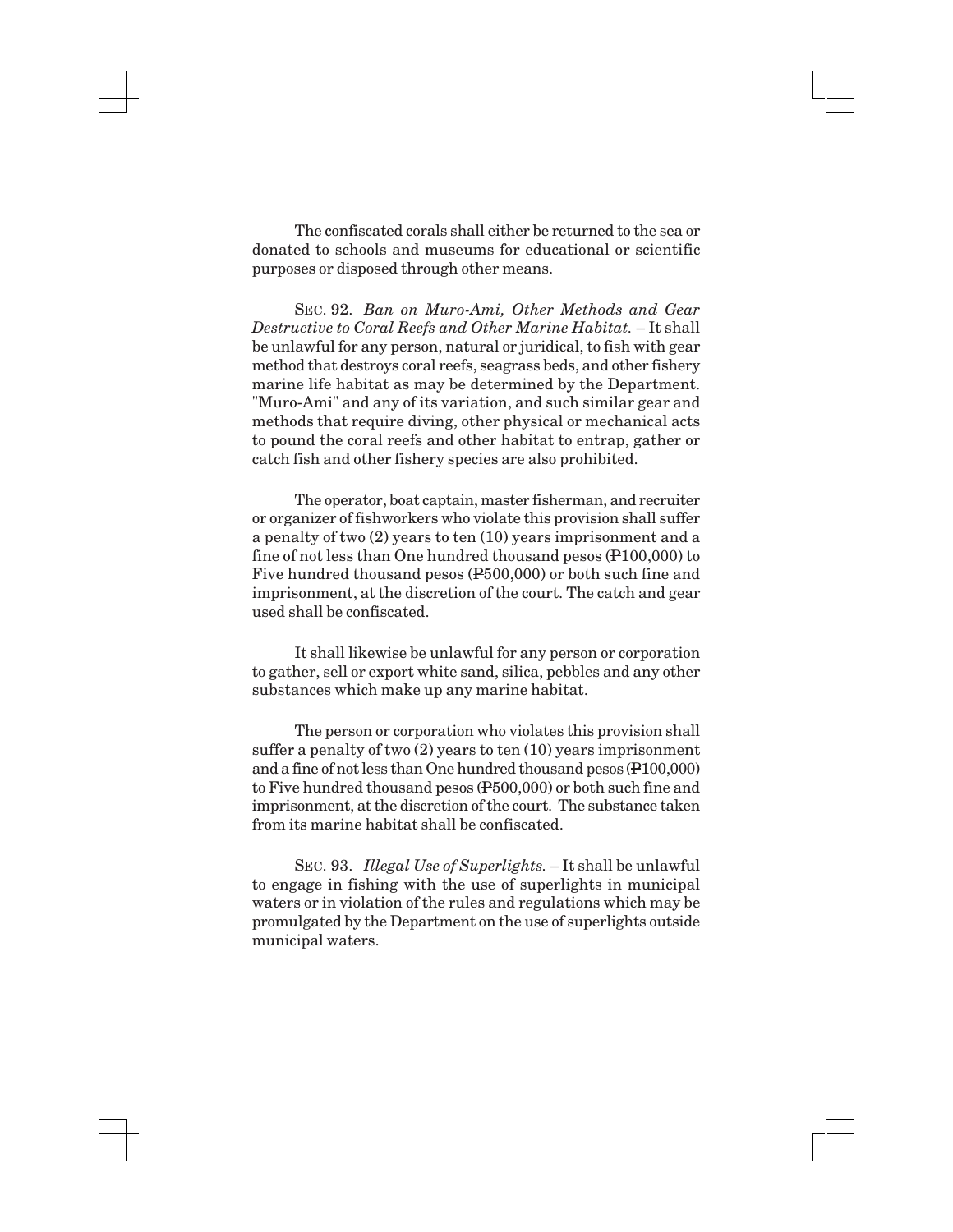The confiscated corals shall either be returned to the sea or donated to schools and museums for educational or scientific purposes or disposed through other means.

SEC. 92. *Ban on Muro-Ami, Other Methods and Gear Destructive to Coral Reefs and Other Marine Habitat.* – It shall be unlawful for any person, natural or juridical, to fish with gear method that destroys coral reefs, seagrass beds, and other fishery marine life habitat as may be determined by the Department. "Muro-Ami" and any of its variation, and such similar gear and methods that require diving, other physical or mechanical acts to pound the coral reefs and other habitat to entrap, gather or catch fish and other fishery species are also prohibited.

The operator, boat captain, master fisherman, and recruiter or organizer of fishworkers who violate this provision shall suffer a penalty of two (2) years to ten (10) years imprisonment and a fine of not less than One hundred thousand pesos (P100,000) to Five hundred thousand pesos (P500,000) or both such fine and imprisonment, at the discretion of the court. The catch and gear used shall be confiscated.

It shall likewise be unlawful for any person or corporation to gather, sell or export white sand, silica, pebbles and any other substances which make up any marine habitat.

The person or corporation who violates this provision shall suffer a penalty of two (2) years to ten (10) years imprisonment and a fine of not less than One hundred thousand pesos (P100,000) to Five hundred thousand pesos (P500,000) or both such fine and imprisonment, at the discretion of the court. The substance taken from its marine habitat shall be confiscated.

SEC. 93. *Illegal Use of Superlights.* – It shall be unlawful to engage in fishing with the use of superlights in municipal waters or in violation of the rules and regulations which may be promulgated by the Department on the use of superlights outside municipal waters.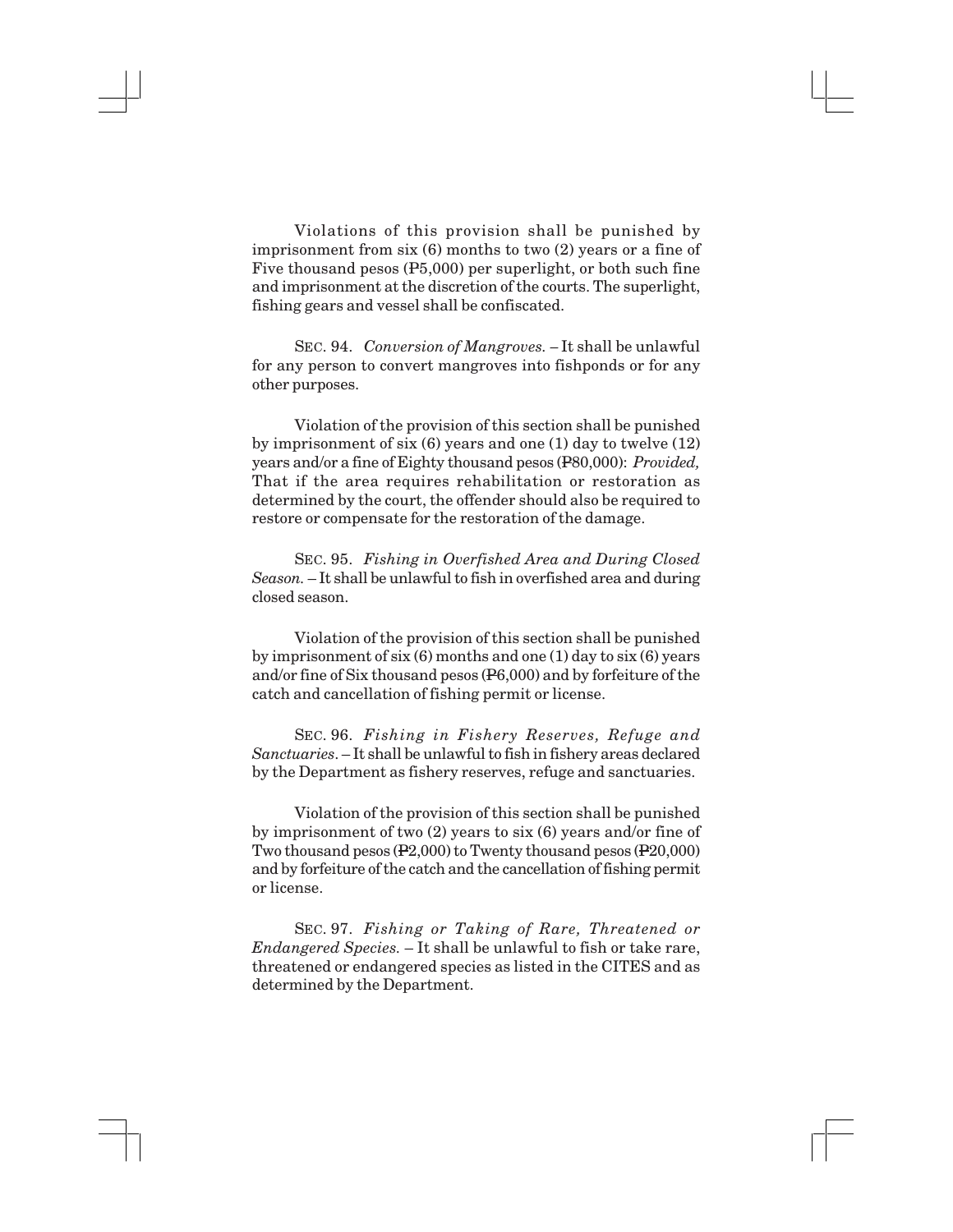Violations of this provision shall be punished by imprisonment from six (6) months to two (2) years or a fine of Five thousand pesos (P5,000) per superlight, or both such fine and imprisonment at the discretion of the courts. The superlight, fishing gears and vessel shall be confiscated.

SEC. 94. *Conversion of Mangroves. –* It shall be unlawful for any person to convert mangroves into fishponds or for any other purposes.

Violation of the provision of this section shall be punished by imprisonment of six (6) years and one (1) day to twelve (12) years and/or a fine of Eighty thousand pesos (P80,000): *Provided,* That if the area requires rehabilitation or restoration as determined by the court, the offender should also be required to restore or compensate for the restoration of the damage.

SEC. 95. *Fishing in Overfished Area and During Closed Season.* – It shall be unlawful to fish in overfished area and during closed season.

Violation of the provision of this section shall be punished by imprisonment of six  $(6)$  months and one  $(1)$  day to six  $(6)$  years and/or fine of Six thousand pesos (P6,000) and by forfeiture of the catch and cancellation of fishing permit or license.

SEC. 96. *Fishing in Fishery Reserves, Refuge and Sanctuaries*. – It shall be unlawful to fish in fishery areas declared by the Department as fishery reserves, refuge and sanctuaries.

Violation of the provision of this section shall be punished by imprisonment of two (2) years to six (6) years and/or fine of Two thousand pesos (P2,000) to Twenty thousand pesos (P20,000) and by forfeiture of the catch and the cancellation of fishing permit or license.

SEC. 97. *Fishing or Taking of Rare, Threatened or Endangered Species.* – It shall be unlawful to fish or take rare, threatened or endangered species as listed in the CITES and as determined by the Department.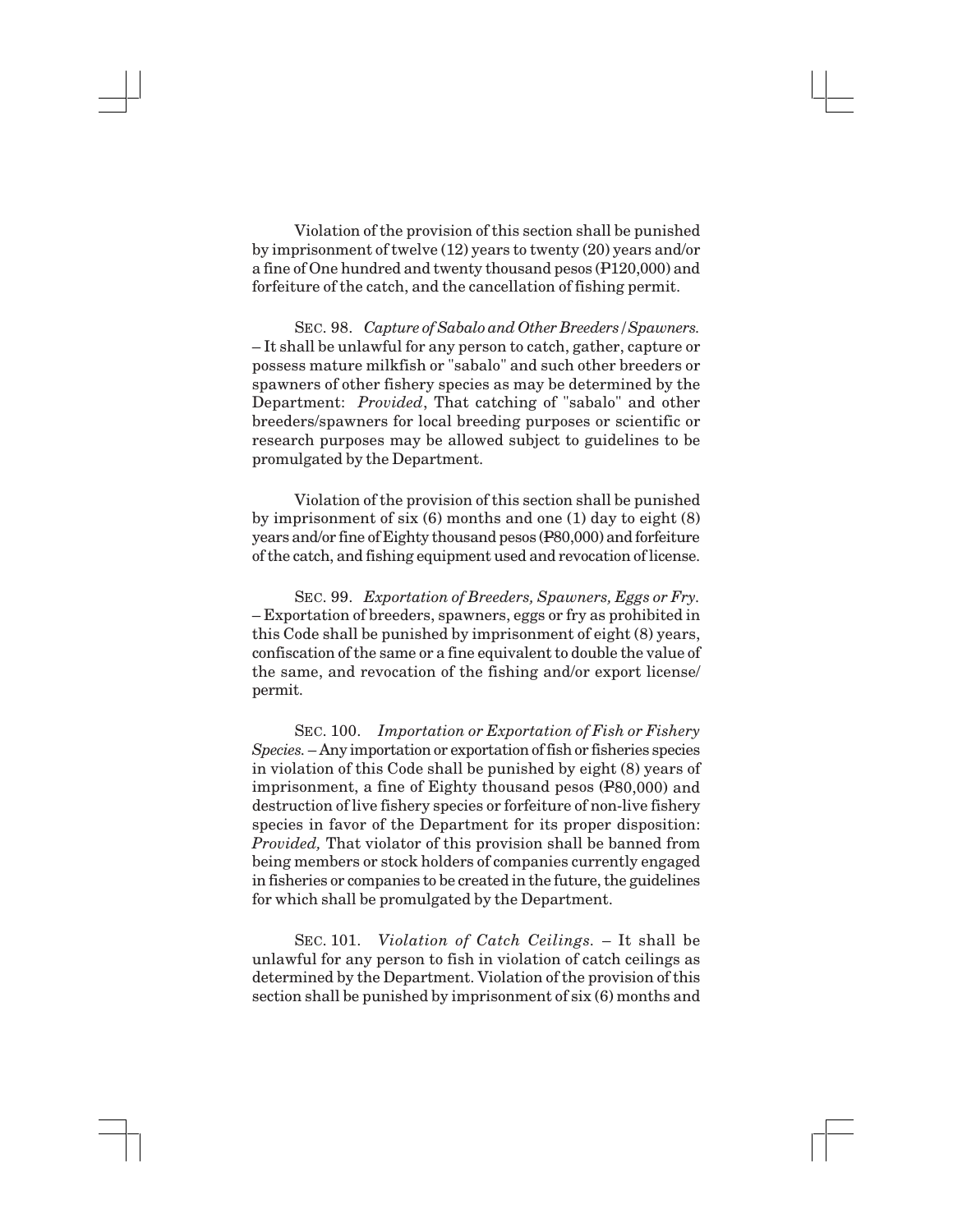Violation of the provision of this section shall be punished by imprisonment of twelve (12) years to twenty (20) years and/or a fine of One hundred and twenty thousand pesos (P120,000) and forfeiture of the catch, and the cancellation of fishing permit.

SEC. 98. *Capture of Sabalo and Other Breeders/Spawners.* – It shall be unlawful for any person to catch, gather, capture or possess mature milkfish or "sabalo" and such other breeders or spawners of other fishery species as may be determined by the Department: *Provided*, That catching of "sabalo" and other breeders/spawners for local breeding purposes or scientific or research purposes may be allowed subject to guidelines to be promulgated by the Department.

Violation of the provision of this section shall be punished by imprisonment of six (6) months and one (1) day to eight (8) years and/or fine of Eighty thousand pesos (P80,000) and forfeiture of the catch, and fishing equipment used and revocation of license.

SEC. 99. *Exportation of Breeders, Spawners, Eggs or Fry.* – Exportation of breeders, spawners, eggs or fry as prohibited in this Code shall be punished by imprisonment of eight (8) years, confiscation of the same or a fine equivalent to double the value of the same, and revocation of the fishing and/or export license/ permit.

SEC. 100. *Importation or Exportation of Fish or Fishery Species.* – Any importation or exportation of fish or fisheries species in violation of this Code shall be punished by eight (8) years of imprisonment, a fine of Eighty thousand pesos (P80,000) and destruction of live fishery species or forfeiture of non-live fishery species in favor of the Department for its proper disposition: *Provided,* That violator of this provision shall be banned from being members or stock holders of companies currently engaged in fisheries or companies to be created in the future, the guidelines for which shall be promulgated by the Department.

SEC. 101. *Violation of Catch Ceilings.* – It shall be unlawful for any person to fish in violation of catch ceilings as determined by the Department. Violation of the provision of this section shall be punished by imprisonment of six (6) months and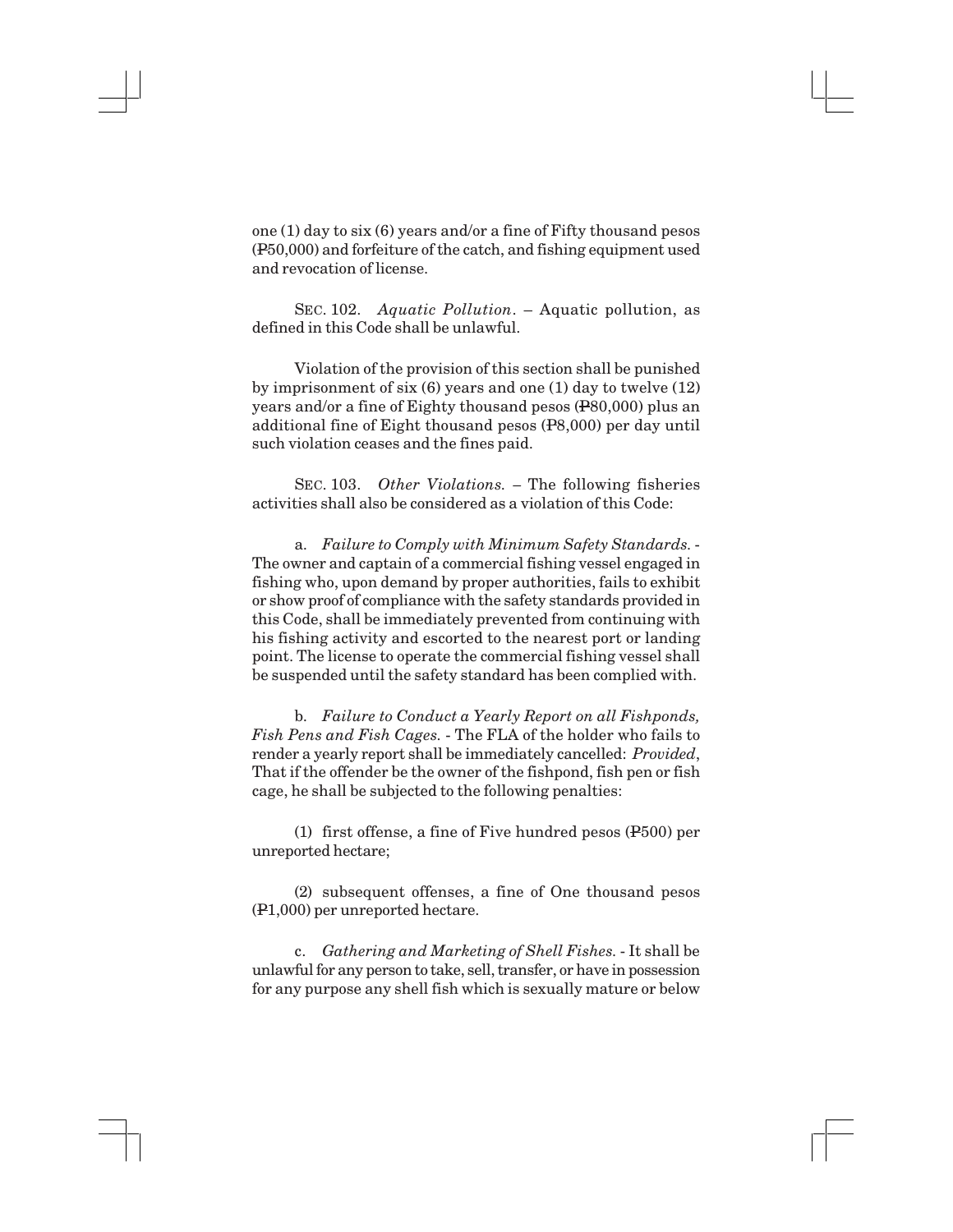one (1) day to six (6) years and/or a fine of Fifty thousand pesos (P50,000) and forfeiture of the catch, and fishing equipment used and revocation of license.

SEC. 102. *Aquatic Pollution*. – Aquatic pollution, as defined in this Code shall be unlawful.

Violation of the provision of this section shall be punished by imprisonment of six (6) years and one (1) day to twelve (12) years and/or a fine of Eighty thousand pesos (P80,000) plus an additional fine of Eight thousand pesos (P8,000) per day until such violation ceases and the fines paid.

SEC. 103. *Other Violations. –* The following fisheries activities shall also be considered as a violation of this Code:

a. *Failure to Comply with Minimum Safety Standards.* - The owner and captain of a commercial fishing vessel engaged in fishing who, upon demand by proper authorities, fails to exhibit or show proof of compliance with the safety standards provided in this Code, shall be immediately prevented from continuing with his fishing activity and escorted to the nearest port or landing point. The license to operate the commercial fishing vessel shall be suspended until the safety standard has been complied with.

b. *Failure to Conduct a Yearly Report on all Fishponds, Fish Pens and Fish Cages.* - The FLA of the holder who fails to render a yearly report shall be immediately cancelled: *Provided*, That if the offender be the owner of the fishpond, fish pen or fish cage, he shall be subjected to the following penalties:

(1) first offense, a fine of Five hundred pesos (P500) per unreported hectare;

(2) subsequent offenses, a fine of One thousand pesos (P1,000) per unreported hectare.

c. *Gathering and Marketing of Shell Fishes.* - It shall be unlawful for any person to take, sell, transfer, or have in possession for any purpose any shell fish which is sexually mature or below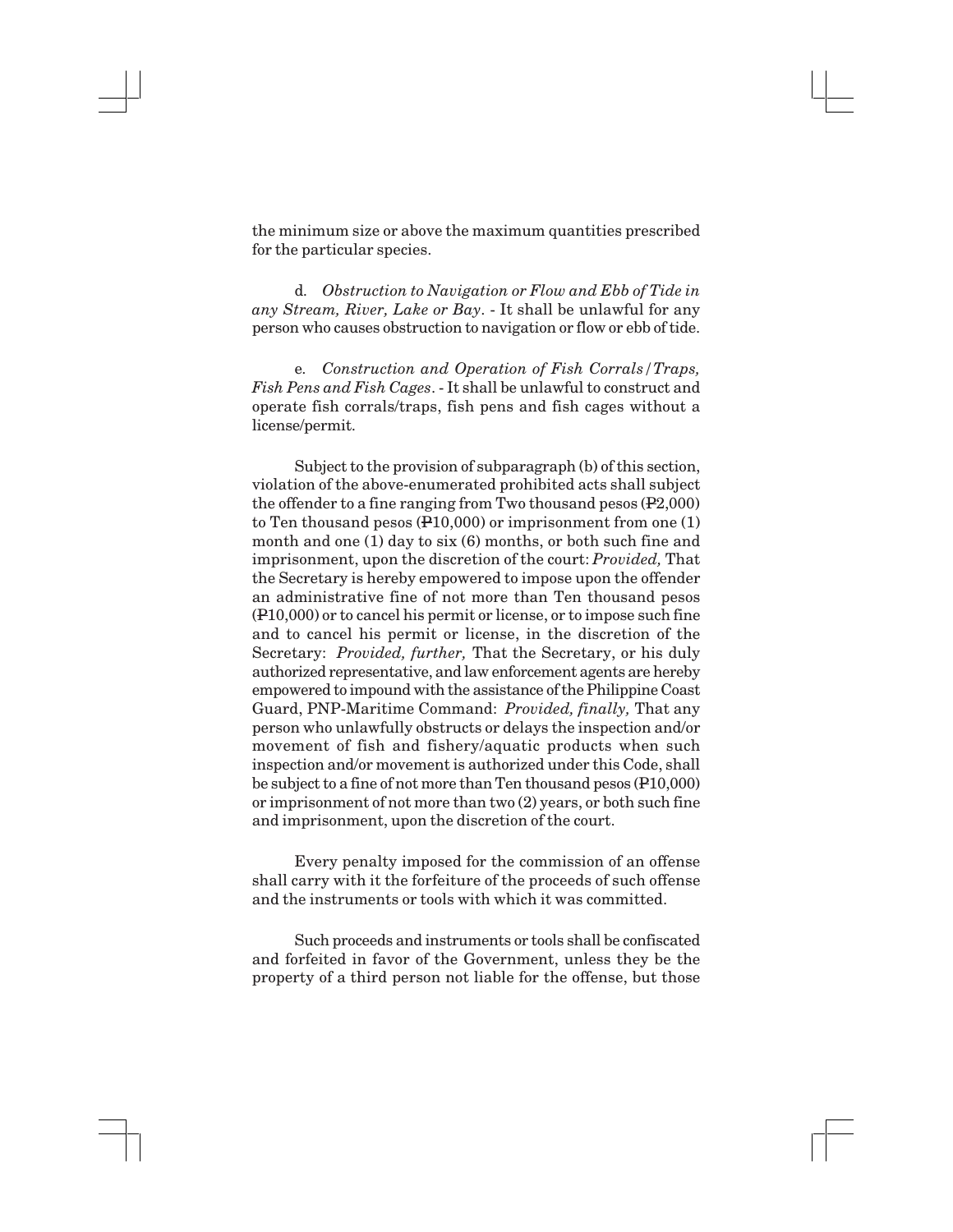the minimum size or above the maximum quantities prescribed for the particular species.

d. *Obstruction to Navigation or Flow and Ebb of Tide in any Stream, River, Lake or Bay*. - It shall be unlawful for any person who causes obstruction to navigation or flow or ebb of tide.

e. *Construction and Operation of Fish Corrals/Traps, Fish Pens and Fish Cages*. - It shall be unlawful to construct and operate fish corrals/traps, fish pens and fish cages without a license/permit.

Subject to the provision of subparagraph (b) of this section, violation of the above-enumerated prohibited acts shall subject the offender to a fine ranging from Two thousand pesos (P2,000) to Ten thousand pesos (P10,000) or imprisonment from one (1) month and one (1) day to six (6) months, or both such fine and imprisonment, upon the discretion of the court: *Provided,* That the Secretary is hereby empowered to impose upon the offender an administrative fine of not more than Ten thousand pesos (P10,000) or to cancel his permit or license, or to impose such fine and to cancel his permit or license, in the discretion of the Secretary: *Provided, further,* That the Secretary, or his duly authorized representative, and law enforcement agents are hereby empowered to impound with the assistance of the Philippine Coast Guard, PNP-Maritime Command: *Provided, finally,* That any person who unlawfully obstructs or delays the inspection and/or movement of fish and fishery/aquatic products when such inspection and/or movement is authorized under this Code, shall be subject to a fine of not more than Ten thousand pesos (P10,000) or imprisonment of not more than two (2) years, or both such fine and imprisonment, upon the discretion of the court.

Every penalty imposed for the commission of an offense shall carry with it the forfeiture of the proceeds of such offense and the instruments or tools with which it was committed.

Such proceeds and instruments or tools shall be confiscated and forfeited in favor of the Government, unless they be the property of a third person not liable for the offense, but those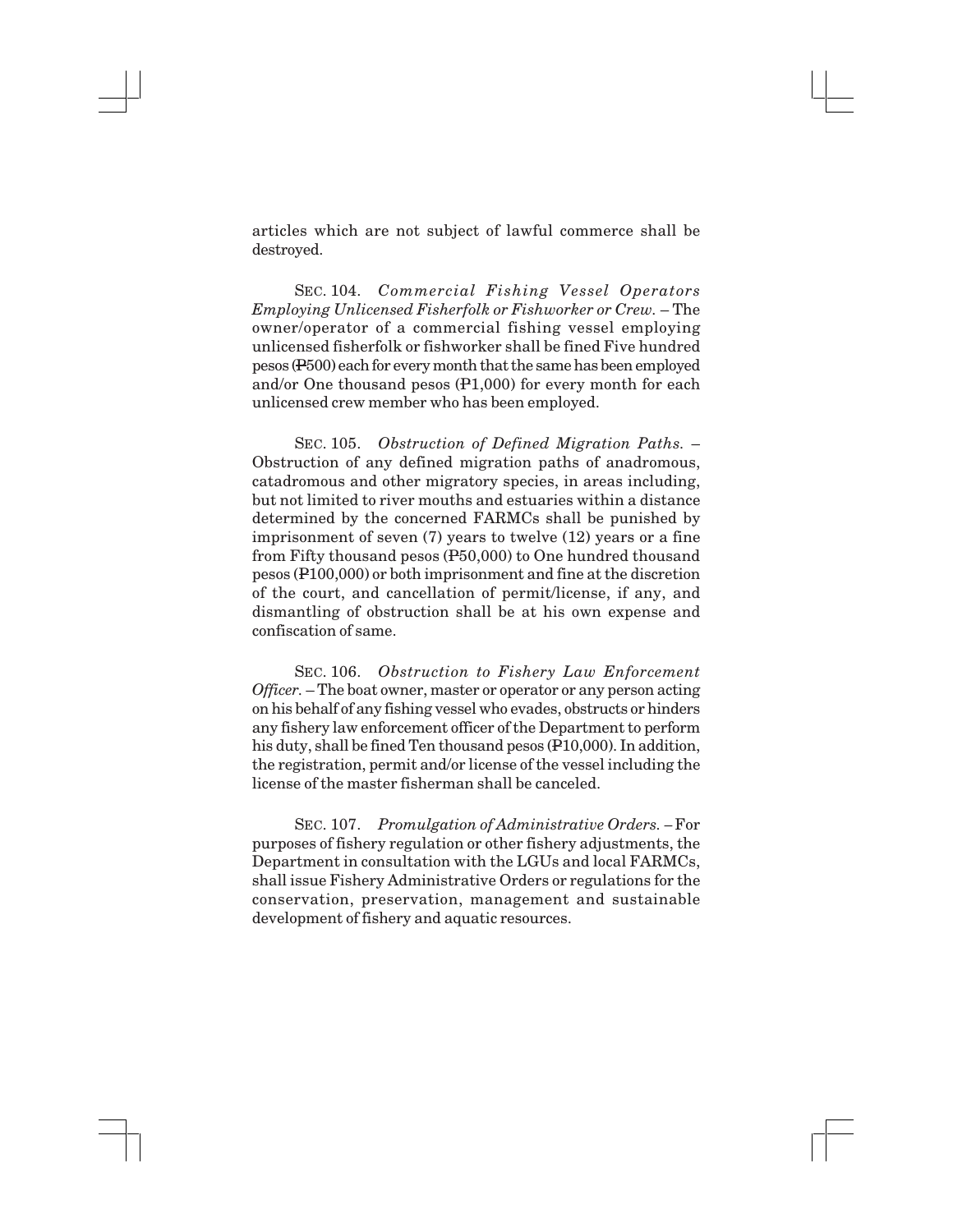articles which are not subject of lawful commerce shall be destroyed.

SEC. 104. *Commercial Fishing Vessel Operators Employing Unlicensed Fisherfolk or Fishworker or Crew.* – The owner/operator of a commercial fishing vessel employing unlicensed fisherfolk or fishworker shall be fined Five hundred pesos (P500) each for every month that the same has been employed and/or One thousand pesos (P1,000) for every month for each unlicensed crew member who has been employed.

SEC. 105. *Obstruction of Defined Migration Paths.* – Obstruction of any defined migration paths of anadromous, catadromous and other migratory species, in areas including, but not limited to river mouths and estuaries within a distance determined by the concerned FARMCs shall be punished by imprisonment of seven (7) years to twelve (12) years or a fine from Fifty thousand pesos (P50,000) to One hundred thousand pesos (P100,000) or both imprisonment and fine at the discretion of the court, and cancellation of permit/license, if any, and dismantling of obstruction shall be at his own expense and confiscation of same.

SEC. 106. *Obstruction to Fishery Law Enforcement Officer.* – The boat owner, master or operator or any person acting on his behalf of any fishing vessel who evades, obstructs or hinders any fishery law enforcement officer of the Department to perform his duty, shall be fined Ten thousand pesos (P10,000). In addition, the registration, permit and/or license of the vessel including the license of the master fisherman shall be canceled.

SEC. 107. *Promulgation of Administrative Orders. –* For purposes of fishery regulation or other fishery adjustments, the Department in consultation with the LGUs and local FARMCs, shall issue Fishery Administrative Orders or regulations for the conservation, preservation, management and sustainable development of fishery and aquatic resources.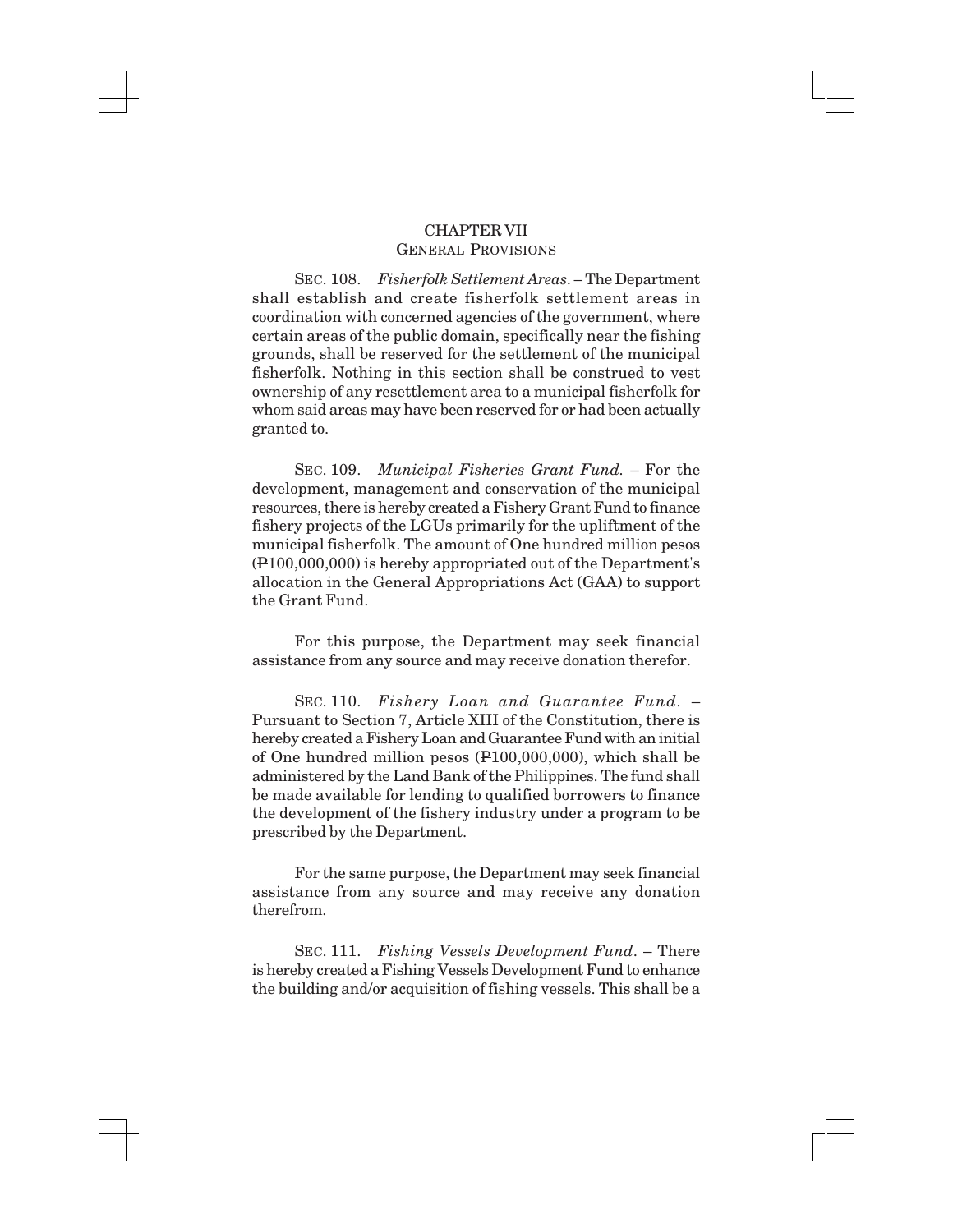## CHAPTER VII GENERAL PROVISIONS

SEC. 108. *Fisherfolk Settlement Areas*. – The Department shall establish and create fisherfolk settlement areas in coordination with concerned agencies of the government, where certain areas of the public domain, specifically near the fishing grounds, shall be reserved for the settlement of the municipal fisherfolk. Nothing in this section shall be construed to vest ownership of any resettlement area to a municipal fisherfolk for whom said areas may have been reserved for or had been actually granted to.

SEC. 109. *Municipal Fisheries Grant Fund.* – For the development, management and conservation of the municipal resources, there is hereby created a Fishery Grant Fund to finance fishery projects of the LGUs primarily for the upliftment of the municipal fisherfolk. The amount of One hundred million pesos (P100,000,000) is hereby appropriated out of the Department's allocation in the General Appropriations Act (GAA) to support the Grant Fund.

For this purpose, the Department may seek financial assistance from any source and may receive donation therefor.

SEC. 110. *Fishery Loan and Guarantee Fund.* – Pursuant to Section 7, Article XIII of the Constitution, there is hereby created a Fishery Loan and Guarantee Fund with an initial of One hundred million pesos (P100,000,000), which shall be administered by the Land Bank of the Philippines. The fund shall be made available for lending to qualified borrowers to finance the development of the fishery industry under a program to be prescribed by the Department.

For the same purpose, the Department may seek financial assistance from any source and may receive any donation therefrom.

SEC. 111. *Fishing Vessels Development Fund*. – There is hereby created a Fishing Vessels Development Fund to enhance the building and/or acquisition of fishing vessels. This shall be a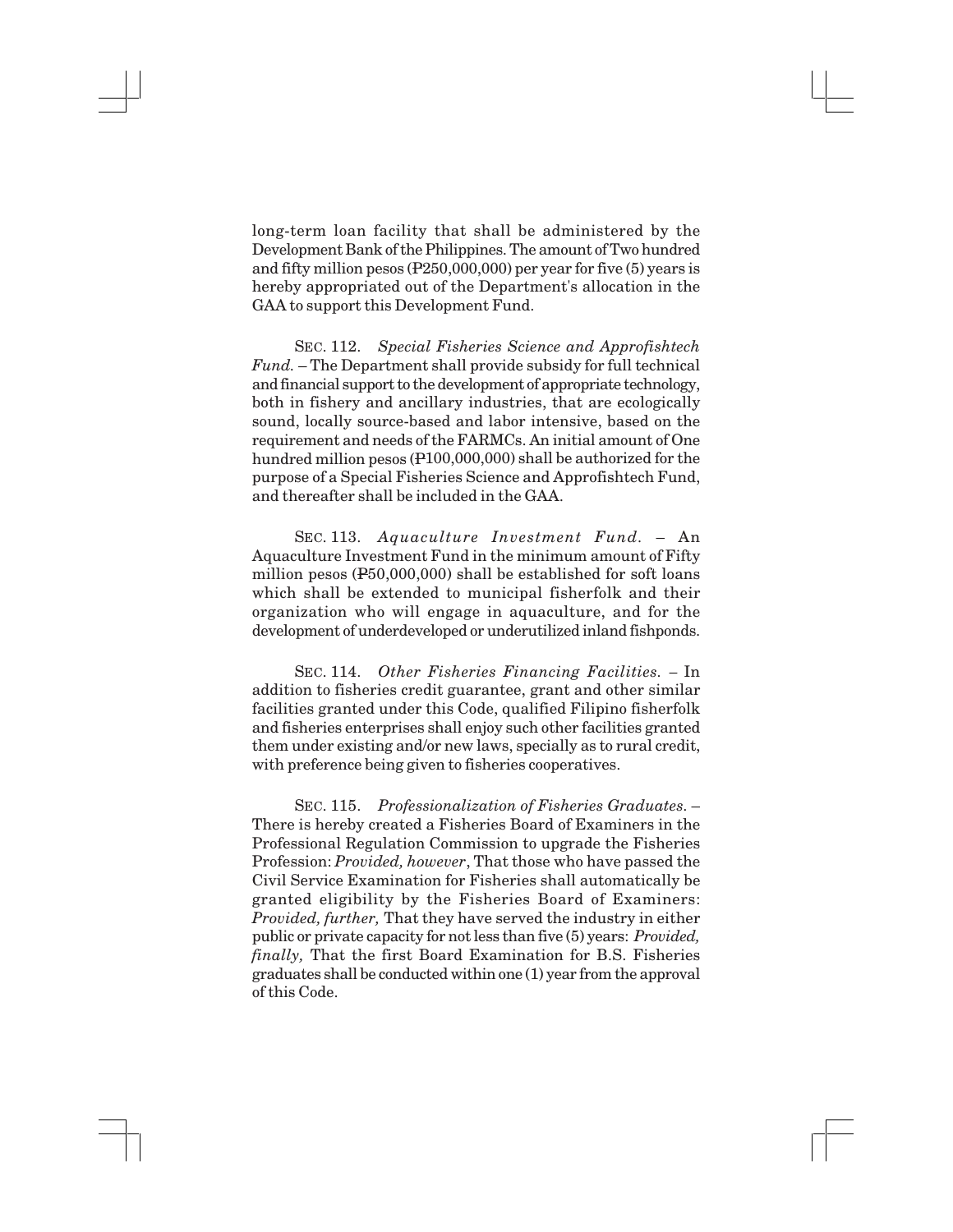long-term loan facility that shall be administered by the Development Bank of the Philippines. The amount of Two hundred and fifty million pesos (P250,000,000) per year for five (5) years is hereby appropriated out of the Department's allocation in the GAA to support this Development Fund.

SEC. 112. *Special Fisheries Science and Approfishtech Fund.* – The Department shall provide subsidy for full technical and financial support to the development of appropriate technology, both in fishery and ancillary industries, that are ecologically sound, locally source-based and labor intensive, based on the requirement and needs of the FARMCs. An initial amount of One hundred million pesos (P100,000,000) shall be authorized for the purpose of a Special Fisheries Science and Approfishtech Fund, and thereafter shall be included in the GAA.

SEC. 113. *Aquaculture Investment Fund.* – An Aquaculture Investment Fund in the minimum amount of Fifty million pesos (P50,000,000) shall be established for soft loans which shall be extended to municipal fisherfolk and their organization who will engage in aquaculture, and for the development of underdeveloped or underutilized inland fishponds.

SEC. 114. *Other Fisheries Financing Facilities. –* In addition to fisheries credit guarantee, grant and other similar facilities granted under this Code, qualified Filipino fisherfolk and fisheries enterprises shall enjoy such other facilities granted them under existing and/or new laws, specially as to rural credit, with preference being given to fisheries cooperatives.

SEC. 115. *Professionalization of Fisheries Graduates*. – There is hereby created a Fisheries Board of Examiners in the Professional Regulation Commission to upgrade the Fisheries Profession: *Provided, however*, That those who have passed the Civil Service Examination for Fisheries shall automatically be granted eligibility by the Fisheries Board of Examiners: *Provided, further,* That they have served the industry in either public or private capacity for not less than five (5) years: *Provided, finally,* That the first Board Examination for B.S. Fisheries graduates shall be conducted within one (1) year from the approval of this Code.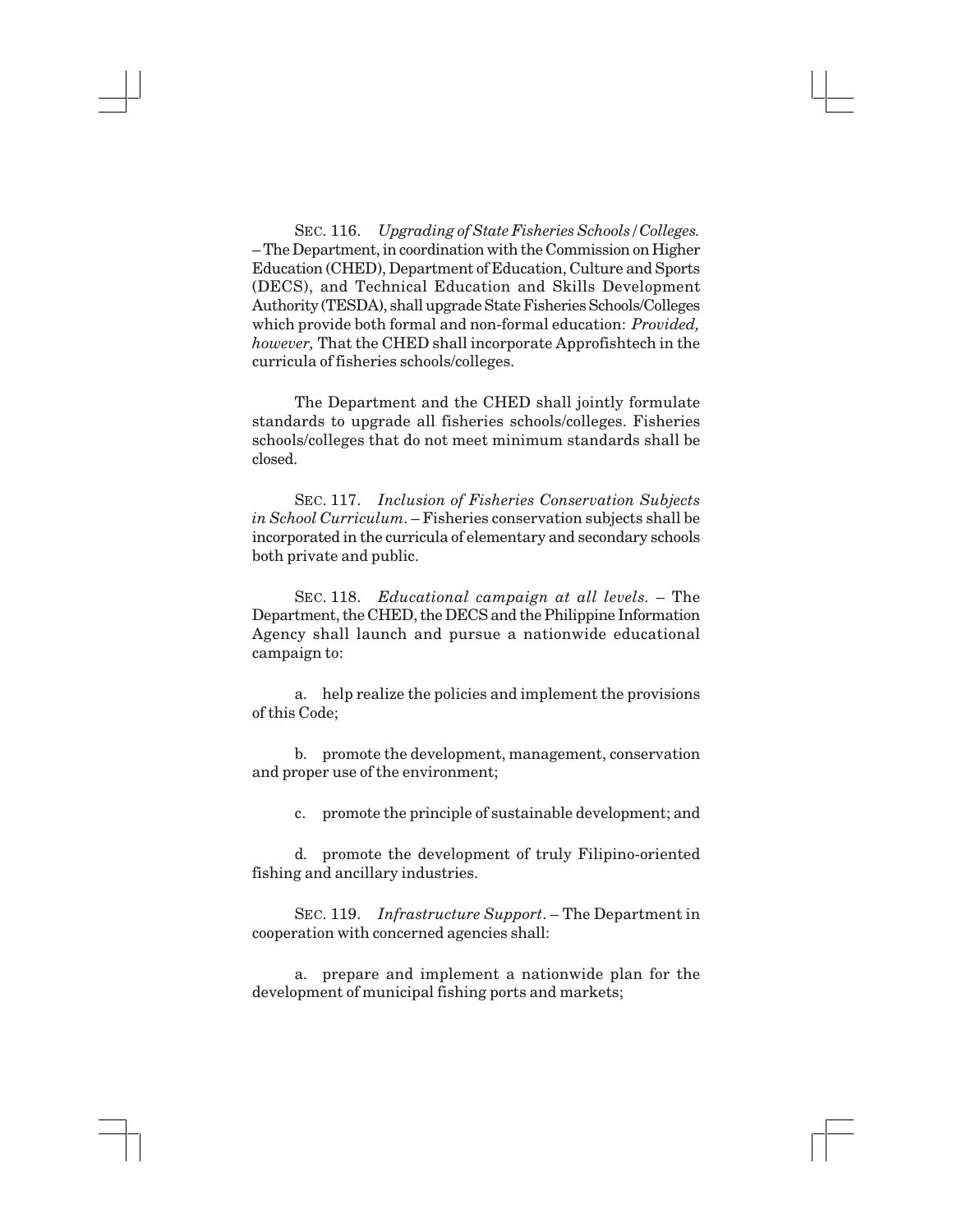SEC. 116. *Upgrading of State Fisheries Schools/Colleges.* – The Department, in coordination with the Commission on Higher Education (CHED), Department of Education, Culture and Sports (DECS), and Technical Education and Skills Development Authority (TESDA), shall upgrade State Fisheries Schools/Colleges which provide both formal and non-formal education: *Provided, however,* That the CHED shall incorporate Approfishtech in the curricula of fisheries schools/colleges.

The Department and the CHED shall jointly formulate standards to upgrade all fisheries schools/colleges. Fisheries schools/colleges that do not meet minimum standards shall be closed.

SEC. 117. *Inclusion of Fisheries Conservation Subjects in School Curriculum*. – Fisheries conservation subjects shall be incorporated in the curricula of elementary and secondary schools both private and public.

SEC. 118. *Educational campaign at all levels.* – The Department, the CHED, the DECS and the Philippine Information Agency shall launch and pursue a nationwide educational campaign to:

a. help realize the policies and implement the provisions of this Code;

b. promote the development, management, conservation and proper use of the environment;

c. promote the principle of sustainable development; and

d. promote the development of truly Filipino-oriented fishing and ancillary industries.

SEC. 119. *Infrastructure Support*. – The Department in cooperation with concerned agencies shall:

a. prepare and implement a nationwide plan for the development of municipal fishing ports and markets;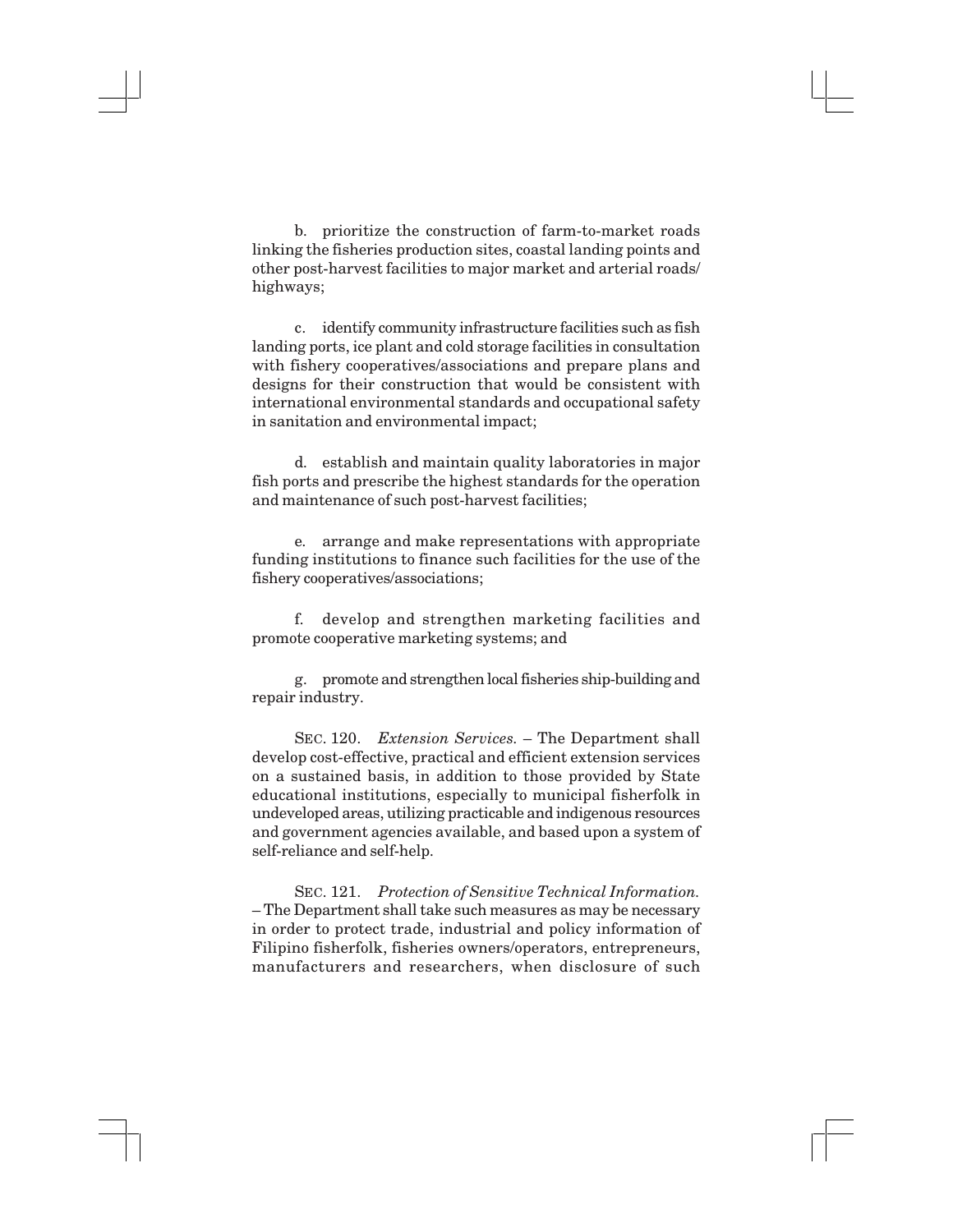b. prioritize the construction of farm-to-market roads linking the fisheries production sites, coastal landing points and other post-harvest facilities to major market and arterial roads/ highways;

c. identify community infrastructure facilities such as fish landing ports, ice plant and cold storage facilities in consultation with fishery cooperatives/associations and prepare plans and designs for their construction that would be consistent with international environmental standards and occupational safety in sanitation and environmental impact;

d. establish and maintain quality laboratories in major fish ports and prescribe the highest standards for the operation and maintenance of such post-harvest facilities;

e. arrange and make representations with appropriate funding institutions to finance such facilities for the use of the fishery cooperatives/associations;

f. develop and strengthen marketing facilities and promote cooperative marketing systems; and

g. promote and strengthen local fisheries ship-building and repair industry.

SEC. 120. *Extension Services.* – The Department shall develop cost-effective, practical and efficient extension services on a sustained basis, in addition to those provided by State educational institutions, especially to municipal fisherfolk in undeveloped areas, utilizing practicable and indigenous resources and government agencies available, and based upon a system of self-reliance and self-help.

SEC. 121. *Protection of Sensitive Technical Information.* – The Department shall take such measures as may be necessary in order to protect trade, industrial and policy information of Filipino fisherfolk, fisheries owners/operators, entrepreneurs, manufacturers and researchers, when disclosure of such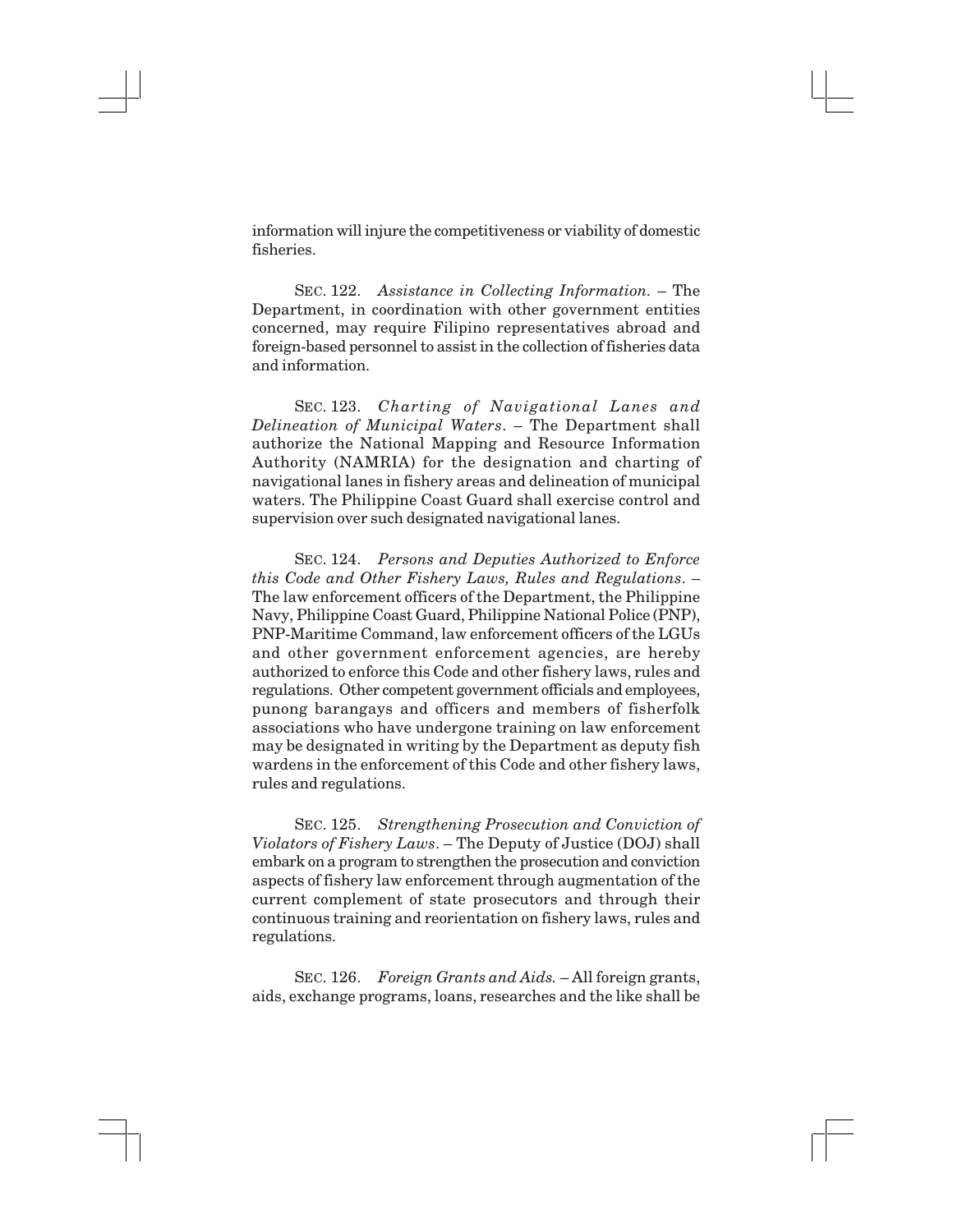information will injure the competitiveness or viability of domestic fisheries.

SEC. 122. *Assistance in Collecting Information.* – The Department, in coordination with other government entities concerned, may require Filipino representatives abroad and foreign-based personnel to assist in the collection of fisheries data and information.

SEC. 123. *Charting of Navigational Lanes and Delineation of Municipal Waters*. – The Department shall authorize the National Mapping and Resource Information Authority (NAMRIA) for the designation and charting of navigational lanes in fishery areas and delineation of municipal waters. The Philippine Coast Guard shall exercise control and supervision over such designated navigational lanes.

SEC. 124. *Persons and Deputies Authorized to Enforce this Code and Other Fishery Laws, Rules and Regulations*. – The law enforcement officers of the Department, the Philippine Navy, Philippine Coast Guard, Philippine National Police (PNP), PNP-Maritime Command, law enforcement officers of the LGUs and other government enforcement agencies, are hereby authorized to enforce this Code and other fishery laws, rules and regulations. Other competent government officials and employees, punong barangays and officers and members of fisherfolk associations who have undergone training on law enforcement may be designated in writing by the Department as deputy fish wardens in the enforcement of this Code and other fishery laws, rules and regulations.

SEC. 125. *Strengthening Prosecution and Conviction of Violators of Fishery Laws*. – The Deputy of Justice (DOJ) shall embark on a program to strengthen the prosecution and conviction aspects of fishery law enforcement through augmentation of the current complement of state prosecutors and through their continuous training and reorientation on fishery laws, rules and regulations.

SEC. 126. *Foreign Grants and Aids.* – All foreign grants, aids, exchange programs, loans, researches and the like shall be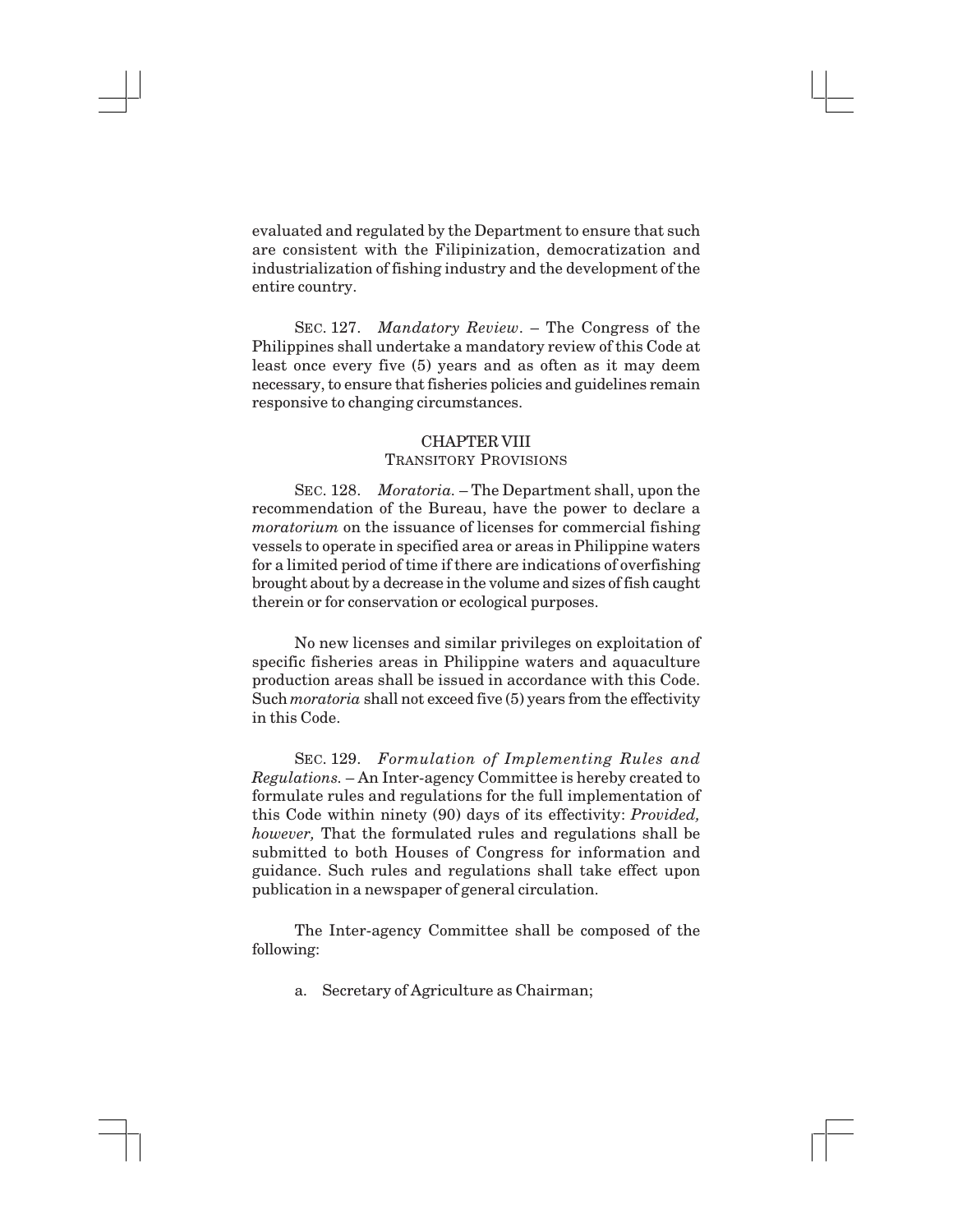evaluated and regulated by the Department to ensure that such are consistent with the Filipinization, democratization and industrialization of fishing industry and the development of the entire country.

SEC. 127. *Mandatory Review*. – The Congress of the Philippines shall undertake a mandatory review of this Code at least once every five (5) years and as often as it may deem necessary, to ensure that fisheries policies and guidelines remain responsive to changing circumstances.

# CHAPTER VIII TRANSITORY PROVISIONS

SEC. 128. *Moratoria.* – The Department shall, upon the recommendation of the Bureau, have the power to declare a *moratorium* on the issuance of licenses for commercial fishing vessels to operate in specified area or areas in Philippine waters for a limited period of time if there are indications of overfishing brought about by a decrease in the volume and sizes of fish caught therein or for conservation or ecological purposes.

No new licenses and similar privileges on exploitation of specific fisheries areas in Philippine waters and aquaculture production areas shall be issued in accordance with this Code. Such *moratoria* shall not exceed five (5) years from the effectivity in this Code.

SEC. 129. *Formulation of Implementing Rules and Regulations.* – An Inter-agency Committee is hereby created to formulate rules and regulations for the full implementation of this Code within ninety (90) days of its effectivity: *Provided, however,* That the formulated rules and regulations shall be submitted to both Houses of Congress for information and guidance. Such rules and regulations shall take effect upon publication in a newspaper of general circulation.

The Inter-agency Committee shall be composed of the following:

a. Secretary of Agriculture as Chairman;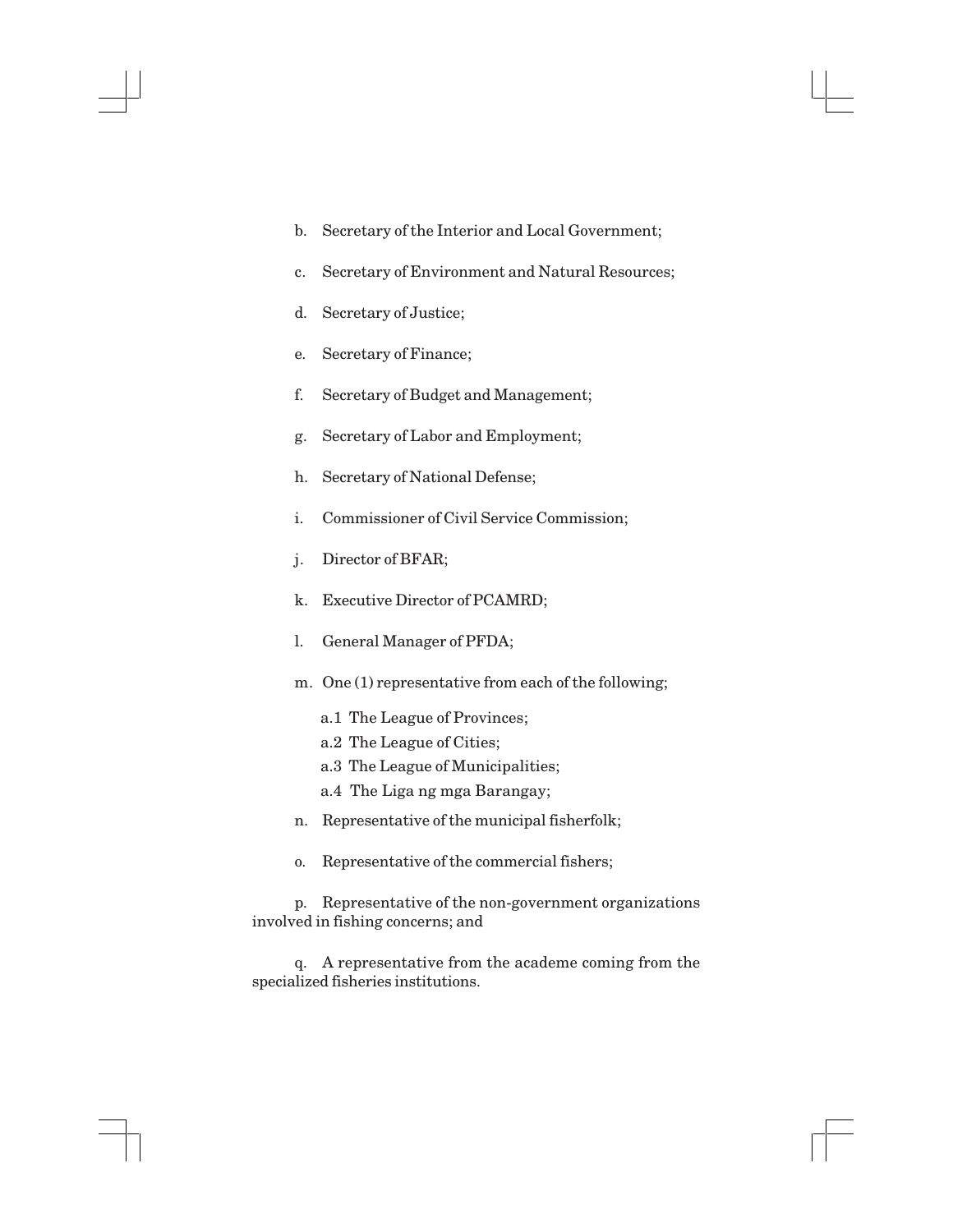- b. Secretary of the Interior and Local Government;
- c. Secretary of Environment and Natural Resources;
- d. Secretary of Justice;
- e. Secretary of Finance;
- f. Secretary of Budget and Management;
- g. Secretary of Labor and Employment;
- h. Secretary of National Defense;
- i. Commissioner of Civil Service Commission;
- j. Director of BFAR;
- k. Executive Director of PCAMRD;
- l. General Manager of PFDA;
- m. One (1) representative from each of the following;
	- a.1 The League of Provinces;
	- a.2 The League of Cities;
	- a.3 The League of Municipalities;
	- a.4 The Liga ng mga Barangay;
- n. Representative of the municipal fisherfolk;
- o. Representative of the commercial fishers;

p. Representative of the non-government organizations involved in fishing concerns; and

q. A representative from the academe coming from the specialized fisheries institutions.